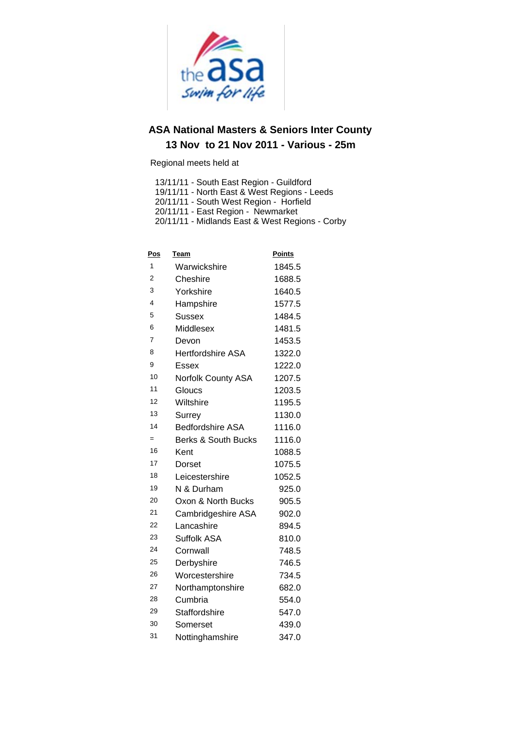

Regional meets held at

13/11/11 - South East Region - Guildford

19/11/11 - North East & West Regions - Leeds<br>20/11/11 - South West Region - Horfield

20/11/11 - East Region - Newmarket

20/11/11 - Midlands East & West Regions - Corby

| <u>Pos</u> | <u>Team</u>                    | <b>Points</b> |
|------------|--------------------------------|---------------|
| 1          | Warwickshire                   | 1845.5        |
| 2          | Cheshire                       | 1688.5        |
| 3          | Yorkshire                      | 1640.5        |
| 4          | Hampshire                      | 1577.5        |
| 5          | <b>Sussex</b>                  | 1484.5        |
| 6          | Middlesex                      | 1481.5        |
| 7          | Devon                          | 1453.5        |
| 8          | <b>Hertfordshire ASA</b>       | 1322.0        |
| 9          | Essex                          | 1222.0        |
| 10         | <b>Norfolk County ASA</b>      | 1207.5        |
| 11         | Gloucs                         | 1203.5        |
| 12         | Wiltshire                      | 1195.5        |
| 13         | Surrey                         | 1130.0        |
| 14         | <b>Bedfordshire ASA</b>        | 1116.0        |
| $=$        | <b>Berks &amp; South Bucks</b> | 1116.0        |
| 16         | Kent                           | 1088.5        |
| 17         | Dorset                         | 1075.5        |
| 18         | Leicestershire                 | 1052.5        |
| 19         | N & Durham                     | 925.0         |
| 20         | Oxon & North Bucks             | 905.5         |
| 21         | Cambridgeshire ASA             | 902.0         |
| 22         | Lancashire                     | 894.5         |
| 23         | Suffolk ASA                    | 810.0         |
| 24         | Cornwall                       | 748.5         |
| 25         | Derbyshire                     | 746.5         |
| 26         | Worcestershire                 | 734.5         |
| 27         | Northamptonshire               | 682.0         |
| 28         | Cumbria                        | 554.0         |
| 29         | Staffordshire                  | 547.0         |
| 30         | Somerset                       | 439.0         |
| 31         | Nottinghamshire                | 347.0         |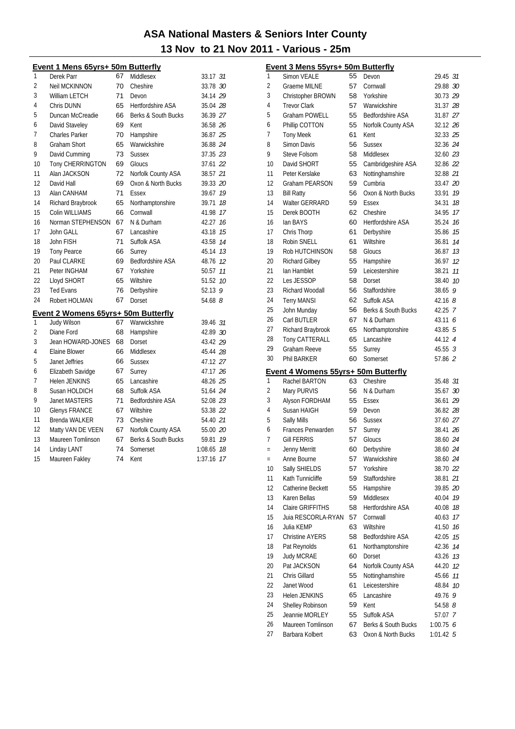#### Event 1 Mens 65yrs+ 50m Butterfly

| 1              | Derek Parr                                 | 67 | Middlesex               | 33.17 31   |    |
|----------------|--------------------------------------------|----|-------------------------|------------|----|
| 2              | <b>Neil MCKINNON</b>                       | 70 | Cheshire                | 33.78 30   |    |
| 3              | William LETCH                              | 71 | Devon                   | 34.14 29   |    |
| 4              | Chris DUNN                                 | 65 | Hertfordshire ASA       | 35.04 28   |    |
| 5              | Duncan McCreadie                           | 66 | Berks & South Bucks     | 36.39 27   |    |
| 6              | David Staveley                             | 69 | Kent                    | 36.58 26   |    |
| $\overline{1}$ | <b>Charles Parker</b>                      | 70 | Hampshire               | 36.87 25   |    |
| 8              | <b>Graham Short</b>                        | 65 | Warwickshire            | 36.88 24   |    |
| 9              | David Cumming                              | 73 | <b>Sussex</b>           | 37.35 23   |    |
| 10             | Tony CHERRINGTON                           | 69 | Gloucs                  | 37.61 22   |    |
| 11             | Alan JACKSON                               | 72 | Norfolk County ASA      | 38.57 21   |    |
| 12             | David Hall                                 | 69 | Oxon & North Bucks      | 39.33 20   |    |
| 13             | Alan CANHAM                                | 71 | Essex                   | 39.67      | 19 |
| 14             | Richard Braybrook                          | 65 | Northamptonshire        | 39.71      | 18 |
| 15             | Colin WILLIAMS                             | 66 | Cornwall                | 41.98      | 17 |
| 16             | Norman STEPHENSON                          | 67 | N & Durham              | 42.27      | 16 |
| 17             | John GALL                                  | 67 | Lancashire              | 43.18      | 15 |
| 18             | John FISH                                  | 71 | Suffolk ASA             | 43.58      | 14 |
| 19             | <b>Tony Pearce</b>                         | 66 | Surrey                  | 45.14      | 13 |
| 20             | Paul CLARKE                                | 69 | <b>Bedfordshire ASA</b> | 48.76 12   |    |
| 21             | Peter INGHAM                               | 67 | Yorkshire               | 50.57      | 11 |
| 22             | Lloyd SHORT                                | 65 | Wiltshire               | 51.52      | 10 |
| 23             | <b>Ted Evans</b>                           | 76 | Derbyshire              | 52.13 $9$  |    |
| 24             | Robert HOLMAN                              | 67 | Dorset                  | 54.68 $8$  |    |
|                | <b>Event 2 Womens 65yrs+ 50m Butterfly</b> |    |                         |            |    |
| 1              | <b>Judy Wilson</b>                         | 67 | Warwickshire            | 39.46 31   |    |
| 2              | Diane Ford                                 | 68 | Hampshire               | 42.89 30   |    |
| 3              | Jean HOWARD-JONES                          | 68 | Dorset                  | 43.42 29   |    |
| 4              | Elaine Blower                              | 66 | Middlesex               | 45.44 28   |    |
| 5              | Janet Jeffries                             | 66 | <b>Sussex</b>           | 47.12 27   |    |
| 6              | Elizabeth Savidge                          | 67 | Surrey                  | 47.17 26   |    |
| 7              | Helen JENKINS                              | 65 | Lancashire              | 48.26 25   |    |
| 8              | Susan HOLDICH                              | 68 | Suffolk ASA             | 51.64 24   |    |
| 9              | <b>Janet MASTERS</b>                       | 71 | Bedfordshire ASA        | 52.08 23   |    |
| 10             | <b>Glenys FRANCE</b>                       | 67 | Wiltshire               | 53.38 22   |    |
| 11             | <b>Brenda WALKER</b>                       | 73 | Cheshire                | 54.40 21   |    |
| 12             | Matty VAN DE VEEN                          | 67 | Norfolk County ASA      | 55.00 20   |    |
| 13             | Maureen Tomlinson                          | 67 | Berks & South Bucks     | 59.81      | 19 |
| 14             | Linday LANT                                | 74 | Somerset                | 1:08.65    | 18 |
| 15             | Maureen Fakley                             | 74 | Kent                    | 1:37.16 17 |    |
|                |                                            |    |                         |            |    |

|                | <b>Event 3 Mens 55yrs+ 50m Butterfly</b>   |          |                                           |                         |    |
|----------------|--------------------------------------------|----------|-------------------------------------------|-------------------------|----|
| 1              | <b>Simon VEALE</b>                         | 55       | Devon                                     | 29.45 31                |    |
| 2              | <b>Graeme MILNE</b>                        | 57       | Cornwall                                  | 29.88 30                |    |
| 3              | Christopher BROWN                          | 58       | Yorkshire                                 | 30.73 29                |    |
| 4              | <b>Trevor Clark</b>                        | 57       | Warwickshire                              | 31.37 28                |    |
| 5              | Graham POWELL                              | 55       | <b>Bedfordshire ASA</b>                   | 31.87 27                |    |
| 6              | Phillip COTTON                             | 55       | Norfolk County ASA                        | 32.12 26                |    |
| 7              | <b>Tony Meek</b>                           | 61       | Kent                                      | 32.33 25                |    |
| 8              | Simon Davis                                | 56       | <b>Sussex</b>                             | 32.36 24                |    |
| 9              | Steve Folsom                               | 58       | Middlesex                                 | 32.60 23                |    |
| 10             | David SHORT                                | 55       | Cambridgeshire ASA                        | 32.86 22                |    |
| 11             | Peter Kerslake                             | 63       | Nottinghamshire                           | 32.88 21                |    |
| 12             | <b>Graham PEARSON</b>                      | 59       | Cumbria                                   | 33.47 20                |    |
| 13             | <b>Bill Ratty</b>                          | 56       | Oxon & North Bucks                        | 33.91                   | 19 |
| 14             | Walter GERRARD                             | 59       | Essex                                     | 34.31                   | 18 |
| 15             | Derek BOOTH                                | 62       | Cheshire                                  | 34.95                   | 17 |
| 16             | lan BAYS                                   | 60       | <b>Hertfordshire ASA</b>                  | 35.24                   | 16 |
| 17             | Chris Thorp                                | 61       | Derbyshire                                | 35.86                   | 15 |
| 18             | Robin SNELL                                | 61       | Wiltshire                                 | 36.81                   | 14 |
| 19             | Rob HUTCHINSON                             | 58       | Gloucs                                    | 36.87                   | 13 |
| 20             | <b>Richard Gilbey</b>                      | 55       | Hampshire                                 | 36.97                   | 12 |
| 21             | lan Hamblet                                | 59       | Leicestershire                            | 38.21                   | 11 |
| 22             | Les JESSOP                                 | 58       | Dorset                                    | 38.40                   | 10 |
| 23             | Richard Woodall                            | 56       | Staffordshire                             | 38.65 9                 |    |
| 24             | <b>Terry MANSI</b>                         | 62       | Suffolk ASA                               | $42.16$ $8$             |    |
| 25             | John Munday                                | 56       | Berks & South Bucks                       | 42.25 7                 |    |
| 26             | Carl BUTLER                                | 67       | N & Durham                                | 43.11 6                 |    |
| 27             | Richard Braybrook                          | 65       | Northamptonshire                          | 43.85 5                 |    |
| 28             | Tony CATTERALL                             | 65       | Lancashire                                | 44.12 4                 |    |
| 29             | <b>Graham Reeve</b>                        | 55       | Surrey                                    | 45.553                  |    |
| 30             | <b>Phil BARKER</b>                         | 60       | Somerset                                  | 57.86 2                 |    |
|                |                                            |          |                                           |                         |    |
|                | <b>Event 4 Womens 55yrs+ 50m Butterfly</b> |          |                                           |                         |    |
| 1              | Rachel BARTON                              | 63       | Cheshire                                  | 35.48 31                |    |
| $\overline{2}$ | Mary PURVIS                                | 56       | N & Durham                                | 35.67 30                |    |
| 3              | Alyson FORDHAM                             | 55       | Essex                                     | 36.61 29                |    |
| 4              | Susan HAIGH                                | 59       | Devon                                     | 36.82 28                |    |
| 5              | Sally Mills                                | 56       | <b>Sussex</b>                             | 37.60 27                |    |
| 6<br>7         | Frances Penwarden<br><b>Gill FERRIS</b>    | 57       | Surrey                                    | 38.41 26                |    |
|                |                                            | 57       | Gloucs                                    | 38.60 24                |    |
| $=$            | Jenny Merritt                              | 60       | Derbyshire                                | 38.60 24                |    |
| $=$            | Anne Bourne                                | 57       | Warwickshire                              | 38.60 24                |    |
| 10             | Sally SHIELDS                              | 57       | Yorkshire                                 | 38.70 22                |    |
| 11             | Kath Tunnicliffe                           | 59       | Staffordshire                             | 38.81 21                |    |
| 12             | Catherine Beckett                          | 55       | Hampshire                                 | 39.85 20                |    |
| 13             | Karen Bellas                               | 59       | Middlesex                                 | 40.04                   | 19 |
| 14             | <b>Claire GRIFFITHS</b>                    | 58       | Hertfordshire ASA                         | 40.08                   | 18 |
| 15             | Juia RESCORLA-RYAN                         | 57       | Cornwall                                  | 40.63                   | 17 |
| 16             | Julia KEMP                                 | 63       | Wiltshire                                 | 41.50                   | 16 |
| 17             | <b>Christine AYERS</b>                     | 58       | Bedfordshire ASA                          | 42.05                   | 15 |
| 18             | Pat Reynolds                               | 61       | Northamptonshire                          | 42.36                   | 14 |
| 19             | Judy MCRAE                                 | 60       | Dorset                                    | 43.26                   | 13 |
| 20             | Pat JACKSON                                | 64       | Norfolk County ASA                        | 44.20                   | 12 |
| 21             | Chris Gillard                              | 55       | Nottinghamshire                           | 45.66                   | 11 |
| 22             | Janet Wood                                 | 61       | Leicestershire                            | 48.84                   | 10 |
|                |                                            |          |                                           |                         |    |
| 23             | <b>Helen JENKINS</b>                       | 65       | Lancashire                                | 49.76<br>9              |    |
| 24             | Shelley Robinson                           | 59       | Kent                                      | 54.58 8                 |    |
| 25             | Jeannie MORLEY                             | 55       | Suffolk ASA                               | 57.07 7                 |    |
| 26<br>27       | Maureen Tomlinson<br>Barbara Kolbert       | 67<br>63 | Berks & South Bucks<br>Oxon & North Bucks | 1:00.756<br>$1:01.42$ 5 |    |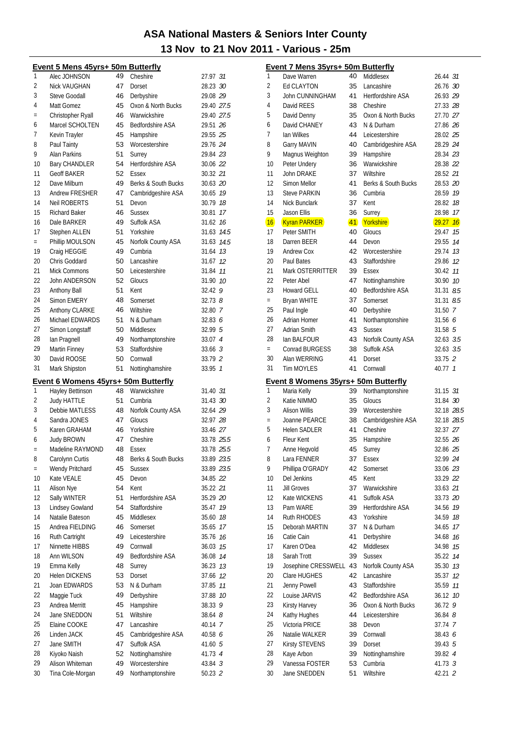#### Event 5 Mens 45yrs+ 50m Butterfly 27 97 31 Alec IOHNSON Cheshire  $\mathbf{1}$ 49  $\overline{2}$ Nick VAUGHAN Dorset 28.23 30  $47$ Steve Goodall Derbyshire 29.08.29  $\mathbf{3}$ 46 Oxon & North Bucks 29.40 27.5 Matt Gomez  $\overline{4}$ 45 Christopher Ryall Warwickshire 46 29 40 27 5  $\equiv$ Marcel SCHOLTEN Bedfordshire ASA 45 29.51 26  $\overline{6}$  $\overline{7}$ 29.55 25 Kevin Travler  $45$ Hamnshire  $\mathsf{R}$ Paul Tainty  $53$ Worcestershire 29.76 24 Surrey 29.84 23  $\mathsf{Q}$ **Alan Parkins**  $51$ Hertfordshire ASA  $10$ **Bary CHANDLER**  $54$ 30.06 22 **Geoff BAKER** 11 52 Essex 30.32 21 Dave Milburn  $12$ 49 Berks & South Bucks 30.63 20 Andrew FRESHER  $47$ Cambridgeshire ASA 30.65 19  $13$ Neil RORERTS  $51$ Devon 30.79 18 14 Richard Raker  $46$ Sussex 30.81 17 15 Dale BARKER Suffolk ASA  $49$ 31.62 76 16 Stephen ALLEN  $51$ Yorkshire  $17$ 31.63 74.5 Phillip MOULSON  $45$ Norfolk County ASA 31.63 74.5  $\equiv$ 19 Craig HEGGIE 49 Cumbria 31.64 73 Lancashire Chris Goddard  $50$ 31.67 12  $20$ Mick Commons  $50$ Leicestershire 31.84 77  $21$ 31.90 10 John ANDERSON 52 Gloucs  $22$ Anthony Ball  $51$  $K \infty$  $32.429$ 23  $32.73$   $8$ Simon FMFRY 48 Somerset 24 Anthony CLARKE 46 Wiltshire  $32.80.7$ 25  $32.836$ Michael EDWARDS  $51$ N & Durham  $26$ 50 Middlesex  $32995$  $27$ Simon Longstaff  $\overline{49}$ Northamptonshire 33.07 4  $28$ Ian Pragnell **Martin Finney** 53 Staffordshire 33.66 3  $29$  $33.79$  2 David ROOSE  $50^{\circ}$  $Conmval$  $30^{\circ}$ Mark Shipston 51 Nottinghamshire 33 95 7 31 Event 6 Womens 45yrs+ 50m Butterfly  $\mathbf{1}$ Hayley Bettinson 48 Warwickshire 31.40 31  $\overline{2}$ **Judy HATTLE** 51 Cumbria 31.43 30  $\mathbf{3}$ **Debbie MATLESS** 48 Norfolk County ASA 32.64 29  $\overline{4}$ Sandra JONES 47 Gloucs 32.97 28 5 Karen GRAHAM 46 Yorkshire 33.46 27 **Judy BROWN** 47 Cheshire 33.78 25.5 6 Madeline RAYMOND 48 Essex 33.78 25.5  $\overline{a}$ 8 Carolynn Curtis 48 Berks & South Bucks 33.89 23.5 Wendy Pritchard 45 Sussex 33.89 23.5  $\equiv$  $10$ Kate VEALE 45 Devon 34.85 22 Alison Nye 54 Kent 35.22 21 11 Sally WINTER  $51$ Hertfordshire ASA 35.29 20  $12$ **Lindsey Gowland** 54 Staffordshire 35.47 19 13 Natalie Bateson 45 Middlesex 35.60 78 14 Andrea FIELDING 46 Somerset 35.65 17 15 **Ruth Cartright** 49 Leicestershire 35.76 76 16 Ninnette HIBBS 49 Cornwall 36.03 75  $17$ Ann WILSON 49 Bedfordshire ASA 36.08 74 18 Emma Kelly 48 Surrey 36.23 13 19 **Helen DICKENS** 53 Dorset 37.66 12  $20$ Joan EDWARDS N & Durham 37.85 77 21 53 Maggie Tuck Derbyshire 37.88 10  $22$ 49 Andrea Merritt 45 Hampshire 38.33 9 23 Jane SNEDDON Wiltshire  $38.648$ 24  $51$ Elaine COOKE Lancashire 25 47 40 14 7 Linden JACK Cambridgeshire ASA  $40.586$ 26 45 Jane SMITH Suffolk ASA 27 47  $41605$ Kiyoko Naish 41.73 4 28 52 Nottinghamshire 29 Alison Whiteman 49 Worcestershire 43.84 3  $30$ Tina Cole-Morgan 49 Northamptonshire 50.23 2

|                | Event 7 Mens 35yrs+ 50m Butterfly   |          |                            |                           |    |
|----------------|-------------------------------------|----------|----------------------------|---------------------------|----|
| 1              | Dave Warren                         | 40       | Middlesex                  | 26.44 31                  |    |
| 2              | Ed CLAYTON                          | 35       | Lancashire                 | 26.76 30                  |    |
| 3              | John CUNNINGHAM                     | 41       | <b>Hertfordshire ASA</b>   | 26.93 29                  |    |
| 4              | David REES                          | 38       | Cheshire                   | 27.33 28                  |    |
| 5              | David Denny                         | 35       | Oxon & North Bucks         | 27.70 27                  |    |
| 6              | David CHANEY                        | 43       | N & Durham                 | 27.86 26                  |    |
| 7              | lan Wilkes                          | 44       | Leicestershire             | 28.02 25                  |    |
| 8              | Garry MAVIN                         | 40       | Cambridgeshire ASA         | 28.29 24                  |    |
| 9              | Magnus Weighton                     | 39       | Hampshire                  | 28.34 23                  |    |
| 10             | Peter Undery                        | 36       | Warwickshire               | 28.38 22                  |    |
| 11             | <b>John DRAKE</b>                   | 37       | Wiltshire                  | 28.52 21                  |    |
| 12             | Simon Mellor                        | 41       | Berks & South Bucks        | 28.53 20                  |    |
| 13             | <b>Steve PARKIN</b>                 | 36       | Cumbria                    | 28.59 19                  |    |
| 14             | <b>Nick Bunclark</b>                | 37       | Kent                       | 28.82                     | 18 |
| 15             | Jason Ellis                         | 36       | Surrey                     | 28.98                     | 17 |
| 16             | <b>Kyran PARKER</b>                 | 41       | Yorkshire                  | $29.27$ 16                |    |
| 17             | Peter SMITH                         | 40       | Gloucs                     | 29.47                     | 15 |
| 18             | Darren BEER                         | 44       | Devon                      | 29.55                     | 14 |
| 19             | <b>Andrew Cox</b>                   | 42       | Worcestershire             | 29.74                     | 13 |
| 20             | Paul Bates                          | 43       | Staffordshire              | 29.86                     | 12 |
| 21             | Mark OSTERRITTER                    | 39       | Essex                      | 30.42 11                  |    |
| 22             | Peter Abel                          | 47       | Nottinghamshire            | 30.90 10                  |    |
| 23             | Howard GELL                         | 40       | <b>Bedfordshire ASA</b>    | 31.31 8.5                 |    |
| $=$            | <b>Bryan WHITE</b>                  | 37       | Somerset                   | 31.31 8.5                 |    |
| 25             | Paul Ingle                          | 40       | Derbyshire                 | 31.50 7                   |    |
| 26             | Adrian Homer                        | 41       | Northamptonshire           | 31.56 <i>6</i>            |    |
| 27             | Adrian Smith                        | 43       | <b>Sussex</b>              | 31.58 <sub>5</sub>        |    |
| 28             | lan BALFOUR                         | 43       | Norfolk County ASA         | 32.63 3.5                 |    |
| $=$            | Conrad BURGESS                      | 38       | Suffolk ASA                | 32.63 3.5                 |    |
| 30             | Alan WERRING                        | 41       | Dorset                     | 33.75 2                   |    |
|                |                                     |          |                            |                           |    |
| 31             | <b>Tim MOYLES</b>                   | 41       | Cornwall                   | 40.77 1                   |    |
|                |                                     |          |                            |                           |    |
|                | Event 8 Womens 35yrs+ 50m Butterfly |          |                            |                           |    |
| 1              | Maria Kelly                         | 39       | Northamptonshire           | 31.15 31                  |    |
| $\overline{2}$ | Katie NIMMO                         | 35       | Gloucs                     | 31.84 30                  |    |
| 3<br>$=$       | <b>Alison Willis</b>                | 39       | Worcestershire             | 32.18 28.5                |    |
|                | Joanne PEARCE                       | 38       | Cambridgeshire ASA         | 32.18 28.5                |    |
| 5              | <b>Helen SADLER</b>                 | 41       | Cheshire                   | 32.37 27                  |    |
| 6<br>7         | Fleur Kent                          | 35       | Hampshire                  | 32.55 26                  |    |
|                | Anne Hegvold                        | 45       | Surrey                     | 32.86 25                  |    |
| 8              | Lara FENNER                         | 37       | Essex                      | 32.99 24                  |    |
| 9              | Phillipa O'GRADY                    | 42       | Somerset                   | 33.06 23                  |    |
| 10             | Del Jenkins                         | 45       | Kent                       | 33.29 22                  |    |
| 11             | <b>Jill Groves</b>                  | 37       | Warwickshire               | 33.63 21                  |    |
| 12             | Kate WICKENS                        | 41       | Suffolk ASA                | 33.73 20                  |    |
| 13             | Pam WARE                            | 39       | Hertfordshire ASA          | 34.56                     | 19 |
| 14             | <b>Ruth RHODES</b>                  | 43       | Yorkshire                  | 34.59                     | 18 |
| 15             | Deborah MARTIN                      | 37       | N & Durham                 | 34.65                     | 17 |
| 16             | Catie Cain                          | 41       | Derbyshire                 | 34.68                     | 16 |
| 17             | Karen O'Dea                         | 42       | Middlesex                  | 34.98                     | 15 |
| 18             | Sarah Trott                         | 39       | <b>Sussex</b>              | 35.22                     | 14 |
| 19             | Josephine CRESSWELL                 | 43       | Norfolk County ASA         | 35.30                     | 13 |
| 20             | Clare HUGHES                        | 42       | Lancashire                 | 35.37                     | 12 |
| 21             | Jenny Powell                        | 43       | Staffordshire              | 35.59                     | 11 |
| 22             | Louise JARVIS                       | 42       | Bedfordshire ASA           | 36.12                     | 10 |
| 23             | Kirsty Harvey                       | 36       | Oxon & North Bucks         | 36.72                     | 9  |
| 24             | Kathy Hughes                        | 44       | Leicestershire             | 36.84 8                   |    |
| 25             | Victoria PRICE                      | 38       | Devon                      | 37.74 7                   |    |
| 26             | Natalie WALKER                      | 39       | Cornwall                   | 38.43 <i>6</i>            |    |
| 27             | <b>Kirsty STEVENS</b>               | 39       | Dorset                     | 39.43 5                   |    |
| 28<br>29       | Kaye Arbon<br>Vanessa FOSTER        | 39<br>53 | Nottinghamshire<br>Cumbria | 39.82 4<br>41.73 <i>3</i> |    |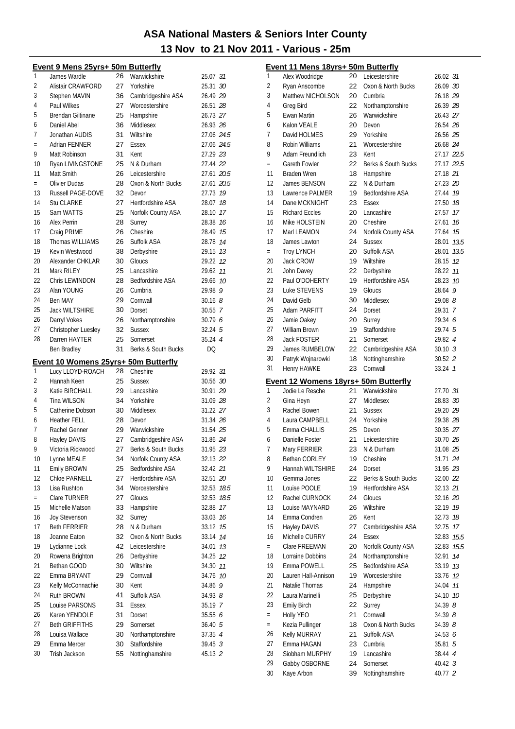#### Event 9 Mens 25vrs+ 50m Butterfly

| 1              | James Wardle                         | 26       | Warwickshire                     | 25.07 31                      |      |
|----------------|--------------------------------------|----------|----------------------------------|-------------------------------|------|
| $\overline{2}$ | Alistair CRAWFORD                    | 27       | Yorkshire                        | 25.31 30                      |      |
| 3              | Stephen MAVIN                        | 36       | Cambridgeshire ASA               | 26.49 29                      |      |
| 4              | Paul Wilkes                          | 27       | Worcestershire                   | 26.51 28                      |      |
| 5              | <b>Brendan Giltinane</b>             | 25       | Hampshire                        | 26.73 27                      |      |
| 6              | Daniel Abel                          | 36       | Middlesex                        | 26.93 26                      |      |
| 7              | Jonathan AUDIS                       | 31       | Wiltshire                        | 27.06 24.5                    |      |
| $=$            | Adrian FENNER                        | 27       | <b>Essex</b>                     | 27.06 24.5                    |      |
| 9              | Matt Robinson                        | 31       | Kent                             | 27.29 23                      |      |
| 10             | Ryan LIVINGSTONE                     | 25       | N & Durham                       | 27.44 22                      |      |
| 11             | Matt Smith                           | 26       | Leicestershire                   | 27.61 20.5                    |      |
| $=$            | Olivier Dudas                        | 28       | Oxon & North Bucks               | 27.61 20.5                    |      |
| 13             | Russell PAGE-DOVE                    | 32       | Devon                            | 27.73                         | 19   |
| 14             | <b>Stu CLARKE</b>                    | 27       | Hertfordshire ASA                | 28.07                         | 18   |
| 15             | Sam WATTS                            | 25       | Norfolk County ASA               | 28.10                         | 17   |
| 16             | Alex Perrin                          | 28       | Surrey                           | 28.38                         | 16   |
| 17             | Craig PRIME                          | 26       | Cheshire                         | 28.49                         | 15   |
| 18             | <b>Thomas WILLIAMS</b>               | 26       | Suffolk ASA                      | 28.78                         | 14   |
| 19             | Kevin Westwood                       | 38       | Derbyshire                       | 29.15                         | 13   |
| 20             | Alexander CHKLAR                     | 30       | Gloucs                           | 29.22                         | 12   |
| 21             | Mark RILEY                           | 25       | Lancashire                       | 29.62                         | 11   |
| 22             | Chris LEWINDON                       | 28       | Bedfordshire ASA                 | 29.66                         | 10   |
| 23             | Alan YOUNG                           | 26       | Cumbria                          | 29.98 9                       |      |
| 24             | Ben MAY                              | 29       | Cornwall                         | 30.168                        |      |
| 25             | <b>Jack WILTSHIRE</b>                | 30       | Dorset                           | 30.55 7                       |      |
| 26             | Darryl Vokes                         | 26       | Northamptonshire                 | 30.796                        |      |
| 27             | Christopher Luesley                  | 32       | <b>Sussex</b>                    | 32.245                        |      |
| 28             | Darren HAYTER                        | 25       | Somerset                         | 35.24 4                       |      |
|                | Ben Bradley                          | 31       | Berks & South Bucks              | DQ                            |      |
|                |                                      |          |                                  |                               |      |
|                | Event 10 Womens 25yrs+ 50m Butterfly |          |                                  |                               |      |
|                |                                      |          |                                  |                               |      |
| 1              | Lucy LLOYD-ROACH                     | 28       | Cheshire                         | 29.92 31                      |      |
| $\overline{2}$ | Hannah Keen                          | 25       | <b>Sussex</b>                    | 30.56 30                      |      |
| 3              | Katie BIRCHALL                       | 29       | Lancashire                       | 30.91 29                      |      |
| 4              | Tina WILSON                          | 34       | Yorkshire                        | 31.09 28                      |      |
| 5              | Catherine Dobson                     | 30       | Middlesex                        | 31.22 27                      |      |
| 6              | <b>Heather FELL</b>                  | 28       | Devon                            | 31.34 26                      |      |
| 7              | Rachel Genner                        | 29       | Warwickshire                     | 31.54 25                      |      |
| 8              | Hayley DAVIS                         | 27       | Cambridgeshire ASA               | 31.86 24                      |      |
| 9              | Victoria Rickwood                    | 27       | Berks & South Bucks              | 31.95 23                      |      |
| 10             | Lynne MEALE                          | 34       | Norfolk County ASA               | 32.13 22                      |      |
| 11             | Emily BROWN                          | 25       | Bedfordshire ASA                 | 32.42 21                      |      |
| 12             | Chloe PARNELL                        | 27       | <b>Hertfordshire ASA</b>         | 32.51 20                      |      |
| 13             | Lisa Rushton                         | 34       | Worcestershire                   | 32.53                         | 18.5 |
| $=$            | Clare TURNER                         | 27       | Gloucs                           | 32.53                         | 18.5 |
| 15             | Michelle Matson                      | 33       | Hampshire                        | 32.88                         | 17   |
| 16             | <b>Joy Stevenson</b>                 | 32       | Surrey                           | 33.03                         | 16   |
| 17             | <b>Beth FERRIER</b>                  | 28       | N & Durham                       | 33.12                         | 15   |
| 18             | Joanne Eaton                         | 32       | Oxon & North Bucks               | 33.14                         | 14   |
| 19             | Lydianne Lock                        | 42       | Leicestershire                   | 34.01                         | 13   |
| 20             | Rowena Brighton                      | 26       | Derbyshire                       | 34.25                         | 12   |
| 21             | Bethan GOOD                          | 30       | Wiltshire                        | 34.30                         | 11   |
| 22             | Emma BRYANT                          | 29       | Cornwall                         | 34.76                         | 10   |
| 23             | Kelly McConnachie                    | 30       | Kent                             | 34.86                         | 9    |
| 24             | Ruth BROWN                           | 41       | Suffolk ASA                      | 34.93 <i>8</i>                |      |
| 25             | Louise PARSONS                       | 31       | Essex                            | 35.19 7                       |      |
| 26             | Karen YENDOLE                        | 31       | Dorset                           | 35.55 6                       |      |
| 27             | <b>Beth GRIFFITHS</b>                | 29       | Somerset                         | 36.40 5                       |      |
| 28             | Louisa Wallace                       | 30       | Northamptonshire                 | 37.35 4                       |      |
| 29<br>30       | Emma Mercer<br>Trish Jackson         | 30<br>55 | Staffordshire<br>Nottinghamshire | 39.45 <sup>3</sup><br>45.13 2 |      |

|                | Event 11 Mens 18yrs+ 50m Butterfly   |    |                          |             |      |
|----------------|--------------------------------------|----|--------------------------|-------------|------|
| 1              | Alex Woodridge                       | 20 | Leicestershire           | 26.02 31    |      |
| $\overline{2}$ | Ryan Anscombe                        | 22 | Oxon & North Bucks       | 26.09 30    |      |
| 3              | Matthew NICHOLSON                    | 20 | Cumbria                  | 26.18 29    |      |
| 4              | <b>Greg Bird</b>                     | 22 | Northamptonshire         | 26.39 28    |      |
| 5              | Ewan Martin                          | 26 | Warwickshire             | 26.43 27    |      |
| 6              | Kalon VEALE                          | 20 | Devon                    | 26.54 26    |      |
| 7              | David HOLMES                         | 29 | Yorkshire                | 26.56 25    |      |
| 8              | Robin Williams                       | 21 | Worcestershire           | 26.68 24    |      |
| 9              | Adam Freundlich                      | 23 | Kent                     | 27.17 22.5  |      |
| $=$            | Gareth Fowler                        | 22 | Berks & South Bucks      | 27.17 22.5  |      |
| 11             | <b>Braden Wren</b>                   | 18 | Hampshire                | 27.18 21    |      |
| 12             | James BENSON                         | 22 | N & Durham               | 27.23 20    |      |
| 13             | Lawrence PALMER                      | 19 | <b>Bedfordshire ASA</b>  | 27.44 19    |      |
| 14             | Dane MCKNIGHT                        | 23 | Essex                    | 27.50 18    |      |
| 15             | <b>Richard Eccles</b>                | 20 | Lancashire               | 27.57       | 17   |
| 16             | Mike HOLSTEIN                        | 20 | Cheshire                 | 27.61       | 16   |
| 17             | Marl LEAMON                          | 24 | Norfolk County ASA       | 27.64       | 15   |
| 18             | James Lawton                         | 24 | <b>Sussex</b>            | 28.01       | 13.5 |
| $=$            | <b>Troy LYNCH</b>                    | 20 | Suffolk ASA              | 28.01       | 13.5 |
| 20             | Jack CROW                            | 19 | Wiltshire                | 28.15 12    |      |
| 21             | John Davey                           | 22 | Derbyshire               | 28.22 11    |      |
| 22             | Paul O'DOHERTY                       | 19 | <b>Hertfordshire ASA</b> | 28.23 10    |      |
| 23             | Luke STEVENS                         | 19 | Gloucs                   | 28.64       | 9    |
| 24             | David Gelb                           | 30 | Middlesex                | $29.08$ $8$ |      |
| 25             | Adam PARFITT                         | 24 | Dorset                   | 29.31 7     |      |
| 26             | Jamie Oakey                          | 20 | Surrey                   | 29.34 6     |      |
| 27             | William Brown                        | 19 | Staffordshire            | 29.74 5     |      |
| 28             | <b>Jack FOSTER</b>                   | 21 | Somerset                 | 29.82 4     |      |
| 29             | James RUMBELOW                       | 22 | Cambridgeshire ASA       | 30.103      |      |
| 30             | Patryk Wojnarowki                    | 18 | Nottinghamshire          | 30.52 2     |      |
| 31             | Henry HAWKE                          | 23 | Cornwall                 | 33.24 7     |      |
|                | Event 12 Womens 18yrs+ 50m Butterfly |    |                          |             |      |
| 1              | Jodie Le Resche                      | 21 | Warwickshire             | 27.70 31    |      |
| $\overline{2}$ | Gina Heyn                            | 27 | Middlesex                | 28.83 30    |      |
| 3              | Rachel Bowen                         | 21 | <b>Sussex</b>            | 29.20 29    |      |
| 4              | Laura CAMPBELL                       | 24 | Yorkshire                | 29.38 28    |      |
| 5              | Emma CHALLIS                         | 25 | Devon                    | 30.35 27    |      |
| 6              | Danielle Foster                      | 21 | Leicestershire           | 30.70 26    |      |
| 7              | Mary FERRIER                         | 23 | N & Durham               | 31.08 25    |      |
| 8              | Bethan CORLEY                        | 19 | Cheshire                 | 31.71 24    |      |
| 9              | Hannah WILTSHIRE                     | 24 | Dorset                   | 31.95 23    |      |
| 10             | Gemma Jones                          | 22 | Berks & South Bucks      | 32.00 22    |      |
| 11             | Louise POOLE                         | 19 | Hertfordshire ASA        | 32.13 21    |      |
| 12             | Rachel CURNOCK                       | 24 | Gloucs                   | 32.16 20    |      |
| 13             | Louise MAYNARD                       | 26 | Wiltshire                | 32.19 19    |      |
| 14             | Emma Condren                         | 26 | Kent                     | 32.73       | 18   |
| 15             | Hayley DAVIS                         | 27 | Cambridgeshire ASA       | 32.75       | 17   |
| 16             | Michelle CURRY                       | 24 | <b>Essex</b>             | 32.83       | 15.5 |
| $=$            | Clare FREEMAN                        | 20 | Norfolk County ASA       | 32.83       | 15.5 |
| 18             | Lorraine Dobbins                     | 24 | Northamptonshire         | 32.91       | 14   |
| 19             | Emma POWELL                          | 25 | Bedfordshire ASA         | 33.19 13    |      |
| 20             | Lauren Hall-Annison                  | 19 | Worcestershire           | 33.76 12    |      |
| 21             | Natalie Thomas                       | 24 | Hampshire                | 34.04       | 11   |
| 22             | Laura Marinelli                      | 25 | Derbyshire               | 34.10 10    |      |
| 23             | <b>Emily Birch</b>                   | 22 | Surrey                   | 34.398      |      |
| $=$            | Holly YEO                            | 21 | Cornwall                 | 34.39 8     |      |
| $=$            | Kezia Pullinger                      | 18 | Oxon & North Bucks       | 34.39 8     |      |
| 26             | Kelly MURRAY                         | 21 | Suffolk ASA              | 34.53 6     |      |
| 27             | Emma HAGAN                           | 23 | Cumbria                  | 35.815      |      |
| 28             | Siobham MURPHY                       | 19 | Lancashire               | 38.44 4     |      |
| 29             | Gabby OSBORNE                        | 24 | Somerset                 | $40.42 \t3$ |      |
| 30             | Kaye Arbon                           | 39 | Nottinghamshire          | 40.77 2     |      |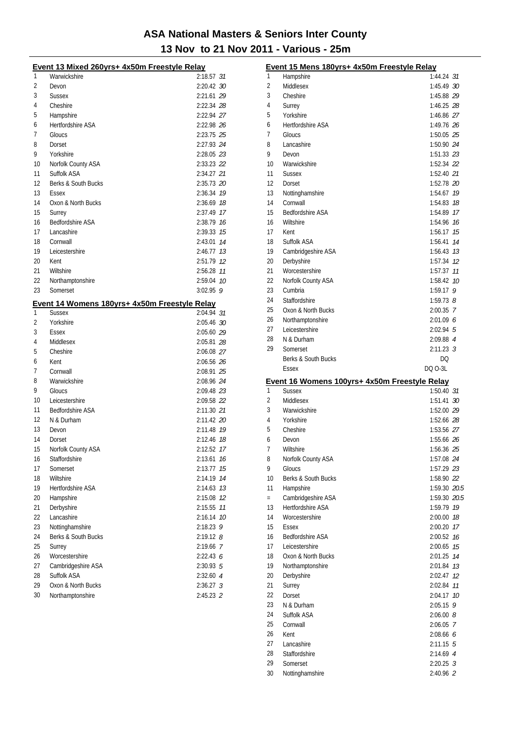|    | Event 13 Mixed 260yrs+ 4x50m Freestyle Relay  |             |    |
|----|-----------------------------------------------|-------------|----|
| 1  | Warwickshire                                  | 2:18.57 31  |    |
| 2  | Devon                                         | 2:20.42 30  |    |
| 3  | <b>Sussex</b>                                 | 2:21.61 29  |    |
| 4  | Cheshire                                      | 2:22.34 28  |    |
| 5  | Hampshire                                     | 2:22.94 27  |    |
| 6  | Hertfordshire ASA                             | 2:22.98 26  |    |
| 7  | Gloucs                                        | 2:23.75 25  |    |
| 8  | Dorset                                        | 2:27.93 24  |    |
| 9  | Yorkshire                                     | 2:28.05 23  |    |
| 10 | Norfolk County ASA                            | 2:33.23 22  |    |
| 11 | Suffolk ASA                                   | 2:34.27 21  |    |
| 12 | Berks & South Bucks                           | 2:35.73 20  |    |
| 13 | Essex                                         | 2:36.34 19  |    |
| 14 | Oxon & North Bucks                            | 2:36.69 18  |    |
| 15 | Surrey                                        | 2:37.49 17  |    |
| 16 | Bedfordshire ASA                              | 2:38.79 16  |    |
| 17 | Lancashire                                    | 2:39.33 15  |    |
| 18 | Cornwall                                      | 2:43.01 14  |    |
| 19 | Leicestershire                                | 2:46.77 13  |    |
| 20 | Kent                                          | 2:51.79 12  |    |
| 21 | Wiltshire                                     | 2:56.28 11  |    |
| 22 | Northamptonshire                              | 2:59.04 10  |    |
| 23 | Somerset                                      | $3:02.95$ 9 |    |
|    | Event 14 Womens 180yrs+ 4x50m Freestyle Relay |             |    |
| 1  | <b>Sussex</b>                                 | 2:04.94 31  |    |
| 2  | Yorkshire                                     | 2:05.46 30  |    |
| 3  | Essex                                         | 2:05.60 29  |    |
| 4  | Middlesex                                     | 2:05.81 28  |    |
| 5  | Cheshire                                      | 2:06.08 27  |    |
| 6  | Kent                                          | 2:06.56 26  |    |
| 7  | Cornwall                                      | 2:08.91 25  |    |
| 8  | Warwickshire                                  | 2:08.96 24  |    |
| 9  | Gloucs                                        | 2:09.48 23  |    |
| 10 | Leicestershire                                | 2:09.58 22  |    |
| 11 | <b>Bedfordshire ASA</b>                       | 2:11.30 21  |    |
| 12 | N & Durham                                    | 2:11.42 20  |    |
| 13 | Devon                                         | 2:11.48 19  |    |
| 14 | Dorset                                        | 2:12.46 78  |    |
| 15 | Norfolk County ASA                            | 2:12.52 17  |    |
| 16 | Staffordshire                                 | 2:13.61     | 16 |
| 17 | Somerset                                      | 2:13.77     | 15 |
| 18 | Wiltshire                                     | 2:14.19     | 14 |
| 19 | Hertfordshire ASA                             | 2:14.63     | 13 |
| 20 | Hampshire                                     | 2:15.08     | 12 |
| 21 | Derbyshire                                    | 2:15.55     | 11 |
| 22 | Lancashire                                    | 2:16.14     | 10 |
| 23 | Nottinghamshire                               | $2:18.23$ 9 |    |
| 24 | Berks & South Bucks                           | $2:19.12$ 8 |    |
| 25 | Surrey                                        | 2:19.66 7   |    |
| 26 | Worcestershire                                | 2:22.436    |    |
| 27 | Cambridgeshire ASA                            | 2:30.93 5   |    |
| 28 | Suffolk ASA                                   | 2:32.60 4   |    |
| 29 | Oxon & North Bucks                            | $2:36.27$ 3 |    |
| 30 | Northamptonshire                              | 2:45.23 2   |    |
|    |                                               |             |    |

|     | Event 15 Mens 180yrs+ 4x50m Freestyle Relay   |                   |  |
|-----|-----------------------------------------------|-------------------|--|
| 1   | Hampshire                                     | 1:44.24 <i>31</i> |  |
| 2   | Middlesex                                     | 1:45.49 30        |  |
| 3   | Cheshire                                      | 1:45.88 29        |  |
| 4   | Surrey                                        | 1:46.25 28        |  |
| 5   | Yorkshire                                     | 1:46.86 27        |  |
| 6   | <b>Hertfordshire ASA</b>                      | 1:49.76 26        |  |
| 7   | Gloucs                                        | 1:50.05 25        |  |
| 8   | Lancashire                                    | 1:50.90 24        |  |
| 9   | Devon                                         | 1:51.33 23        |  |
| 10  | Warwickshire                                  | 1:52.34 22        |  |
| 11  | <b>Sussex</b>                                 | 1:52.40 21        |  |
| 12  | Dorset                                        | 1:52.78 20        |  |
| 13  | Nottinghamshire                               | 1:54.67 19        |  |
| 14  | Cornwall                                      | 1:54.83 78        |  |
| 15  | <b>Bedfordshire ASA</b>                       | 1:54.89 17        |  |
| 16  | Wiltshire                                     | 1:54.96 76        |  |
| 17  | Kent                                          | 1:56.17 15        |  |
| 18  | Suffolk ASA                                   | 1:56.41 74        |  |
| 19  | Cambridgeshire ASA                            | 1:56.43 73        |  |
| 20  | Derbyshire                                    | 1:57.34 12        |  |
| 21  | Worcestershire                                | 1:57.37 11        |  |
| 22  | Norfolk County ASA                            | 1:58.42 10        |  |
| 23  | Cumbria                                       | $1:59.17$ 9       |  |
| 24  | Staffordshire                                 | $1:59.73$ $8$     |  |
| 25  | Oxon & North Bucks                            | 2:00.35 7         |  |
| 26  | Northamptonshire                              | 2:01.096          |  |
| 27  | Leicestershire                                | $2:02.94$ 5       |  |
| 28  | N & Durham                                    | 2:09.88 4         |  |
| 29  | Somerset                                      | 2:11.23 <i>3</i>  |  |
|     | Berks & South Bucks                           | DQ                |  |
|     | Essex                                         |                   |  |
|     |                                               | DQ 0-3L           |  |
|     | Event 16 Womens 100yrs+ 4x50m Freestyle Relay |                   |  |
| 1   | <b>Sussex</b>                                 | 1:50.40 31        |  |
| 2   | Middlesex                                     | 1:51.41 30        |  |
| 3   | Warwickshire                                  | 1:52.00 29        |  |
| 4   | Yorkshire                                     | 1:52.66 28        |  |
| 5   | Cheshire                                      | 1:53.56 27        |  |
| 6   | Devon                                         | 1:55.66 26        |  |
| 7   | Wiltshire                                     | 1:56.36 25        |  |
| 8   | Norfolk County ASA                            | 1:57.08 24        |  |
| 9   | Gloucs                                        | 1:57.29 23        |  |
| 10  | Berks & South Bucks                           | 1:58.90 22        |  |
| 11  | Hampshire                                     | 1:59.30 20.5      |  |
| $=$ | Cambridgeshire ASA                            | 1:59.30 20.5      |  |
| 13  | Hertfordshire ASA                             | 1:59.79 79        |  |
| 14  | Worcestershire                                | 2:00.00 18        |  |
| 15  | Essex                                         | 2:00.20 17        |  |
| 16  | <b>Bedfordshire ASA</b>                       | 2:00.52 16        |  |
| 17  | Leicestershire                                | $2:00.65$ 15      |  |
| 18  | Oxon & North Bucks                            | 2:01.25 74        |  |
| 19  | Northamptonshire                              | 2:01.84 73        |  |
| 20  | Derbyshire                                    | 2:02.47 12        |  |
| 21  | Surrey                                        | 2:02.84 77        |  |
| 22  | Dorset                                        | 2:04.17 10        |  |
| 23  | N & Durham                                    | $2:05.15$ 9       |  |
| 24  | Suffolk ASA                                   | 2:06.008          |  |
| 25  | Cornwall                                      | 2:06.05 7         |  |
| 26  | Kent                                          | 2:08.66 6         |  |
| 27  | Lancashire                                    | $2:11.15$ 5       |  |
| 28  | Staffordshire                                 | 2:14.69 4         |  |
| 29  | Somerset                                      | $2:20.25$ 3       |  |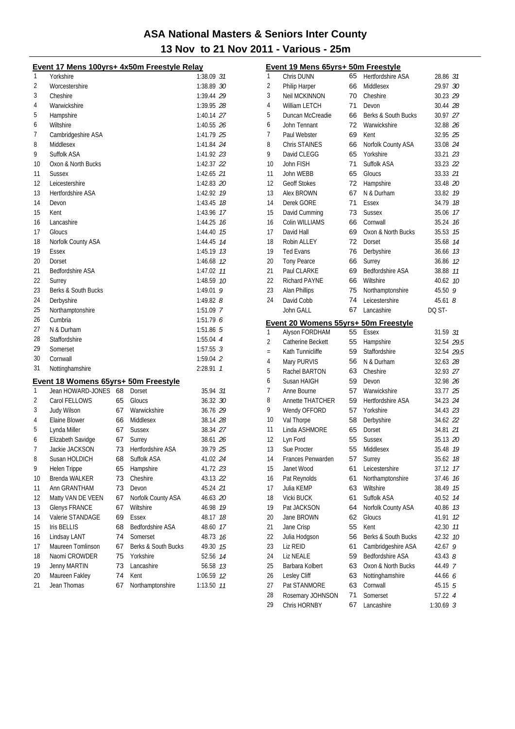|    | <u> Event 17 Mens 100yrs+ 4x50m Freestyle Relay</u> |    |                     |              |    |
|----|-----------------------------------------------------|----|---------------------|--------------|----|
| 1  | Yorkshire                                           |    |                     | 1:38.09 31   |    |
| 2  | Worcestershire                                      |    |                     | 1:38.89 30   |    |
| 3  | Cheshire                                            |    |                     | 1:39.44 29   |    |
| 4  | Warwickshire                                        |    |                     | 1:39.95 28   |    |
| 5  | Hampshire                                           |    |                     | 1:40.14 27   |    |
| 6  | Wiltshire                                           |    |                     | 1:40.55 26   |    |
| 7  | Cambridgeshire ASA                                  |    |                     | 1:41.79 25   |    |
| 8  | Middlesex                                           |    |                     | 1:41.84 24   |    |
| 9  | Suffolk ASA                                         |    |                     | 1:41.92 23   |    |
| 10 | Oxon & North Bucks                                  |    |                     | 1:42.37 22   |    |
| 11 | <b>Sussex</b>                                       |    |                     | 1:42.65 21   |    |
| 12 | Leicestershire                                      |    |                     | 1:42.83 20   |    |
| 13 | <b>Hertfordshire ASA</b>                            |    |                     | 1:42.92 19   |    |
| 14 | Devon                                               |    |                     | 1:43.45 18   |    |
| 15 | Kent                                                |    |                     | 1:43.96 17   |    |
| 16 | Lancashire                                          |    |                     | 1:44.25 16   |    |
| 17 | Gloucs                                              |    |                     | 1:44.40 75   |    |
| 18 | Norfolk County ASA                                  |    |                     | 1:44.45 74   |    |
| 19 | Essex                                               |    |                     | $1:45.19$ 13 |    |
| 20 | Dorset                                              |    |                     | 1:46.68 12   |    |
| 21 | <b>Bedfordshire ASA</b>                             |    |                     | 1:47.02 11   |    |
| 22 | Surrey                                              |    |                     | 1:48.59 10   |    |
| 23 | Berks & South Bucks                                 |    |                     | 1:49.01      | 9  |
| 24 | Derbyshire                                          |    |                     | 1:49.82 $8$  |    |
| 25 | Northamptonshire                                    |    |                     | $1:51.09$ 7  |    |
| 26 | Cumbria                                             |    |                     | 1:51.796     |    |
| 27 | N & Durham                                          |    |                     | $1:51.86$ 5  |    |
| 28 | Staffordshire                                       |    |                     | 1:55.04 4    |    |
| 29 | Somerset                                            |    |                     | $1:57.55$ 3  |    |
| 30 | Cornwall                                            |    |                     | $1:59.04$ 2  |    |
| 31 | Nottinghamshire                                     |    |                     | 2:28.91 7    |    |
|    | Event 18 Womens 65yrs+ 50m Freestyle                |    |                     |              |    |
| 1  | Jean HOWARD-JONES                                   | 68 | Dorset              | 35.94 31     |    |
| 2  | Carol FELLOWS                                       | 65 | Gloucs              | 36.32 30     |    |
| 3  | <b>Judy Wilson</b>                                  | 67 | Warwickshire        | 36.76 29     |    |
| 4  | Elaine Blower                                       | 66 | Middlesex           | 38.14 28     |    |
| 5  | Lynda Miller                                        | 67 | <b>Sussex</b>       | 38.34 27     |    |
| 6  | Elizabeth Savidge                                   | 67 | Surrey              | 38.61 26     |    |
| 7  | Jackie JACKSON                                      | 73 | Hertfordshire ASA   | 39.79 25     |    |
| 8  | Susan HOLDICH                                       | 68 | Suffolk ASA         | 41.02 24     |    |
| 9  | Helen Trippe                                        | 65 | Hampshire           | 41.72 23     |    |
| 10 | Brenda WALKER                                       | 73 | Cheshire            | 43.13 22     |    |
| 11 | Ann GRANTHAM                                        | 73 | Devon               | 45.24 21     |    |
| 12 | Matty VAN DE VEEN                                   | 67 | Norfolk County ASA  | 46.63 20     |    |
| 13 | <b>Glenys FRANCE</b>                                | 67 | Wiltshire           | 46.98 19     |    |
| 14 | Valerie STANDAGE                                    | 69 | <b>Essex</b>        | 48.17        | 18 |
| 15 | Iris BELLIS                                         | 68 | Bedfordshire ASA    | 48.60 17     |    |
| 16 | Lindsay LANT                                        | 74 | Somerset            | 48.73 16     |    |
| 17 | Maureen Tomlinson                                   | 67 | Berks & South Bucks | 49.30 15     |    |
| 18 | Naomi CROWDER                                       | 75 | Yorkshire           | 52.56 74     |    |
| 19 | Jenny MARTIN                                        | 73 | Lancashire          | 56.58 73     |    |
| 20 | Maureen Fakley                                      | 74 | Kent                | 1:06.59 12   |    |
| 21 | Jean Thomas                                         | 67 | Northamptonshire    | 1:13.50 11   |    |

|                | Event 19 Mens 65yrs+ 50m Freestyle   |    |                          |            |    |
|----------------|--------------------------------------|----|--------------------------|------------|----|
| 1              | Chris DUNN                           | 65 | <b>Hertfordshire ASA</b> | 28.86 31   |    |
| $\overline{2}$ | <b>Philip Harper</b>                 | 66 | Middlesex                | 29.97 30   |    |
| 3              | Neil MCKINNON                        | 70 | Cheshire                 | 30.23 29   |    |
| 4              | William LETCH                        | 71 | Devon                    | 30.44 28   |    |
| 5              | Duncan McCreadie                     | 66 | Berks & South Bucks      | 30.97 27   |    |
| 6              | John Tennant                         | 72 | Warwickshire             | 32.88 26   |    |
| 7              | Paul Webster                         | 69 | Kent                     | 32.95 25   |    |
| 8              | Chris STAINES                        | 66 | Norfolk County ASA       | 33.08 24   |    |
| 9              | David CLEGG                          | 65 | Yorkshire                | 33.21 23   |    |
| 10             | John FISH                            | 71 | Suffolk ASA              | 33.23 22   |    |
| 11             | John WEBB                            | 65 | Gloucs                   | 33.33 21   |    |
| 12             | <b>Geoff Stokes</b>                  | 72 | Hampshire                | 33.48 20   |    |
| 13             | Alex BROWN                           | 67 | N & Durham               | 33.82 19   |    |
| 14             | Derek GORE                           | 71 | Essex                    | 34.79 18   |    |
| 15             | David Cumming                        | 73 | <b>Sussex</b>            | 35.06 17   |    |
| 16             | Colin WILLIAMS                       | 66 | Cornwall                 | 35.24 16   |    |
| 17             | David Hall                           | 69 | Oxon & North Bucks       | 35.53 75   |    |
| 18             | Robin ALLEY                          | 72 | Dorset                   | 35.68 74   |    |
| 19             | <b>Ted Evans</b>                     | 76 | Derbyshire               | 36.66 73   |    |
| 20             | <b>Tony Pearce</b>                   | 66 | Surrey                   | 36.86 12   |    |
| 21             | Paul CLARKE                          | 69 | Bedfordshire ASA         | 38.88      | 11 |
| 22             | <b>Richard PAYNE</b>                 | 66 | Wiltshire                | 40.62      | 10 |
| 23             | Alan Phillips                        | 75 | Northamptonshire         | 45.50 9    |    |
| 24             | David Cobb                           | 74 | Leicestershire           | 45.61      | 8  |
|                | John GALL                            | 67 | Lancashire               | DQ ST-     |    |
|                | Event 20 Womens 55yrs+ 50m Freestyle |    |                          |            |    |
| 1              | Alyson FORDHAM                       | 55 | <b>Essex</b>             | 31.59 31   |    |
| $\overline{2}$ | Catherine Beckett                    | 55 | Hampshire                | 32.54 29.5 |    |
| $=$            | Kath Tunnicliffe                     | 59 | Staffordshire            | 32.54 29.5 |    |
| 4              | Mary PURVIS                          | 56 | N & Durham               | 32.63 28   |    |
| 5              | Rachel BARTON                        | 63 | Cheshire                 | 32.93 27   |    |
| 6              | Susan HAIGH                          | 59 | Devon                    | 32.98 26   |    |
| 7              | Anne Bourne                          | 57 | Warwickshire             | 33.77 25   |    |
| 8              | Annette THATCHER                     | 59 | <b>Hertfordshire ASA</b> | 34.23 24   |    |
| 9              | Wendy OFFORD                         | 57 | Yorkshire                | 34.43 23   |    |
| 10             | Val Thorpe                           | 58 | Derbyshire               | 34.62 22   |    |
| 11             | Linda ASHMORE                        | 65 | Dorset                   | 34.81 21   |    |
| 12             | Lyn Ford                             | 55 | <b>Sussex</b>            | 35.13 20   |    |
| 13             | Sue Procter                          | 55 | Middlesex                | 35.48 19   |    |
| 14             | Frances Penwarden                    | 57 | Surrey                   | 35.62 18   |    |
| 15             | Janet Wood                           | 61 | Leicestershire           | 37.12      | 17 |
| 16             |                                      |    |                          |            |    |
|                | Pat Reynolds                         | 61 | Northamptonshire         | 37.46      | 16 |
| 17             | Julia KEMP                           | 63 | Wiltshire                | 38.49      | 15 |
| 18             | Vicki BUCK                           | 61 | Suffolk ASA              | 40.52 14   |    |
| 19             | Pat JACKSON                          | 64 | Norfolk County ASA       | 40.86 73   |    |
| 20             | Jane BROWN                           | 62 | Gloucs                   | 41.91      | 12 |
| 21             | Jane Crisp                           | 55 | Kent                     | 42.30      | 11 |
| 22             | Julia Hodgson                        | 56 | Berks & South Bucks      | 42.32      | 10 |
| 23             | Liz REID                             | 61 | Cambridgeshire ASA       | 42.67      | 9  |
| 24             | Liz NEALE                            | 59 | <b>Bedfordshire ASA</b>  | 43.438     |    |
| 25             | Barbara Kolbert                      | 63 | Oxon & North Bucks       | 44.49 7    |    |
| 26             | Lesley Cliff                         | 63 | Nottinghamshire          | 44.66 6    |    |
| 27             | Pat STANMORE                         | 63 | Cornwall                 | 45.15 5    |    |
| 28             | Rosemary JOHNSON                     | 71 | Somerset                 | 57.22 4    |    |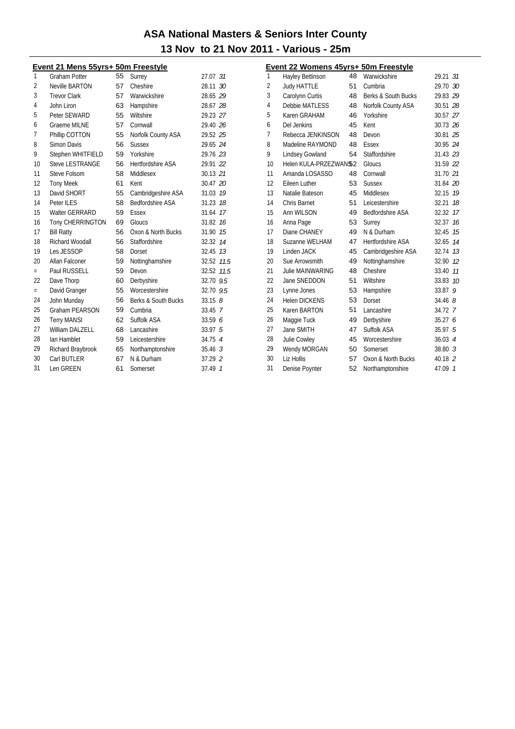#### Event 21 Mens 55yrs+ 50m Freestyle

| 1              | <b>Graham Potter</b>    | 55 | Surrey                   | 27.07 31           |                |
|----------------|-------------------------|----|--------------------------|--------------------|----------------|
| $\overline{2}$ | Neville BARTON          | 57 | Cheshire                 | 28.11 30           |                |
| 3              | <b>Trevor Clark</b>     | 57 | Warwickshire             | 28.65 29           |                |
| 4              | John Liron              | 63 | Hampshire                | 28.67 28           |                |
| 5              | Peter SEWARD            | 55 | Wiltshire                | 29.23 27           |                |
| 6              | <b>Graeme MILNE</b>     | 57 | Cornwall                 | 29.40 26           |                |
| 7              | Phillip COTTON          | 55 | Norfolk County ASA       | 29.52 25           |                |
| 8              | Simon Davis             | 56 | <b>Sussex</b>            | 29.65 24           |                |
| 9              | Stephen WHITFIELD       | 59 | Yorkshire                | 29.76 23           |                |
| 10             | <b>Steve LESTRANGE</b>  | 56 | <b>Hertfordshire ASA</b> | 29.91 22           |                |
| 11             | Steve Folsom            | 58 | Middlesex                | 30.13 21           |                |
| 12             | <b>Tony Meek</b>        | 61 | Kent                     | 30.47 20           |                |
| 13             | David SHORT             | 55 | Cambridgeshire ASA       | 31.03              | - 19           |
| 14             | Peter ILES              | 58 | <b>Bedfordshire ASA</b>  | 31.23              | 18             |
| 15             | <b>Walter GERRARD</b>   | 59 | Essex                    | 31.64              | 17             |
| 16             | <b>Tony CHERRINGTON</b> | 69 | Gloucs                   | 31.82              | 16             |
| 17             | <b>Bill Ratty</b>       | 56 | Oxon & North Bucks       | 31.90              | 15             |
| 18             | Richard Woodall         | 56 | Staffordshire            | 32.32              | 14             |
| 19             | Les JESSOP              | 58 | Dorset                   | 32.45              | 13             |
| 20             | Allan Falconer          | 59 | Nottinghamshire          | 32.52 11.5         |                |
| $=$            | Paul RUSSELL            | 59 | Devon                    | 32.52              | 11.5           |
| 22             | Dave Thorp              | 60 | Derbyshire               | 32.70 9.5          |                |
| $=$            | David Granger           | 55 | Worcestershire           | 32.70 9.5          |                |
| 24             | John Munday             | 56 | Berks & South Bucks      | $33.15$ $8$        |                |
| 25             | <b>Graham PEARSON</b>   | 59 | Cumbria                  | 33.45 7            |                |
| 26             | <b>Terry MANSI</b>      | 62 | Suffolk ASA              | 33.596             |                |
| 27             | <b>William DALZELL</b>  | 68 | Lancashire               | 33.97 5            |                |
| 28             | Ian Hamblet             | 59 | Leicestershire           | 34.75              | $\overline{4}$ |
| 29             | Richard Braybrook       | 65 | Northamptonshire         | 35.46 <sup>3</sup> |                |
| 30             | Carl BUTLER             | 67 | N & Durham               | 37.29 2            |                |
| 31             | Len GREEN               | 61 | Somerset                 | 37.49 7            |                |
|                |                         |    |                          |                    |                |

| <b>Event 22 Womens 45yrs+ 50m Freestyle</b> |                        |    |                         |                    |  |
|---------------------------------------------|------------------------|----|-------------------------|--------------------|--|
| $\mathbf{1}$                                | Hayley Bettinson       | 48 | Warwickshire            | 29.21 31           |  |
| $\overline{2}$                              | <b>Judy HATTLE</b>     | 51 | Cumbria                 | 29.70 30           |  |
| 3                                           | Carolynn Curtis        | 48 | Berks & South Bucks     | 29.83 29           |  |
| 4                                           | Debbie MATLESS         | 48 | Norfolk County ASA      | 30.51 28           |  |
| 5                                           | Karen GRAHAM           | 46 | Yorkshire               | 30.57 27           |  |
| 6                                           | Del Jenkins            | 45 | Kent                    | 30.73 26           |  |
| 7                                           | Rebecca JENKINSON      | 48 | Devon                   | 30.81 25           |  |
| 8                                           | Madeline RAYMOND       | 48 | Essex                   | 30.95 24           |  |
| 9                                           | <b>Lindsey Gowland</b> | 54 | Staffordshire           | 31.43 23           |  |
| 10                                          | Helen KULA-PRZEZWAN\$2 |    | Gloucs                  | 31.59 22           |  |
| 11                                          | Amanda LOSASSO         | 48 | Cornwall                | 31.70 21           |  |
| 12                                          | Eileen Luther          | 53 | <b>Sussex</b>           | 31.84 20           |  |
| 13                                          | Natalie Bateson        | 45 | Middlesex               | 32.15 19           |  |
| 14                                          | Chris Barnet           | 51 | Leicestershire          | 32.21<br>18        |  |
| 15                                          | Ann WILSON             | 49 | <b>Bedfordshire ASA</b> | 32.32<br>17        |  |
| 16                                          | Anna Page              | 53 | Surrey                  | 32.37<br>16        |  |
| 17                                          | Diane CHANEY           | 49 | N & Durham              | 32.45<br>15        |  |
| 18                                          | Suzanne WELHAM         | 47 | Hertfordshire ASA       | 32.65<br>14        |  |
| 19                                          | Linden JACK            | 45 | Cambridgeshire ASA      | 32.74 13           |  |
| 20                                          | Sue Arrowsmith         | 49 | Nottinghamshire         | 32.90 12           |  |
| 21                                          | Julie MAINWARING       | 48 | Cheshire                | 11<br>33.40        |  |
| 22                                          | Jane SNEDDON           | 51 | Wiltshire               | 33.83<br>10        |  |
| 23                                          | Lynne Jones            | 53 | Hampshire               | 33.879             |  |
| 24                                          | <b>Helen DICKENS</b>   | 53 | Dorset                  | 34.468             |  |
| 25                                          | Karen BARTON           | 51 | Lancashire              | 34.72 7            |  |
| 26                                          | Maggie Tuck            | 49 | Derbyshire              | 35.27 6            |  |
| 27                                          | Jane SMITH             | 47 | Suffolk ASA             | 35.97 5            |  |
| 28                                          | Julie Cowley           | 45 | Worcestershire          | 36.03 4            |  |
| 29                                          | Wendy MORGAN           | 50 | Somerset                | 38.80 <sup>3</sup> |  |
| 30                                          | Liz Hollis             | 57 | Oxon & North Bucks      | 40.18 2            |  |
| 31                                          | Denise Poynter         | 52 | Northamptonshire        | 47.09 1            |  |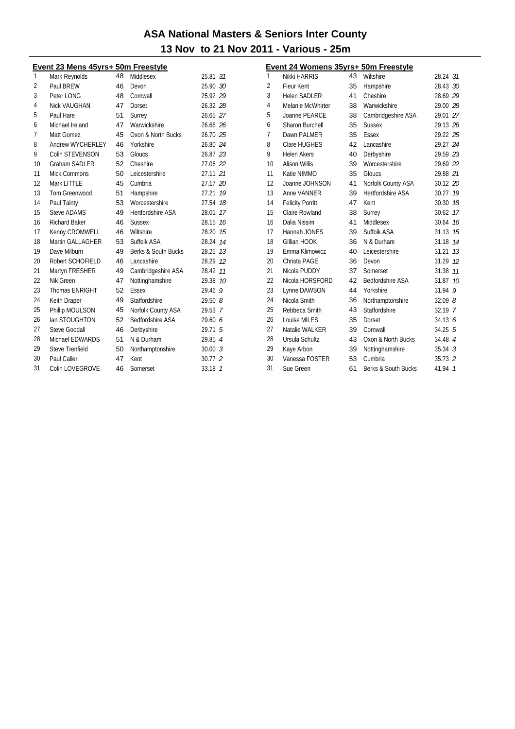| Event 23 Mens 45yrs+ 50m Freestyle |                        |    |                         |          |                |
|------------------------------------|------------------------|----|-------------------------|----------|----------------|
| 1                                  | Mark Reynolds          | 48 | Middlesex               | 25.81 31 |                |
| 2                                  | Paul BREW              | 46 | Devon                   | 25.90 30 |                |
| 3                                  | Peter LONG             | 48 | Cornwall                | 25.92 29 |                |
| 4                                  | <b>Nick VAUGHAN</b>    | 47 | Dorset                  | 26.32 28 |                |
| 5                                  | Paul Hare              | 51 | Surrey                  | 26.65 27 |                |
| 6                                  | Michael Ireland        | 47 | Warwickshire            | 26.66 26 |                |
| 7                                  | Matt Gomez             | 45 | Oxon & North Bucks      | 26.70 25 |                |
| 8                                  | Andrew WYCHERLEY       | 46 | Yorkshire               | 26.80 24 |                |
| 9                                  | Colin STEVENSON        | 53 | Gloucs                  | 26.87 23 |                |
| 10                                 | <b>Graham SADLER</b>   | 52 | Cheshire                | 27.06 22 |                |
| 11                                 | Mick Commons           | 50 | Leicestershire          | 27.11 21 |                |
| 12                                 | Mark LITTLE            | 45 | Cumbria                 | 27.17 20 |                |
| 13                                 | Tom Greenwood          | 51 | Hampshire               | 27.21    | 19             |
| 14                                 | Paul Tainty            | 53 | Worcestershire          | 27.54    | 18             |
| 15                                 | <b>Steve ADAMS</b>     | 49 | Hertfordshire ASA       | 28.01    | 17             |
| 16                                 | <b>Richard Baker</b>   | 46 | <b>Sussex</b>           | 28.15    | 16             |
| 17                                 | Kenny CROMWELL         | 46 | Wiltshire               | 28.20    | 15             |
| 18                                 | Martin GALLAGHER       | 53 | Suffolk ASA             | 28.24    | 14             |
| 19                                 | Dave Milburn           | 49 | Berks & South Bucks     | 28.25    | 13             |
| 20                                 | Robert SCHOFIELD       | 46 | Lancashire              | 28.29    | 12             |
| 21                                 | Martyn FRESHER         | 49 | Cambridgeshire ASA      | 28.42    | 11             |
| 22                                 | Nik Green              | 47 | Nottinghamshire         | 29.38    | 10             |
| 23                                 | <b>Thomas ENRIGHT</b>  | 52 | Essex                   | 29.469   |                |
| 24                                 | Keith Draper           | 49 | Staffordshire           | 29.508   |                |
| 25                                 | Phillip MOULSON        | 45 | Norfolk County ASA      | 29.53 7  |                |
| 26                                 | lan STOUGHTON          | 52 | <b>Bedfordshire ASA</b> | 29.60 6  |                |
| 27                                 | <b>Steve Goodall</b>   | 46 | Derbyshire              | 29.71    | - 5            |
| 28                                 | Michael EDWARDS        | 51 | N & Durham              | 29.85 4  |                |
| 29                                 | <b>Steve Trenfield</b> | 50 | Northamptonshire        | 30.003   |                |
| 30                                 | Paul Caller            | 47 | Kent                    | 30.77 2  |                |
| 31                                 | Colin LOVEGROVE        | 46 | Somerset                | 33.18    | $\overline{1}$ |

| Event 24 Womens 35yrs+ 50m Freestyle |                         |    |                      |             |                 |
|--------------------------------------|-------------------------|----|----------------------|-------------|-----------------|
| 1                                    | Nikki HARRIS            | 43 | Wiltshire            | 28.24 31    |                 |
| 2                                    | <b>Fleur Kent</b>       | 35 | Hampshire            | 28.43 30    |                 |
| 3                                    | <b>Helen SADLER</b>     | 41 | Cheshire             | 28.69 29    |                 |
| 4                                    | Melanie McWhirter       | 38 | Warwickshire         | 29.00 28    |                 |
| 5                                    | Joanne PEARCE           | 38 | Cambridgeshire ASA   | 29.01 27    |                 |
| 6                                    | Sharon Burchell         | 35 | <b>Sussex</b>        | 29.13 26    |                 |
| 7                                    | Dawn PALMER             | 35 | <b>Essex</b>         | 29.22 25    |                 |
| 8                                    | Clare HUGHES            | 42 | Lancashire           | 29.27 24    |                 |
| 9                                    | <b>Helen Akers</b>      | 40 | Derbyshire           | 29.59 23    |                 |
| 10                                   | <b>Alison Willis</b>    | 39 | Worcestershire       | 29.69 22    |                 |
| 11                                   | Katie NIMMO             | 35 | Gloucs               | 29.88 21    |                 |
| 12                                   | Joanne JOHNSON          | 41 | Norfolk County ASA   | 30.12 20    |                 |
| 13                                   | Anne VANNER             | 39 | Hertfordshire ASA    | 30.27       | 19              |
| 14                                   | <b>Felicity Porritt</b> | 47 | Kent                 | 30.30       | 18              |
| 15                                   | Claire Rowland          | 38 | Surrey               | 30.62       | 17              |
| 16                                   | Dalia Nissim            | 41 | Middlesex            | 30.64       | 16              |
| 17                                   | Hannah JONES            | 39 | Suffolk ASA          | 31.13       | 15              |
| 18                                   | Gillian HOOK            | 36 | N & Durham           | 31.18 14    |                 |
| 19                                   | Emma Klimowicz          | 40 | Leicestershire       | 31.21       | 13              |
| 20                                   | Christa PAGE            | 36 | Devon                | 31.29       | 12              |
| 21                                   | Nicola PUDDY            | 37 | Somerset             | 31.38       | 11              |
| 22                                   | Nicola HORSFORD         | 42 | Bedfordshire ASA     | 31.87       | 10 <sup>2</sup> |
| 23                                   | Lynne DAWSON            | 44 | Yorkshire            | 31.94       | 9               |
| 24                                   | Nicola Smith            | 36 | Northamptonshire     | 32.098      |                 |
| 25                                   | Rebbeca Smith           | 43 | <b>Staffordshire</b> | 32.19 7     |                 |
| 26                                   | Louise MILES            | 35 | Dorset               | 34.13 6     |                 |
| 27                                   | Natalie WALKER          | 39 | Cornwall             | 34.25 5     |                 |
| 28                                   | Ursula Schultz          | 43 | Oxon & North Bucks   | 34.48 4     |                 |
| 29                                   | Kaye Arbon              | 39 | Nottinghamshire      | $35.34 \t3$ |                 |
| 30                                   | Vanessa FOSTER          | 53 | Cumbria              | $35.73 \t2$ |                 |
| 31                                   | Sue Green               | 61 | Berks & South Bucks  | 41.94       | $\overline{1}$  |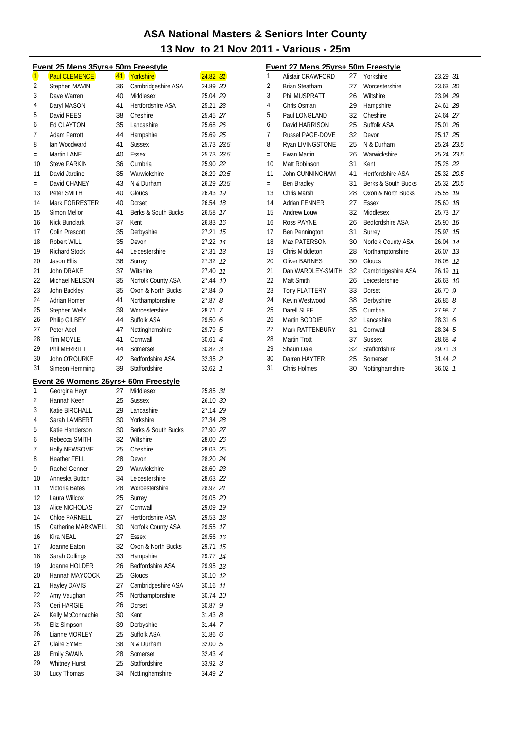|                         | Event 25 Mens 35yrs+ 50m Freestyle   |    |                                  |                    |    |
|-------------------------|--------------------------------------|----|----------------------------------|--------------------|----|
| $\overline{\mathbf{1}}$ | <b>Paul CLEMENCE</b>                 |    | 41 Yorkshire                     | $24.82$ 31         |    |
| 2                       | <b>Stephen MAVIN</b>                 | 36 | Cambridgeshire ASA               | 24.89 30           |    |
| 3                       | Dave Warren                          | 40 | Middlesex                        | 25.04 29           |    |
| 4                       | Daryl MASON                          | 41 | <b>Hertfordshire ASA</b>         | 25.21 28           |    |
| 5                       | David REES                           | 38 | Cheshire                         | 25.45 27           |    |
| 6                       | Ed CLAYTON                           | 35 | Lancashire                       | 25.68 26           |    |
| 7                       | Adam Perrott                         | 44 | Hampshire                        | 25.69 25           |    |
| 8                       | Ian Woodward                         | 41 | <b>Sussex</b>                    | 25.73 23.5         |    |
| $=$                     | Martin LANE                          | 40 | Essex                            | 25.73 23.5         |    |
| 10                      | <b>Steve PARKIN</b>                  | 36 | Cumbria                          | 25.90 22           |    |
| 11                      | David Jardine                        | 35 | Warwickshire                     | 26.29 20.5         |    |
| $=$                     | David CHANEY                         | 43 | N & Durham                       | 26.29 20.5         |    |
| 13                      | Peter SMITH                          | 40 | Gloucs                           | 26.43              | 19 |
| 14                      | Mark FORRESTER                       | 40 | Dorset                           | 26.54              | 18 |
| 15                      | Simon Mellor                         | 41 | Berks & South Bucks              | 26.58              | 17 |
| 16                      | <b>Nick Bunclark</b>                 | 37 | Kent                             | 26.83              | 16 |
| 17                      | Colin Prescott                       | 35 | Derbyshire                       | 27.21              | 15 |
| 18                      | Robert WILL                          | 35 | Devon                            | 27.22              | 14 |
| 19                      | <b>Richard Stock</b>                 | 44 | Leicestershire                   | 27.31              | 13 |
| 20                      | Jason Ellis                          | 36 | Surrey                           | 27.32 12           |    |
| 21                      | <b>John DRAKE</b>                    | 37 | Wiltshire                        | 27.40              | 11 |
| 22                      | Michael NELSON                       | 35 | Norfolk County ASA               | 27.44              | 10 |
| 23                      | John Buckley                         | 35 | Oxon & North Bucks               | 27.84              | 9  |
| 24                      | Adrian Homer                         | 41 | Northamptonshire                 | 27.878             |    |
| 25                      | Stephen Wells                        | 39 | Worcestershire                   | 28.71 7            |    |
| 26                      | Philip GILBEY                        | 44 | Suffolk ASA                      | 29.50 6            |    |
| 27                      | Peter Abel                           | 47 | Nottinghamshire                  | 29.79 5            |    |
| 28                      | <b>Tim MOYLE</b>                     | 41 | Cornwall                         | 30.614             |    |
| 29                      | Phil MERRITT                         | 44 | Somerset                         | $30.82 \t3$        |    |
| 30                      | John O'ROURKE                        | 42 | Bedfordshire ASA                 | 32.35 2            |    |
| 31                      | Simeon Hemming                       | 39 | Staffordshire                    | 32.62 1            |    |
|                         |                                      |    |                                  |                    |    |
|                         | Event 26 Womens 25yrs+ 50m Freestyle |    |                                  |                    |    |
| 1                       | Georgina Heyn                        | 27 | Middlesex                        | 25.85 31           |    |
| 2                       | Hannah Keen                          | 25 | <b>Sussex</b>                    | 26.10 30           |    |
| 3                       | Katie BIRCHALL                       | 29 | Lancashire                       | 27.14 29           |    |
| 4                       | Sarah LAMBERT                        | 30 | Yorkshire                        | 27.34 28           |    |
| 5                       | Katie Henderson                      | 30 | Berks & South Bucks              | 27.90 27           |    |
| 6                       | Rebecca SMITH                        | 32 | Wiltshire                        | 28.00 26           |    |
| 7                       | Holly NEWSOME                        | 25 | Cheshire                         | 28.03 25           |    |
| 8                       | Heather FELL                         | 28 | Devon                            | 28.20 24           |    |
| 9                       | Rachel Genner                        | 29 | Warwickshire                     | 28.60 23           |    |
| 10                      | Anneska Button                       | 34 | Leicestershire                   | 28.63 22           |    |
| 11                      | Victoria Bates                       | 28 | Worcestershire                   | 28.92 21           |    |
| 12                      | Laura Willcox                        | 25 | Surrey                           | 29.05 20           |    |
| 13                      | Alice NICHOLAS                       | 27 | Cornwall                         | 29.09 19           |    |
| 14                      | Chloe PARNELL                        | 27 | Hertfordshire ASA                | 29.53              | 18 |
| 15                      | Catherine MARKWELL                   | 30 | Norfolk County ASA               | 29.55              | 17 |
| 16                      | Kira NEAL                            | 27 | <b>Essex</b>                     | 29.56              | 16 |
| 17                      | Joanne Eaton                         | 32 | Oxon & North Bucks               | 29.71              | 15 |
| 18                      | Sarah Collings                       | 33 | Hampshire                        | 29.77              | 14 |
| 19                      | Joanne HOLDER                        | 26 | Bedfordshire ASA                 | 29.95              | 13 |
| 20                      | Hannah MAYCOCK                       | 25 | Gloucs                           | 30.10              | 12 |
| 21                      | Hayley DAVIS                         | 27 | Cambridgeshire ASA               | 30.16              | 11 |
| 22                      |                                      |    |                                  | 30.74              | 10 |
|                         | Amy Vaughan                          | 25 | Northamptonshire                 |                    |    |
| 23                      | Ceri HARGIE                          | 26 | Dorset                           | 30.879             |    |
| 24                      | Kelly McConnachie                    | 30 | Kent                             | $31.43$ $8$        |    |
| 25                      | Eliz Simpson                         | 39 | Derbyshire                       | 31.44 7            |    |
| 26                      | Lianne MORLEY                        | 25 | Suffolk ASA                      | 31.86 <i>6</i>     |    |
| 27                      | Claire SYME                          | 38 | N & Durham                       | 32.00 5            |    |
| 28                      | Emily SWAIN                          | 28 | Somerset                         | 32.43 4            |    |
| 29                      | <b>Whitney Hurst</b><br>Lucy Thomas  | 25 | Staffordshire<br>Nottinghamshire | 33.92 3<br>34.49 2 |    |

|     | Event 27 Mens 25yrs+ 50m Freestyle |    |                          |                    |                |
|-----|------------------------------------|----|--------------------------|--------------------|----------------|
| 1   | Alistair CRAWFORD                  | 27 | Yorkshire                | 23.29 31           |                |
| 2   | <b>Brian Steatham</b>              | 27 | Worcestershire           | 23.63 30           |                |
| 3   | Phil MUSPRATT                      | 26 | Wiltshire                | 23.94 29           |                |
| 4   | Chris Osman                        | 29 | Hampshire                | 24.61 28           |                |
| 5   | Paul LONGLAND                      | 32 | Cheshire                 | 24.64 27           |                |
| 6   | David HARRISON                     | 25 | Suffolk ASA              | 25.01 26           |                |
| 7   | <b>Russel PAGE-DOVE</b>            | 32 | Devon                    | 25.17 25           |                |
| 8   | Ryan LIVINGSTONE                   | 25 | N & Durham               | 25.24 23.5         |                |
| $=$ | <b>Ewan Martin</b>                 | 26 | Warwickshire             | 25.24 23.5         |                |
| 10  | Matt Robinson                      | 31 | Kent                     | 25.26 22           |                |
| 11  | John CUNNINGHAM                    | 41 | <b>Hertfordshire ASA</b> | 25.32 20.5         |                |
| $=$ | Ben Bradley                        | 31 | Berks & South Bucks      | 25.32 20.5         |                |
| 13  | Chris Marsh                        | 28 | Oxon & North Bucks       | 25.55              | 19             |
| 14  | Adrian FENNER                      | 27 | Essex                    | 25.60              | 18             |
| 15  | Andrew Louw                        | 32 | Middlesex                | 25.73              | 17             |
| 16  | Ross PAYNE                         | 26 | <b>Bedfordshire ASA</b>  | 25.90              | 16             |
| 17  | <b>Ben Pennington</b>              | 31 | Surrey                   | 25.97              | 15             |
| 18  | Max PATERSON                       | 30 | Norfolk County ASA       | 26.04              | 14             |
| 19  | Chris Middleton                    | 28 | Northamptonshire         | 26.07              | 1.3            |
| 20  | <b>Oliver BARNES</b>               | 30 | Gloucs                   | 26.08              | 12             |
| 21  | Dan WARDLEY-SMITH                  | 32 | Cambridgeshire ASA       | 26.19              | 11             |
| 22  | Matt Smith                         | 26 | Leicestershire           | 26.63              | 10             |
| 23  | <b>Tony FLATTERY</b>               | 33 | Dorset                   | 26.70 9            |                |
| 24  | Kevin Westwood                     | 38 | Derbyshire               | 26.868             |                |
| 25  | Darell SLEE                        | 35 | Cumbria                  | 27.98 7            |                |
| 26  | Martin BODDIE                      | 32 | Lancashire               | 28.31 6            |                |
| 27  | Mark RATTENBURY                    | 31 | Cornwall                 | 28.34 5            |                |
| 28  | <b>Martin Trott</b>                | 37 | <b>Sussex</b>            | 28.68 4            |                |
| 29  | Shaun Dale                         | 32 | Staffordshire            | $29.71 \text{ } 3$ |                |
| 30  | Darren HAYTER                      | 25 | Somerset                 | 31.44 2            |                |
| 31  | Chris Holmes                       | 30 | Nottinghamshire          | 36.02              | $\overline{1}$ |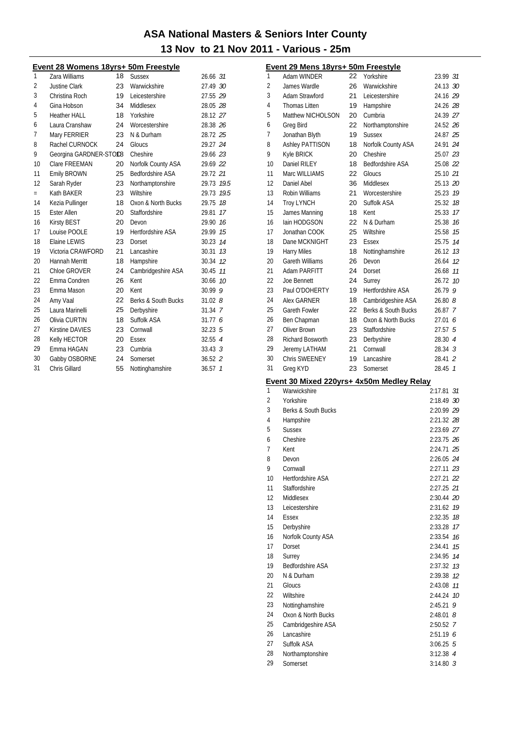Event 29 Mens 18yrs+ 50m Freestyle

| Event 28 Womens 18yrs+ 50m Freestyle |                        |    |                          |                         |  |
|--------------------------------------|------------------------|----|--------------------------|-------------------------|--|
| 1                                    | Zara Williams          | 18 | <b>Sussex</b>            | 26.66 31                |  |
| 2                                    | Justine Clark          | 23 | Warwickshire             | 27.49 30                |  |
| 3                                    | Christina Roch         | 19 | Leicestershire           | 27.55 29                |  |
| 4                                    | Gina Hobson            | 34 | Middlesex                | 28.05 28                |  |
| 5                                    | <b>Heather HALL</b>    | 18 | Yorkshire                | 28.12 27                |  |
| 6                                    | Laura Cranshaw         | 24 | Worcestershire           | 28.38 26                |  |
| 7                                    | Mary FERRIER           | 23 | N & Durham               | 28.72 25                |  |
| 8                                    | Rachel CURNOCK         | 24 | Gloucs                   | 29.27 24                |  |
| 9                                    | Georgina GARDNER-STOC8 |    | Cheshire                 | 29.66 23                |  |
| 10                                   | Clare FREEMAN          | 20 | Norfolk County ASA       | 29.69 22                |  |
| 11                                   | Emily BROWN            | 25 | <b>Bedfordshire ASA</b>  | 29.72 21                |  |
| 12                                   | Sarah Ryder            | 23 | Northamptonshire         | 29.73 19.5              |  |
| $=$                                  | Kath BAKER             | 23 | Wiltshire                | 29.73 19.5              |  |
| 14                                   | Kezia Pullinger        | 18 | Oxon & North Bucks       | 29.75<br>18             |  |
| 15                                   | <b>Ester Allen</b>     | 20 | Staffordshire            | 17<br>29.81             |  |
| 16                                   | <b>Kirsty BEST</b>     | 20 | Devon                    | 16<br>29.90             |  |
| 17                                   | Louise POOLE           | 19 | <b>Hertfordshire ASA</b> | 29.99 15                |  |
| 18                                   | <b>Elaine LEWIS</b>    | 23 | Dorset                   | 30.23 14                |  |
| 19                                   | Victoria CRAWFORD      | 21 | Lancashire               | 30.31 7.3               |  |
| 20                                   | Hannah Merritt         | 18 | Hampshire                | 30.34 12                |  |
| 21                                   | Chloe GROVER           | 24 | Cambridgeshire ASA       | 30.45<br>11             |  |
| 22                                   | Emma Condren           | 26 | Kent                     | 30.66 10                |  |
| 23                                   | Emma Mason             | 20 | Kent                     | 30.999                  |  |
| 24                                   | Amy Vaal               | 22 | Berks & South Bucks      | 31.028                  |  |
| 25                                   | Laura Marinelli        | 25 | Derbyshire               | $31.34$ 7               |  |
| 26                                   | Olivia CURTIN          | 18 | Suffolk ASA              | 31.776                  |  |
| 27                                   | <b>Kirstine DAVIES</b> | 23 | Cornwall                 | 32.23 <sub>5</sub>      |  |
| 28                                   | Kelly HECTOR           | 20 | Essex                    | 32.55 4                 |  |
| 29                                   | Emma HAGAN             | 23 | Cumbria                  | 33.43 <sup>3</sup>      |  |
| 30                                   | Gabby OSBORNE          | 24 | Somerset                 | $36.52$ 2               |  |
| 31                                   | Chris Gillard          | 55 | Nottinghamshire          | 36.57<br>$\overline{1}$ |  |

| 1        | <br>1 U Y I U<br>Adam WINDER              | 22 | <u> 16631 y 16</u><br>Yorkshire | 23.99 31                        |
|----------|-------------------------------------------|----|---------------------------------|---------------------------------|
| 2        | James Wardle                              | 26 | Warwickshire                    | 24.13 30                        |
| 3        | Adam Strawford                            | 21 | Leicestershire                  | 24.16 29                        |
| 4        | <b>Thomas Litten</b>                      | 19 | Hampshire                       | 24.26 28                        |
| 5        | Matthew NICHOLSON                         | 20 | Cumbria                         | 24.39 27                        |
| 6        | Greg Bird                                 | 22 | Northamptonshire                | 24.52 26                        |
| 7        | Jonathan Blyth                            | 19 | <b>Sussex</b>                   | 24.87 25                        |
| 8        | <b>Ashley PATTISON</b>                    | 18 | Norfolk County ASA              | 24.91 24                        |
| 9        | Kyle BRICK                                | 20 | Cheshire                        | 25.07 23                        |
| 10       | Daniel RILEY                              | 18 | <b>Bedfordshire ASA</b>         | 25.08 22                        |
| 11       | Marc WILLIAMS                             | 22 | Gloucs                          | 25.10 21                        |
| 12       | Daniel Abel                               | 36 | Middlesex                       | 25.13 20                        |
| 13       | Robin Williams                            | 21 | Worcestershire                  | 25.23 19                        |
| 14       | <b>Troy LYNCH</b>                         | 20 | Suffolk ASA                     | 25.32 18                        |
| 15       | James Manning                             | 18 | Kent                            | 25.33 17                        |
| 16       | lain HODGSON                              | 22 | N & Durham                      | 25.38 16                        |
| 17       | Jonathan COOK                             | 25 | Wiltshire                       | 25.58 75                        |
| 18       | Dane MCKNIGHT                             | 23 | Essex                           | 25.75<br>14                     |
| 19       | <b>Harry Miles</b>                        | 18 | Nottinghamshire                 | 26.12 13                        |
| 20       | <b>Gareth Williams</b>                    | 26 | Devon                           | 26.64<br>12                     |
| 21       | Adam PARFITT                              | 24 | Dorset                          | 26.68 11                        |
| 22       | Joe Bennett                               | 24 | Surrey                          | 26.72 10                        |
| 23       | Paul O'DOHERTY                            | 19 | <b>Hertfordshire ASA</b>        | 26.79 9                         |
| 24       | <b>Alex GARNER</b>                        | 18 | Cambridgeshire ASA              | 26.808                          |
| 25       | Gareth Fowler                             | 22 | Berks & South Bucks             | 26.87 7                         |
| 26       | Ben Chapman                               | 18 | Oxon & North Bucks              | 27.01<br>6                      |
| 27       | Oliver Brown                              | 23 | Staffordshire                   | 27.57<br>5                      |
| 28       | Richard Bosworth                          | 23 | Derbyshire                      | 28.30 4                         |
| 29       | Jeremy LATHAM                             | 21 | Cornwall                        | $28.34 \t3$                     |
| 30       | <b>Chris SWEENEY</b>                      | 19 | Lancashire                      | 28.41 2                         |
|          |                                           |    |                                 |                                 |
| 31       | Greg KYD                                  | 23 | Somerset                        | 28.45<br>$\overline{1}$         |
|          |                                           |    |                                 |                                 |
|          | Event 30 Mixed 220yrs+ 4x50m Medley Relay |    |                                 |                                 |
| 1        | Warwickshire                              |    |                                 | 2:17.81<br>31                   |
| 2<br>3   | Yorkshire<br>Berks & South Bucks          |    |                                 | 2:18.49 30                      |
| 4        |                                           |    |                                 | 2:20.99 29<br>2:21.32 28        |
| 5        | Hampshire<br><b>Sussex</b>                |    |                                 | 2:23.69 27                      |
| 6        |                                           |    |                                 | 2:23.75 26                      |
| 7        | Cheshire<br>Kent                          |    |                                 | 2:24.71 25                      |
| 8        | Devon                                     |    |                                 |                                 |
| 9        | Cornwall                                  |    |                                 | 2:26.05 <i>24</i><br>2:27.11 23 |
| 10       | Hertfordshire ASA                         |    |                                 | 2:27.21 22                      |
| 11       | Staffordshire                             |    |                                 | 2:27.25 21                      |
| 12       | Middlesex                                 |    |                                 | 2:30.44 20                      |
| 13       | Leicestershire                            |    |                                 | 2:31.62 19                      |
| 14       | Essex                                     |    |                                 | 2:32.35 18                      |
| 15       | Derbyshire                                |    |                                 | 2:33.28 17                      |
| 16       | Norfolk County ASA                        |    |                                 | 2:33.54<br>16                   |
| 17       | Dorset                                    |    |                                 | 2:34.41<br>15                   |
| 18       | Surrey                                    |    |                                 | 2:34.95 74                      |
| 19       | <b>Bedfordshire ASA</b>                   |    |                                 | 2:37.32 73                      |
| 20       | N & Durham                                |    |                                 | 2:39.38 12                      |
| 21       | Gloucs                                    |    |                                 | 2:43.08<br>11                   |
| 22       | Wiltshire                                 |    |                                 | 2:44.24<br>10                   |
| 23       | Nottinghamshire                           |    |                                 | 2:45.21<br>9                    |
| 24       | Oxon & North Bucks                        |    |                                 | $2:48.01$ $8$                   |
| 25       | Cambridgeshire ASA                        |    |                                 | 2:50.52 7                       |
| 26       | Lancashire                                |    |                                 | 2:51.196                        |
| 27<br>28 | Suffolk ASA                               |    |                                 | $3:06.25$ 5<br>3.1238A          |

29 Somerset

 $3:14.80$  3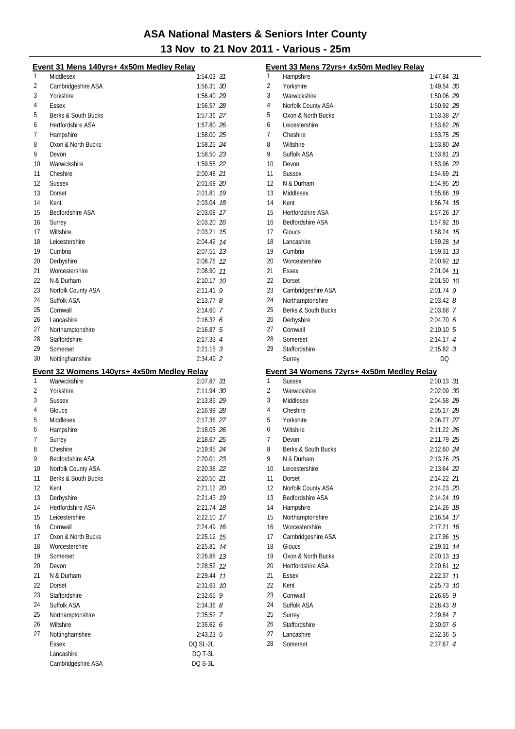|    | Event 31 Mens 140yrs+ 4x50m Medley Relay                   |               |
|----|------------------------------------------------------------|---------------|
| 1  | Middlesex                                                  | 1:54.03 31    |
| 2  | Cambridgeshire ASA                                         | 1:56.31 30    |
| 3  | Yorkshire                                                  | 1:56.40 29    |
| 4  | Essex                                                      | 1:56.57 28    |
| 5  | Berks & South Bucks                                        | 1:57.36 27    |
| 6  | <b>Hertfordshire ASA</b>                                   | 1:57.80 26    |
| 7  | Hampshire                                                  | 1:58.00 25    |
| 8  | Oxon & North Bucks                                         | 1:58.25 24    |
| 9  | Devon                                                      | 1:58.50 23    |
| 10 | Warwickshire                                               | 1:59.55 22    |
| 11 | Cheshire                                                   | 2:00.48 21    |
| 12 | <b>Sussex</b>                                              | 2:01.69 20    |
| 13 | Dorset                                                     | 2:01.81 19    |
| 14 | Kent                                                       | 2:03.04 18    |
| 15 | <b>Bedfordshire ASA</b>                                    | 2:03.08 17    |
| 16 | Surrey                                                     | 2:03.20 16    |
| 17 | Wiltshire                                                  | 2:03.21 15    |
| 18 | Leicestershire                                             | 2:04.42 14    |
| 19 | Cumbria                                                    | 2:07.51 73    |
| 20 | Derbyshire                                                 | 2:08.76 12    |
| 21 | Worcestershire                                             | 2:08.90 11    |
| 22 | N & Durham                                                 | 2:10.17 10    |
| 23 | Norfolk County ASA                                         | $2:11.41$ 9   |
| 24 | Suffolk ASA                                                | $2:13.77$ 8   |
| 25 | Cornwall                                                   | 2:14.60 7     |
| 26 | Lancashire                                                 | 2:16.326      |
| 27 | Northamptonshire                                           | 2:16.875      |
| 28 | Staffordshire                                              | 2:17.33 4     |
| 29 | Somerset                                                   | $2:21.15$ 3   |
| 30 | Nottinghamshire                                            | 2:34.49 2     |
|    |                                                            |               |
|    |                                                            |               |
| 1  | Event 32 Womens 140yrs+ 4x50m Medley Relay<br>Warwickshire | 2:07.87 31    |
| 2  | Yorkshire                                                  | 2:11.94 30    |
| 3  | <b>Sussex</b>                                              | 2:13.85 29    |
| 4  | Gloucs                                                     | 2:16.99 28    |
| 5  | Middlesex                                                  | 2:17.36 27    |
| 6  | Hampshire                                                  | 2:18.05 26    |
| 7  | Surrey                                                     | 2:18.67 25    |
| 8  | Cheshire                                                   | 2:19.95 24    |
| 9  | Bedfordshire ASA                                           | 2:20.01 23    |
| 10 | Norfolk County ASA                                         | 2:20.38 22    |
| 11 | <b>Berks &amp; South Bucks</b>                             | 2:20.50 21    |
| 12 | Kent                                                       | 2:21.12 20    |
| 13 | Derbyshire                                                 | 2:21.43 79    |
| 14 | <b>Hertfordshire ASA</b>                                   | 2:21.74 18    |
| 15 | Leicestershire                                             | 2:22.10 17    |
| 16 | Cornwall                                                   | 2:24.49 16    |
| 17 | Oxon & North Bucks                                         | 2:25.12 15    |
| 18 | Worcestershire                                             | 2:25.81 74    |
| 19 | Somerset                                                   | 2:26.88 13    |
| 20 | Devon                                                      | 2:28.52 12    |
| 21 | N & Durham                                                 | 2:29.44 77    |
| 22 | Dorset                                                     | 2:31.63 10    |
| 23 | Staffordshire                                              | $2:32.65$ 9   |
| 24 | Suffolk ASA                                                | $2:34.36$ $8$ |
| 25 | Northamptonshire                                           | 2:35.52 7     |
| 26 | Wiltshire                                                  | 2:35.626      |
| 27 | Nottinghamshire                                            | $2:43.23$ 5   |
|    | <b>Essex</b>                                               | DQ SL-2L      |
|    | Lancashire                                                 | DQ T-3L       |

|          | Event 33 Mens 72yrs+ 4x50m Medley Relay                    |                          |
|----------|------------------------------------------------------------|--------------------------|
| 1        | Hampshire                                                  | 1:47.84 31               |
| 2        | Yorkshire                                                  | 1:49.54 30               |
| 3        | Warwickshire                                               | 1:50.06 29               |
| 4        | Norfolk County ASA                                         | 1:50.92 28               |
| 5        | Oxon & North Bucks                                         | 1:53.38 27               |
| 6        | Leicestershire                                             | 1:53.62 26               |
| 7        | Cheshire                                                   | 1:53.75 25               |
| 8        | Wiltshire                                                  | 1:53.80 24               |
| 9        | Suffolk ASA                                                | 1:53.81 23               |
| 10       | Devon                                                      | 1:53.96 22               |
| 11       | <b>Sussex</b>                                              | 1:54.69 21               |
| 12       | N & Durham                                                 | 1:54.95 20               |
| 13       | Middlesex                                                  | 1:55.66 19               |
| 14       | Kent                                                       | 1:56.74 78               |
| 15       | <b>Hertfordshire ASA</b>                                   | 1:57.26 17               |
| 16       | <b>Bedfordshire ASA</b>                                    | 1:57.92 76               |
| 17       | Gloucs                                                     | 1:58.24 15               |
| 18<br>19 | Lancashire                                                 | 1:59.28 74               |
| 20       | Cumbria<br>Worcestershire                                  | 1:59.31 73<br>2:00.92 12 |
| 21       | Essex                                                      | 2:01.04 77               |
| 22       | Dorset                                                     | 2:01.50 10               |
| 23       | Cambridgeshire ASA                                         | $2:01.74$ 9              |
| 24       | Northamptonshire                                           | $2:03.42$ 8              |
| 25       | Berks & South Bucks                                        | 2:03.68 7                |
| 26       | Derbyshire                                                 | 2:04.706                 |
| 27       | Cornwall                                                   | $2:10.10 \quad 5$        |
| 28       | Somerset                                                   | $2:14.17$ 4              |
| 29       | Staffordshire                                              | $2:15.82$ 3              |
|          |                                                            |                          |
|          | Surrey                                                     | DQ                       |
|          |                                                            |                          |
| 1        | Event 34 Womens 72yrs+ 4x50m Medley Relay<br><b>Sussex</b> | 2:00.13 31               |
| 2        | Warwickshire                                               | 2:02.09 30               |
| 3        | Middlesex                                                  | 2:04.58 29               |
| 4        | Cheshire                                                   | 2:05.17 28               |
| 5        | Yorkshire                                                  | 2:06.27 27               |
| 6        | Wiltshire                                                  | 2:11.22 26               |
| 7        | Devon                                                      | 2:11.79 25               |
| 8        | Berks & South Bucks                                        | 2:12.60 24               |
| 9        | N & Durham                                                 | 2:13.26 23               |
| 10       | Leicestershire                                             | 2:13.64 22               |
| 11       | Dorset                                                     | 2:14.22 21               |
| 12       | Norfolk County ASA                                         | 2:14.23 20               |
| 13       | <b>Bedfordshire ASA</b>                                    | 2:14.24 19               |
| 14       | Hampshire                                                  | 2:14.26 18               |
| 15       | Northamptonshire                                           | 2:16.54 17               |
| 16       | Worcestershire                                             | $2:17.21$ 16             |
| 17       | Cambridgeshire ASA                                         | 2:17.96 75               |
| 18       | Gloucs                                                     | 14<br>2:19.31            |
| 19       | Oxon & North Bucks                                         | 2:20.13 13               |
| 20       | Hertfordshire ASA                                          | 12<br>2:20.61            |
| 21       | Essex                                                      | 11<br>2:22.37            |
| 22       | Kent                                                       | 2:25.73 10               |
| 23       | Cornwall                                                   | $2:26.65$ 9              |
| 24       | Suffolk ASA                                                | $2:28.43$ $8$            |
| 25<br>26 | Surrey                                                     | 2:29.84 7                |
| 27       | Staffordshire<br>Lancashire                                | 2:30.076<br>$2:32.36$ 5  |
| 28       | Somerset                                                   | $2:37.67$ 4              |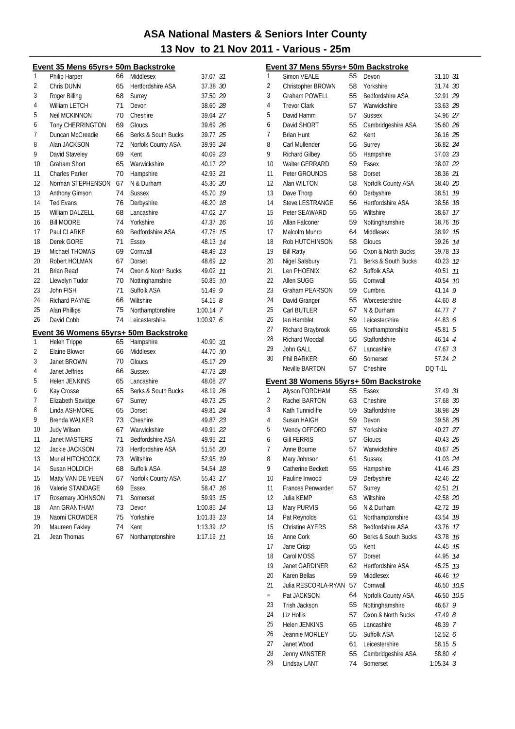Event 37 Mens 55yrs+ 50m Backstroke

| Event 35 Mens 65yrs+ 50m Backstroke |                                       |    |                          |             |    |  |
|-------------------------------------|---------------------------------------|----|--------------------------|-------------|----|--|
| 1                                   | Philip Harper                         | 66 | Middlesex                | 37.07 31    |    |  |
| 2                                   | Chris DUNN                            | 65 | <b>Hertfordshire ASA</b> | 37.38 30    |    |  |
| 3                                   | Roger Billing                         | 68 | Surrey                   | 37.50 29    |    |  |
| 4                                   | <b>William LETCH</b>                  | 71 | Devon                    | 38.60 28    |    |  |
| 5                                   | <b>Neil MCKINNON</b>                  | 70 | Cheshire                 | 39.64 27    |    |  |
| 6                                   | Tony CHERRINGTON                      | 69 | Gloucs                   | 39.69 26    |    |  |
| 7                                   | Duncan McCreadie                      | 66 | Berks & South Bucks      | 39.77 25    |    |  |
| 8                                   | Alan JACKSON                          | 72 | Norfolk County ASA       | 39.96 24    |    |  |
| 9                                   | David Staveley                        | 69 | Kent                     | 40.09 23    |    |  |
| 10                                  | <b>Graham Short</b>                   | 65 | Warwickshire             | 40.17 22    |    |  |
| 11                                  | <b>Charles Parker</b>                 | 70 | Hampshire                | 42.93 21    |    |  |
| 12                                  | Norman STEPHENSON                     | 67 | N & Durham               | 45.30 20    |    |  |
| 13                                  | Anthony Gimson                        | 74 | <b>Sussex</b>            | 45.70 19    |    |  |
| 14                                  | <b>Ted Evans</b>                      | 76 | Derbyshire               | 46.20       | 18 |  |
| 15                                  | <b>William DALZELL</b>                | 68 | Lancashire               | 47.02       | 17 |  |
| 16                                  | <b>Bill MOORE</b>                     | 74 | Yorkshire                | 47.37       | 16 |  |
| 17                                  | Paul CLARKE                           | 69 | <b>Bedfordshire ASA</b>  | 47.78       | 15 |  |
| 18                                  | Derek GORE                            | 71 | Essex                    | 48.13       | 14 |  |
| 19                                  | Michael THOMAS                        | 69 | Cornwall                 | 48.49       | 13 |  |
| 20                                  | Robert HOLMAN                         | 67 | Dorset                   | 48.69       | 12 |  |
| 21                                  | <b>Brian Read</b>                     | 74 | Oxon & North Bucks       | 49.02       | 11 |  |
| 22                                  | Llewelyn Tudor                        | 70 | Nottinghamshire          | 50.85       | 10 |  |
| 23                                  | John FISH                             | 71 | Suffolk ASA              | 51.49       | 9  |  |
| 24                                  | <b>Richard PAYNE</b>                  | 66 | Wiltshire                | 54.15 $8$   |    |  |
| 25                                  | Alan Phillips                         | 75 | Northamptonshire         | $1:00.14$ 7 |    |  |
| 26                                  | David Cobb                            | 74 | Leicestershire           | 1:00.976    |    |  |
|                                     | Event 36 Womens 65yrs+ 50m Backstroke |    |                          |             |    |  |
| 1                                   | Helen Trippe                          | 65 | Hampshire                | 40.90 31    |    |  |
| 2                                   | Elaine Blower                         | 66 | Middlesex                | 44.70 30    |    |  |
| 3                                   | Janet BROWN                           | 70 | Gloucs                   | 45.17 29    |    |  |
| 4                                   | Janet Jeffries                        | 66 | <b>Sussex</b>            | 47.73 28    |    |  |
| 5                                   | Helen JENKINS                         | 65 | Lancashire               | 48.08 27    |    |  |
| 6                                   | Kay Crosse                            | 65 | Berks & South Bucks      | 48.19 26    |    |  |
| 7                                   | Elizabeth Savidge                     | 67 | Surrey                   | 49.73 25    |    |  |
| 8                                   | Linda ASHMORE                         | 65 | Dorset                   | 49.81 24    |    |  |
| 9                                   | <b>Brenda WALKER</b>                  | 73 | Cheshire                 | 49.87 23    |    |  |
| 10                                  | <b>Judy Wilson</b>                    | 67 | Warwickshire             | 49.91 22    |    |  |
| 11                                  | Janet MASTERS                         | 71 | Bedfordshire ASA         | 49.95 21    |    |  |
| 12                                  | Jackie JACKSON                        | 73 | Hertfordshire ASA        | 51.56 20    |    |  |
| 13                                  | Muriel HITCHCOCK                      | 73 | Wiltshire                | 52.95       | 19 |  |
| 14                                  | Susan HOLDICH                         | 68 | Suffolk ASA              | 54.54       | 18 |  |
| 15                                  | Matty VAN DE VEEN                     | 67 | Norfolk County ASA       | 55.43       | 17 |  |
| 16                                  | Valerie STANDAGE                      | 69 | <b>Essex</b>             | 58.47       | 16 |  |
| 17                                  | Rosemary JOHNSON                      | 71 | Somerset                 | 59.93       | 15 |  |
| 18                                  | Ann GRANTHAM                          | 73 | Devon                    | 1:00.85     | 14 |  |
| 19                                  | Naomi CROWDER                         | 75 | Yorkshire                | 1:01.33     | 13 |  |
| 20                                  | Maureen Fakley                        | 74 | Kent                     | 1:13.39     | 12 |  |
| 21                                  | Jean Thomas                           | 67 | Northamptonshire         | 1:17.19     | 11 |  |

| 1              | <b>Simon VEALE</b>                                      | 55 | Devon                          | 31.10 31       |      |
|----------------|---------------------------------------------------------|----|--------------------------------|----------------|------|
| $\overline{2}$ | Christopher BROWN                                       | 58 | Yorkshire                      | 31.74 30       |      |
| 3              | Graham POWELL                                           | 55 | <b>Bedfordshire ASA</b>        | 32.91 29       |      |
| 4              | <b>Trevor Clark</b>                                     | 57 | Warwickshire                   | 33.63 28       |      |
| 5              | David Hamm                                              | 57 | <b>Sussex</b>                  | 34.96 27       |      |
| 6              | David SHORT                                             | 55 | Cambridgeshire ASA             | 35.60 26       |      |
| $\overline{7}$ | <b>Brian Hunt</b>                                       | 62 | Kent                           | 36.16 25       |      |
| 8              | Carl Mullender                                          | 56 | Surrey                         | 36.82 24       |      |
| 9              | <b>Richard Gilbey</b>                                   | 55 | Hampshire                      | 37.03 23       |      |
| 10             | Walter GERRARD                                          | 59 | Essex                          | 38.07 22       |      |
| 11             | Peter GROUNDS                                           | 58 | Dorset                         | 38.36 21       |      |
| 12             | Alan WILTON                                             | 58 | Norfolk County ASA             | 38.40 20       |      |
| 13             | Dave Thorp                                              | 60 | Derbyshire                     | 38.51          | 19   |
| 14             | <b>Steve LESTRANGE</b>                                  | 56 | <b>Hertfordshire ASA</b>       | 38.56 18       |      |
| 15             | Peter SEAWARD                                           | 55 | Wiltshire                      | 38.67          | 17   |
| 16             | Allan Falconer                                          | 59 | Nottinghamshire                | 38.76 16       |      |
| 17             | Malcolm Munro                                           | 64 | Middlesex                      | 38.92 15       |      |
| 18             | Rob HUTCHINSON                                          | 58 | Gloucs                         | 39.26 14       |      |
| 19             | <b>Bill Ratty</b>                                       | 56 | Oxon & North Bucks             | 39.78 13       |      |
| 20             | Nigel Salsbury                                          | 71 | Berks & South Bucks            | 40.23 12       |      |
| 21             | Len PHOENIX                                             | 62 | Suffolk ASA                    | 40.51          | 11   |
| 22             | Allen SUGG                                              | 55 | Cornwall                       | 40.54 10       |      |
|                |                                                         |    |                                |                |      |
| 23             | Graham PEARSON                                          | 59 | Cumbria                        | 41.14 9        |      |
| 24             | David Granger                                           | 55 | Worcestershire                 | 44.60 $8$      |      |
| 25             | Carl BUTLER                                             | 67 | N & Durham                     | 44.77 7        |      |
| 26             | Ian Hamblet                                             | 59 | Leicestershire                 | 44.83 6        |      |
| 27             | Richard Braybrook                                       | 65 | Northamptonshire               | 45.81 5        |      |
| 28             | Richard Woodall                                         | 56 | Staffordshire                  | 46.14 4        |      |
| 29             | John GALL                                               | 67 | Lancashire                     | 47.67 3        |      |
| 30             | <b>Phil BARKER</b>                                      | 60 | Somerset                       | 57.24 2        |      |
|                |                                                         |    | Cheshire                       | <b>DO T-1L</b> |      |
|                | <b>Neville BARTON</b>                                   | 57 |                                |                |      |
|                |                                                         |    |                                |                |      |
| 1              | Event 38 Womens 55yrs+ 50m Backstroke<br>Alyson FORDHAM | 55 | Essex                          | 37.49 31       |      |
| $\overline{2}$ | Rachel BARTON                                           | 63 | Cheshire                       | 37.68 30       |      |
| 3              | Kath Tunnicliffe                                        | 59 | Staffordshire                  | 38.98 29       |      |
| 4              | Susan HAIGH                                             | 59 | Devon                          | 39.58 28       |      |
| 5              |                                                         | 57 | Yorkshire                      | 40.27 27       |      |
|                | Wendy OFFORD<br><b>Gill FERRIS</b>                      |    |                                |                |      |
| 6              |                                                         | 57 | Gloucs                         | 40.43 26       |      |
| 7              | Anne Bourne                                             | 57 | Warwickshire                   | 40.67 25       |      |
| 8              | Mary Johnson                                            | 61 | Sussex                         | 41.03 24       |      |
| 9              | Catherine Beckett                                       | 55 | Hampshire                      | 41.46 23       |      |
| 10             | Pauline Inwood                                          | 59 | Derbyshire                     | 42.46 22       |      |
| 11             | Frances Penwarden                                       | 57 | Surrey                         | 42.51 21       |      |
| 12             | Julia KEMP                                              | 63 | Wiltshire                      | 42.58 20       |      |
| 13             | Mary PURVIS                                             | 56 | N & Durham                     | 42.72          | 19   |
| 14             | Pat Reynolds                                            | 61 | Northamptonshire               | 43.54          | 18   |
| 15             | <b>Christine AYERS</b>                                  | 58 | <b>Bedfordshire ASA</b>        | 43.76          | 17   |
| 16             | Anne Cork                                               | 60 | Berks & South Bucks            | 43.78          | 16   |
| 17             | Jane Crisp                                              | 55 | Kent                           | 44.45          | 15   |
| 18             | Carol MOSS                                              | 57 | Dorset                         | 44.95          | 14   |
| 19             | <b>Janet GARDINER</b>                                   | 62 | Hertfordshire ASA              | 45.25          | 13   |
| 20             | Karen Bellas                                            | 59 | Middlesex                      | 46.46          | 12   |
| 21             | Julia RESCORLA-RYAN                                     | 57 | Cornwall                       | 46.50 10.5     |      |
| $=$            | Pat JACKSON                                             | 64 | Norfolk County ASA             | 46.50          | 10.5 |
| 23             | Trish Jackson                                           | 55 | Nottinghamshire                | 46.67          | 9    |
| 24             | Liz Hollis                                              | 57 | Oxon & North Bucks             | 47.49 8        |      |
| 25             | Helen JENKINS                                           | 65 | Lancashire                     | 48.39 7        |      |
| 26             | Jeannie MORLEY                                          | 55 | Suffolk ASA                    | 52.52 6        |      |
| 27             | Janet Wood                                              | 61 | Leicestershire                 | 58.15 5        |      |
| 28<br>29       | Jenny WINSTER<br>Lindsay LANT                           | 55 | Cambridgeshire ASA<br>Somerset | 58.80 4        |      |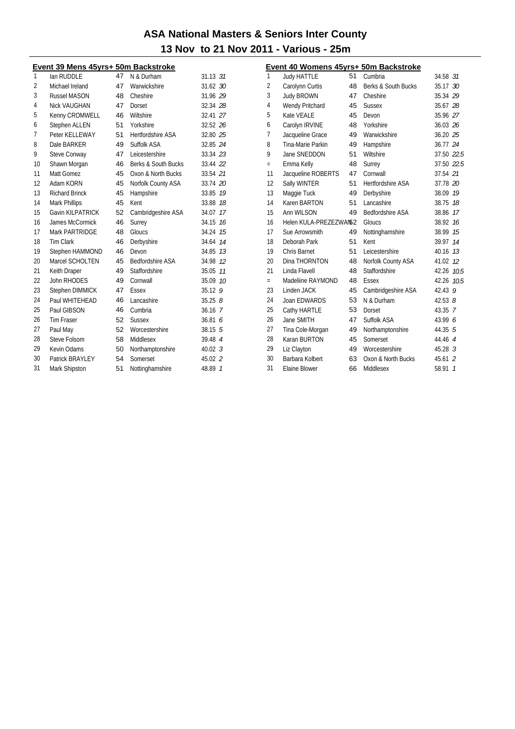|                |                                     |    |                          | 13 NOV TO ZT NOV Z |
|----------------|-------------------------------------|----|--------------------------|--------------------|
|                | Event 39 Mens 45yrs+ 50m Backstroke |    |                          |                    |
| 1              | lan RUDDLE                          | 47 | N & Durham               | $31.13$ $31$       |
| $\overline{2}$ | Michael Ireland                     | 47 | Warwickshire             | 31.62 30           |
| 3              | <b>Russel MASON</b>                 | 48 | Cheshire                 | 31.96 29           |
| 4              | Nick VAUGHAN                        | 47 | Dorset                   | 32.34 28           |
| 5              | Kenny CROMWELL                      | 46 | Wiltshire                | 32.41 27           |
| 6              | Stephen ALLEN                       | 51 | Yorkshire                | 32.52 26           |
| 7              | Peter KELLEWAY                      | 51 | <b>Hertfordshire ASA</b> | 32.80 25           |
| 8              | Dale BARKER                         | 49 | Suffolk ASA              | 32.85 24           |
| 9              | Steve Conway                        | 47 | Leicestershire           | 33.34 23           |
| 10             | Shawn Morgan                        | 46 | Berks & South Bucks      | 33.44 22           |
| 11             | Matt Gomez                          | 45 | Oxon & North Bucks       | 33.54 21           |
| 12             | Adam KORN                           | 45 | Norfolk County ASA       | 33.74 20           |
| 13             | <b>Richard Brinck</b>               | 45 | Hampshire                | 33.85 19           |
| 14             | Mark Phillips                       | 45 | Kent                     | 33.88 18           |
| 15             | <b>Gavin KILPATRICK</b>             | 52 | Cambridgeshire ASA       | 34.07 17           |
| 16             | James McCormick                     | 46 | Surrey                   | 34.15 16           |
| 17             | Mark PARTRIDGE                      | 48 | Gloucs                   | 34.24 15           |
| 18             | <b>Tim Clark</b>                    | 46 | Derbyshire               | 34.64 14           |
| 19             | Stephen HAMMOND                     | 46 | Devon                    | 34.85 73           |
| 20             | Marcel SCHOLTEN                     | 45 | Bedfordshire ASA         | 34.98 12           |
| 21             | Keith Draper                        | 49 | Staffordshire            | 35.05 77           |
| 22             | John RHODES                         | 49 | Cornwall                 | 35.09 10           |
| 23             | Stephen DIMMICK                     | 47 | Essex                    | 35.12 9            |
| 24             | Paul WHITEHEAD                      | 46 | Lancashire               | 35.258             |
| 25             | Paul GIBSON                         | 46 | Cumbria                  | 36.16 7            |
| 26             | Tim Fraser                          | 52 | <b>Sussex</b>            | 36.816             |
| 27             | Paul May                            | 52 | Worcestershire           | $38.15 \quad 5$    |
| 28             | Steve Folsom                        | 58 | Middlesex                | 39.48 4            |
| 29             | Kevin Odams                         | 50 | Northamptonshire         | 40.023             |
| 30             | Patrick BRAYLEY                     | 54 | Somerset                 | 45.02 2            |
| 31             | Mark Shipston                       | 51 | Nottinghamshire          | 48.89 7            |

| Event 40 Womens 45yrs+ 50m Backstroke |                        |    |                         |            |              |  |  |
|---------------------------------------|------------------------|----|-------------------------|------------|--------------|--|--|
| 1                                     | <b>Judy HATTLE</b>     | 51 | Cumbria                 | 34.58 31   |              |  |  |
| 2                                     | Carolynn Curtis        | 48 | Berks & South Bucks     | 35.17 30   |              |  |  |
| 3                                     | <b>Judy BROWN</b>      | 47 | Cheshire                | 35.34 29   |              |  |  |
| 4                                     | Wendy Pritchard        | 45 | <b>Sussex</b>           | 35.67 28   |              |  |  |
| 5                                     | Kate VEALE             | 45 | Devon                   | 35.96 27   |              |  |  |
| 6                                     | Carolyn IRVINE         | 48 | Yorkshire               | 36.03 26   |              |  |  |
| 7                                     | Jacqueline Grace       | 49 | Warwickshire            | 36.20 25   |              |  |  |
| 8                                     | Tina-Marie Parkin      | 49 | Hampshire               | 36.77 24   |              |  |  |
| 9                                     | Jane SNEDDON           | 51 | Wiltshire               | 37.50 22.5 |              |  |  |
| $=$                                   | Emma Kelly             | 48 | Surrey                  | 37.50 22.5 |              |  |  |
| 11                                    | Jacqueline ROBERTS     | 47 | Cornwall                | 37.54 21   |              |  |  |
| 12                                    | Sally WINTER           | 51 | Hertfordshire ASA       | 37.78 20   |              |  |  |
| 13                                    | Maggie Tuck            | 49 | Derbyshire              | 38.09 19   |              |  |  |
| 14                                    | Karen BARTON           | 51 | Lancashire              | 38.75      | 18           |  |  |
| 15                                    | Ann WILSON             | 49 | <b>Bedfordshire ASA</b> | 38.86      | 17           |  |  |
| 16                                    | Helen KULA-PREZEZWAN52 |    | Gloucs                  | 38.92      | 16           |  |  |
| 17                                    | Sue Arrowsmith         | 49 | Nottinghamshire         | 38.99      | 15           |  |  |
| 18                                    | Deborah Park           | 51 | Kent                    | 39.97 14   |              |  |  |
| 19                                    | Chris Barnet           | 51 | Leicestershire          | 40.16      | 13           |  |  |
| 20                                    | Dina THORNTON          | 48 | Norfolk County ASA      | 41.02 12   |              |  |  |
| 21                                    | Linda Flavell          | 48 | Staffordshire           | 42.26 10.5 |              |  |  |
| $=$                                   | Madeliine RAYMOND      | 48 | Essex                   | 42.26      | 10.5         |  |  |
| 23                                    | Linden JACK            | 45 | Cambridgeshire ASA      | 42.43 9    |              |  |  |
| 24                                    | Joan EDWARDS           | 53 | N & Durham              | 42.53 $8$  |              |  |  |
| 25                                    | Cathy HARTLE           | 53 | Dorset                  | 43.35 7    |              |  |  |
| 26                                    | Jane SMITH             | 47 | Suffolk ASA             | 43.99 6    |              |  |  |
| 27                                    | Tina Cole-Morgan       | 49 | Northamptonshire        | 44.35 5    |              |  |  |
| 28                                    | Karan BURTON           | 45 | Somerset                | 44.46 4    |              |  |  |
| 29                                    | Liz Clayton            | 49 | Worcestershire          | $45.28$ 3  |              |  |  |
| 30                                    | Barbara Kolbert        | 63 | Oxon & North Bucks      | 45.61 2    |              |  |  |
| 31                                    | Elaine Blower          | 66 | Middlesex               | 58.91      | $\mathcal I$ |  |  |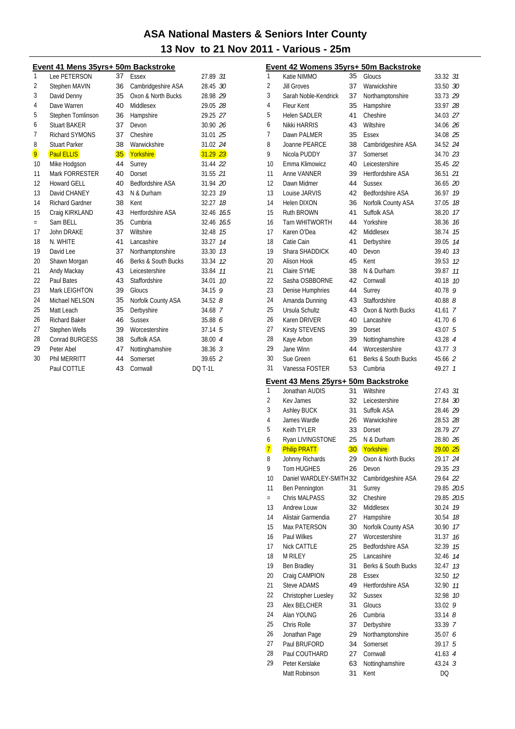#### Event 41 Mens 35vrs+ 50m Backstroke

|     |                        |                 | <u><b><i><u>ACALUMU</u></i></b></u> |                    |      |
|-----|------------------------|-----------------|-------------------------------------|--------------------|------|
| 1   | Lee PETERSON           | 37              | Essex                               | 27.89 31           |      |
| 2   | <b>Stephen MAVIN</b>   | 36              | Cambridgeshire ASA                  | 28.45 30           |      |
| 3   | David Denny            | 35              | Oxon & North Bucks                  | 28.98 29           |      |
| 4   | Dave Warren            | 40              | Middlesex                           | 29.05 28           |      |
| 5   | Stephen Tomlinson      | 36              | Hampshire                           | 29.25 27           |      |
| 6   | <b>Stuart BAKER</b>    | 37              | Devon                               | 30.90 26           |      |
| 7   | <b>Richard SYMONS</b>  | 37              | Cheshire                            | 31.01 25           |      |
| 8   | <b>Stuart Parker</b>   | 38              | Warwickshire                        | 31.02 24           |      |
| 9   | <b>Paul ELLIS</b>      | 35 <sup>2</sup> | Yorkshire                           | $31.29$ $23$       |      |
| 10  | Mike Hodgson           | 44              | Surrey                              | 31.44 22           |      |
| 11  | Mark FORRESTER         | 40              | Dorset                              | 31.55 21           |      |
| 12  | Howard GELL            | 40              | <b>Bedfordshire ASA</b>             | 31.94 20           |      |
| 13  | David CHANEY           | 43              | N & Durham                          | 32.23              | 19   |
| 14  | <b>Richard Gardner</b> | 38              | Kent                                | 32.27              | 18   |
| 15  | Craig KIRKLAND         | 43              | Hertfordshire ASA                   | 32.46 76.5         |      |
| $=$ | Sam BELL               | 35              | Cumbria                             | 32.46              | 16.5 |
| 17  | John DRAKE             | 37              | Wiltshire                           | 32.48              | 15   |
| 18  | N. WHITE               | 41              | Lancashire                          | 33.27              | 14   |
| 19  | David Lee              | 37              | Northamptonshire                    | 33.30 13           |      |
| 20  | Shawn Morgan           | 46              | Berks & South Bucks                 | 33.34              | 12   |
| 21  | Andy Mackay            | 43              | Leicestershire                      | 33.84              | 11   |
| 22  | Paul Bates             | 43              | Staffordshire                       | 34.01              | 10   |
| 23  | Mark LEIGHTON          | 39              | Gloucs                              | 34.15              | 9    |
| 24  | Michael NELSON         | 35              | Norfolk County ASA                  | 34.528             |      |
| 25  | Matt Leach             | 35              | Derbyshire                          | 34.68 7            |      |
| 26  | <b>Richard Baker</b>   | 46              | <b>Sussex</b>                       | 35.88 6            |      |
| 27  | Stephen Wells          | 39              | Worcestershire                      | 37.14 5            |      |
| 28  | Conrad BURGESS         | 38              | Suffolk ASA                         | 38.00 4            |      |
| 29  | Peter Abel             | 47              | Nottinghamshire                     | 38.36 <sup>3</sup> |      |
| 30  | Phil MERRITT           | 44              | Somerset                            | 39.65 2            |      |
|     | Paul COTTLE            | 43              | Cornwall                            | <b>DO T-1L</b>     |      |

|                     | Event 42 Womens 35yrs+ 50m Backstroke                 |    |                          |                     |    |
|---------------------|-------------------------------------------------------|----|--------------------------|---------------------|----|
| 1                   | Katie NIMMO                                           | 35 | Gloucs                   | 33.32 31            |    |
| $\overline{2}$      | Jill Groves                                           | 37 | Warwickshire             | 33.50 30            |    |
| 3                   | Sarah Noble-Kendrick                                  | 37 | Northamptonshire         | 33.73 29            |    |
| 4                   | Fleur Kent                                            | 35 | Hampshire                | 33.97 28            |    |
| 5                   | <b>Helen SADLER</b>                                   | 41 | Cheshire                 | 34.03 27            |    |
| 6                   | Nikki HARRIS                                          | 43 | Wiltshire                | 34.06 26            |    |
| 7                   | Dawn PALMER                                           | 35 | Essex                    | 34.08 25            |    |
| 8                   | Joanne PEARCE                                         | 38 | Cambridgeshire ASA       | 34.52 24            |    |
| 9                   | Nicola PUDDY                                          | 37 | Somerset                 | 34.70 23            |    |
| 10                  | Emma Klimowicz                                        | 40 | Leicestershire           | 35.45 22            |    |
| 11                  | Anne VANNER                                           | 39 | <b>Hertfordshire ASA</b> | 36.51 21            |    |
| 12                  | Dawn Midmer                                           | 44 | <b>Sussex</b>            | 36.65 20            |    |
| 13                  | Louise JARVIS                                         | 42 | Bedfordshire ASA         | 36.97 19            |    |
| 14                  | Helen DIXON                                           | 36 | Norfolk County ASA       | 37.05 18            |    |
| 15                  | Ruth BROWN                                            | 41 | Suffolk ASA              | 38.20 17            |    |
| 16                  | <b>Tarn WHITWORTH</b>                                 | 44 | Yorkshire                | 38.36 16            |    |
| 17                  | Karen O'Dea                                           | 42 | Middlesex                | 38.74 15            |    |
| 18                  | Catie Cain                                            | 41 | Derbyshire               | 39.05 14            |    |
| 19                  | Shara SHADDICK                                        | 40 | Devon                    | 39.40 73            |    |
| 20                  | Alison Hook                                           | 45 | Kent                     | 39.53 12            |    |
| 21                  | Claire SYME                                           | 38 | N & Durham               | 39.87 11            |    |
| 22                  | Sasha OSBBORNE                                        | 42 | Cornwall                 | 40.18 10            |    |
| 23                  | Denise Humphries                                      | 44 | Surrey                   | 40.78 9             |    |
| 24                  | Amanda Dunning                                        | 43 | Staffordshire            | 40.88 $8$           |    |
| 25                  | Ursula Schultz                                        | 43 | Oxon & North Bucks       | 41.61 7             |    |
| 26                  | Karen DRIVER                                          | 40 | Lancashire               | 41.70 6             |    |
| 27                  | Kirsty STEVENS                                        | 39 | Dorset                   | 43.07 5             |    |
| 28                  | Kaye Arbon                                            | 39 | Nottinghamshire          | 43.28 4             |    |
| 29                  | Jane Winn                                             | 44 | Worcestershire           | 43.77 3             |    |
| 30                  | Sue Green                                             | 61 | Berks & South Bucks      | 45.66 2             |    |
| 31                  | Vanessa FOSTER                                        | 53 | Cumbria                  | 49.27 1             |    |
|                     |                                                       |    |                          |                     |    |
|                     |                                                       |    |                          |                     |    |
| 1                   | Event 43 Mens 25yrs+ 50m Backstroke<br>Jonathan AUDIS | 31 | Wiltshire                | 27.43 31            |    |
| 2                   | Key James                                             | 32 | Leicestershire           | 27.84 30            |    |
| 3                   | Ashley BUCK                                           | 31 | Suffolk ASA              | 28.46 29            |    |
| 4                   | James Wardle                                          | 26 | Warwickshire             | 28.53 28            |    |
| 5                   | Keith TYLER                                           | 33 | Dorset                   | 28.79 27            |    |
| 6                   |                                                       | 25 | N & Durham               | 28.80 26            |    |
|                     | Ryan LIVINGSTONE                                      |    | 30 Yorkshire             |                     |    |
| $\overline{7}$<br>8 | <b>Philip PRATT</b><br>Johnny Richards                | 29 | Oxon & North Bucks       | 29.0025<br>29.17 24 |    |
| 9                   | Tom HUGHES                                            | 26 | Devon                    | 29.35 23            |    |
| 10                  | Daniel WARDLEY-SMITH 32                               |    | Cambridgeshire ASA       | 29.64 <i>22</i>     |    |
| 11                  | Ben Pennington                                        | 31 | Surrey                   | 29.85 20.5          |    |
| $=$                 | <b>Chris MALPASS</b>                                  | 32 | Cheshire                 | 29.85 20.5          |    |
| 13                  | <b>Andrew Louw</b>                                    | 32 | Middlesex                | 30.24 19            |    |
| 14                  | Alistair Garmendia                                    | 27 | Hampshire                | 30.54               | 18 |
| 15                  | <b>Max PATERSON</b>                                   | 30 | Norfolk County ASA       | 30.90               | 17 |
| 16                  | Paul Wilkes                                           | 27 | Worcestershire           | 31.37 16            |    |
| 17                  | <b>Nick CATTLE</b>                                    | 25 | Bedfordshire ASA         | 32.39               | 15 |
| 18                  | <b>M RILEY</b>                                        | 25 | Lancashire               | 32.46 74            |    |
| 19                  |                                                       | 31 | Berks & South Bucks      | 32.47               | 13 |
| 20                  | Ben Bradley<br>Craig CAMPION                          | 28 | Essex                    | 32.50 12            |    |
| 21                  | <b>Steve ADAMS</b>                                    | 49 | Hertfordshire ASA        | 32.90               | 11 |
| 22                  | Christopher Luesley                                   | 32 | <b>Sussex</b>            | 32.98               | 10 |
| 23                  | Alex BELCHER                                          | 31 | Gloucs                   | $33.02$ 9           |    |
| 24                  | Alan YOUNG                                            | 26 | Cumbria                  | 33.148              |    |
| 25                  | Chris Rolle                                           | 37 | Derbyshire               | 33.39 7             |    |
| 26                  | Jonathan Page                                         | 29 | Northamptonshire         | 35.07 <i>6</i>      |    |
| 27                  | Paul BRUFORD                                          | 34 | Somerset                 | 39.17 5             |    |
| 28                  | Paul COUTHARD                                         | 27 | Cornwall                 | 41.63 4             |    |
| 29                  | Peter Kerslake                                        | 63 | Nottinghamshire          | 43.24 <i>3</i>      |    |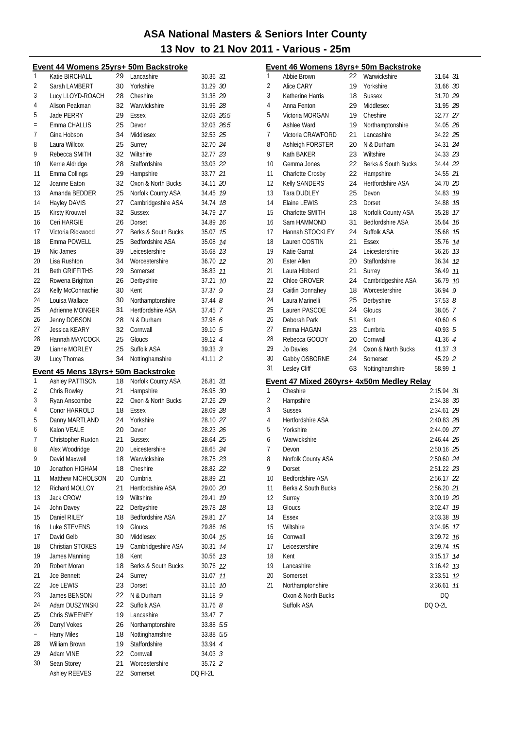|          | <u> Event 44 Womens 25yrs+ 50m Backstroke</u> |          |                            |                     |     |
|----------|-----------------------------------------------|----------|----------------------------|---------------------|-----|
| 1        | Katie BIRCHALL                                | 29       | Lancashire                 | 30.36 31            |     |
| 2        | Sarah LAMBERT                                 | 30       | Yorkshire                  | 31.29 30            |     |
| 3        | Lucy LLOYD-ROACH                              | 28       | Cheshire                   | 31.38 29            |     |
| 4        | Alison Peakman                                | 32       | Warwickshire               | 31.96 28            |     |
| 5        | Jade PERRY                                    | 29       | Essex                      | 32.03 26.5          |     |
| $\equiv$ | Emma CHALLIS                                  | 25       | Devon                      | 32.03 26.5          |     |
| 7        | Gina Hobson                                   | 34       | Middlesex                  | 32.53 25            |     |
| 8        | Laura Willcox                                 | 25       | Surrey                     | 32.70 24            |     |
| 9        | Rebecca SMITH                                 | 32       | Wiltshire                  | 32.77 23            |     |
| 10       | Kerrie Aldridge                               | 28       | Staffordshire              | 33.03 22            |     |
| 11       | Emma Collings                                 | 29       | Hampshire                  | 33.77 21            |     |
| 12       | Joanne Eaton                                  | 32       | Oxon & North Bucks         | 34.11 20            |     |
| 13       | Amanda BEDDER                                 | 25       | Norfolk County ASA         | 34.45 19            |     |
| 14       | Hayley DAVIS                                  | 27       | Cambridgeshire ASA         | 34.74 18            |     |
| 15       | Kirsty Krouwel                                | 32       | <b>Sussex</b>              | 34.79 17            |     |
| 16       | Ceri HARGIE                                   | 26       | Dorset                     | 34.89               | 16  |
| 17       | Victoria Rickwood                             | 27       | Berks & South Bucks        | 35.07               | 15  |
| 18       | Emma POWELL                                   | 25       | <b>Bedfordshire ASA</b>    | 35.08 74            |     |
| 19       | Nic James                                     | 39       | Leicestershire             | 35.68 73            |     |
| 20       | Lisa Rushton                                  | 34       | Worcestershire             | 36.70 12            |     |
| 21       | <b>Beth GRIFFITHS</b>                         | 29       | Somerset                   | 36.83 11            |     |
| 22       | Rowena Brighton                               | 26       | Derbyshire                 | 37.21               | 10  |
| 23       | Kelly McConnachie                             | 30       | Kent                       | 37.37               | 9   |
| 24       | Louisa Wallace                                | 30       | Northamptonshire           | $37.44$ $8$         |     |
| 25       | Adrienne MONGER                               | 31       | <b>Hertfordshire ASA</b>   | 37.45               | - 7 |
| 26       | Jenny DOBSON                                  | 28       | N & Durham                 | 37.98 6             |     |
| 27       | Jessica KEARY                                 | 32       | Cornwall                   | $39.10 \t5$         |     |
| 28       | Hannah MAYCOCK                                | 25       | Gloucs                     | 39.12 4             |     |
| 29       | Lianne MORLEY                                 | 25       | Suffolk ASA                | 39.333              |     |
| 30       | Lucy Thomas                                   | 34       | Nottinghamshire            | 41.11 2             |     |
|          | Event 45 Mens 18yrs+ 50m Backstroke           |          |                            |                     |     |
| 1        | Ashley PATTISON                               | 18       | Norfolk County ASA         | 26.81 31            |     |
| 2        | Chris Rowley                                  | 21       | Hampshire                  | 26.95 30            |     |
| 3        | Ryan Anscombe                                 | 22       | Oxon & North Bucks         | 27.26 29            |     |
| 4        | Conor HARROLD                                 | 18       | Essex                      | 28.09 28            |     |
| 5        | Danny MARTLAND                                | 24       | Yorkshire                  | 28.10 27            |     |
| 6        | Kalon VEALE                                   | 20       | Devon                      | 28.23 26            |     |
| 7        | Christopher Ruxton                            | 21       | <b>Sussex</b>              | 28.64 25            |     |
| 8        | Alex Woodridge                                | 20       | Leicestershire             | 28.65 24            |     |
| 9        | David Maxwell                                 | 18       | Warwickshire               | 28.75 23            |     |
| 10       | Jonathon HIGHAM                               | 18       | Cheshire                   | 28.82 22            |     |
| 11       | Matthew NICHOLSON                             | 20       |                            |                     |     |
| 12       |                                               |          | Cumbria                    | 28.89 21            |     |
|          | Richard MOLLOY                                | 21       | Hertfordshire ASA          | 29.00 20            |     |
| 13       | Jack CROW                                     | 19       | Wiltshire                  | 29.41               | 19  |
| 14       | John Davey                                    | 22       | Derbyshire                 | 29.78 18            |     |
| 15       | Daniel RILEY                                  | 18       | Bedfordshire ASA           | 29.81               | 17  |
| 16       | Luke STEVENS                                  | 19       | Gloucs                     | 29.86               | 16  |
| 17       | David Gelb                                    | 30       | Middlesex                  | 30.04 75            |     |
| 18       | Christian STOKES                              | 19       | Cambridgeshire ASA         | 30.31               | 14  |
| 19       | James Manning                                 | 18       | Kent                       | 30.56 73            |     |
| 20       | Robert Moran                                  | 18       | Berks & South Bucks        | 30.76 12            |     |
| 21       | Joe Bennett                                   | 24       | Surrey                     | 31.07 11            |     |
| 22       | Joe LEWIS                                     | 23       | Dorset                     | 31.16 10            |     |
| 23       | James BENSON                                  | 22       | N & Durham                 | $31.18$ 9           |     |
| 24       | Adam DUSZYNSKI                                | 22       | Suffolk ASA                | 31.768              |     |
| 25       | Chris SWEENEY                                 | 19       | Lancashire                 | 33.47 7             |     |
| 26       | Darryl Vokes                                  | 26       | Northamptonshire           | 33.88 5.5           |     |
| $=$      | <b>Harry Miles</b>                            | 18       | Nottinghamshire            | 33.88 5.5           |     |
| 28       | William Brown                                 | 19       | Staffordshire              | 33.94 4             |     |
| 29       | Adam VINE                                     | 22       | Cornwall                   | 34.03 <sup>3</sup>  |     |
| 30       | Sean Storey<br>Ashley REEVES                  | 21<br>22 | Worcestershire<br>Somerset | 35.72 2<br>DQ FI-2L |     |

|    | Event 46 Womens 18yrs+ 50m Backstroke     |     |                          |                    |
|----|-------------------------------------------|-----|--------------------------|--------------------|
| 1  | Abbie Brown                               | 22. | Warwickshire             | 31.64 31           |
| 2  | Alice CARY                                | 19  | Yorkshire                | 31.66 30           |
| 3  | Katherine Harris                          | 18  | <b>Sussex</b>            | 31.70 29           |
| 4  | Anna Fenton                               | 29  | Middlesex                | 31.95 28           |
| 5  | Victoria MORGAN                           | 19  | Cheshire                 | 32.77 27           |
| 6  | Ashlee Ward                               | 19  | Northamptonshire         | 34.05 26           |
| 7  | Victoria CRAWFORD                         | 21  | Lancashire               | 34.22 25           |
| 8  | Ashleigh FORSTER                          | 20  | N & Durham               | 34.31 24           |
| 9  | Kath BAKER                                | 23  | Wiltshire                | 34.33 23           |
| 10 | Gemma Jones                               | 22  | Berks & South Bucks      | 34.44 22           |
| 11 | Charlotte Crosby                          | 22  | Hampshire                | 34.55 21           |
| 12 | Kelly SANDERS                             | 24  | <b>Hertfordshire ASA</b> | 34.70 20           |
| 13 | <b>Tara DUDLEY</b>                        | 25  | Devon                    | 34.83 19           |
| 14 | Elaine LEWIS                              | 23  | Dorset                   | 34.88 18           |
| 15 | Charlotte SMITH                           | 18  | Norfolk County ASA       | 35.28 17           |
| 16 | Sam HAMMOND                               | 31  | <b>Bedfordshire ASA</b>  | 35.64 76           |
| 17 | Hannah STOCKLEY                           | 24  | Suffolk ASA              | 35.68 75           |
| 18 | Lauren COSTIN                             | 21  | Essex                    | 35.76 14           |
| 19 | Katie Garrat                              | 24  | Leicestershire           | 36.26 13           |
| 20 | <b>Ester Allen</b>                        | 20  | Staffordshire            | 36.34 12           |
| 21 | Laura Hibberd                             | 21  | Surrey                   | 36.49 77           |
| 22 | Chloe GROVER                              | 24  | Cambridgeshire ASA       | 36.79 10           |
| 23 | Caitlin Donnahey                          | 18  | Worcestershire           | 9<br>36.94         |
| 24 | Laura Marinelli                           | 25  | Derbyshire               | 37.538             |
| 25 | Lauren PASCOE                             | 24  | Gloucs                   | 38.05 7            |
| 26 | Deborah Park                              | 51  | Kent                     | 40.60 $6$          |
| 27 | Emma HAGAN                                | 23  | Cumbria                  | 40.93 5            |
| 28 | Rebecca GOODY                             | 20  | Cornwall                 | 41.36 4            |
| 29 | Jo Davies                                 | 24  | Oxon & North Bucks       | 41.37 <sup>3</sup> |
| 30 | Gabby OSBORNE                             | 24  | Somerset                 | 45.29 2            |
| 31 | Lesley Cliff                              | 63  | Nottinghamshire          | 58.99 7            |
|    | Event 47 Mixed 260yrs+ 4x50m Medley Relay |     |                          |                    |
| 1  | Cheshire                                  |     |                          | 2:15.94 31         |
| 2  | Hampshire                                 |     |                          | 2:34.38 30         |
| 3  | <b>Sussex</b>                             |     |                          | 2:34.61 29         |
| 4  | Hertfordshire ASA                         |     |                          | 2:40.83 28         |
| 5  | Yorkshire                                 |     |                          | 2:44.09 27         |
| 6  | Warwickshire                              |     |                          | 2:46.44 26         |
| 7  | Devon                                     |     |                          | 2:50.16 25         |
| 8  | Norfolk County ASA                        |     |                          | 2:50.60 24         |
| 9  | Dorset                                    |     |                          | 2:51.22 23         |
| 10 | Bedfordshire ASA                          |     |                          | 2:56.17 22         |
| 11 | Berks & South Bucks                       |     |                          | 2:56.20 21         |
| 12 | Surrey                                    |     |                          | 3:00.19 20         |
| 13 | Gloucs                                    |     |                          | 3:02.47 79         |
| 14 | Essex                                     |     |                          | 3:03.38 18         |
| 15 | Wiltshire                                 |     |                          | 3:04.95 17         |
| 16 | Cornwall                                  |     |                          | 3:09.72 16         |
| 17 | Leicestershire                            |     |                          | 15<br>3:09.74      |
| 18 | Kent                                      |     |                          | 14<br>3:15.17      |
| 19 | Lancashire                                |     |                          | 3:16.42<br>13      |
| 20 | Somerset                                  |     |                          | 3:33.51<br>12      |
| 21 | Northamptonshire                          |     |                          | 3:36.61<br>11      |
|    | Oxon & North Bucks                        |     |                          | DQ                 |
|    | Suffolk ASA                               |     |                          | DQ 0-2L            |
|    |                                           |     |                          |                    |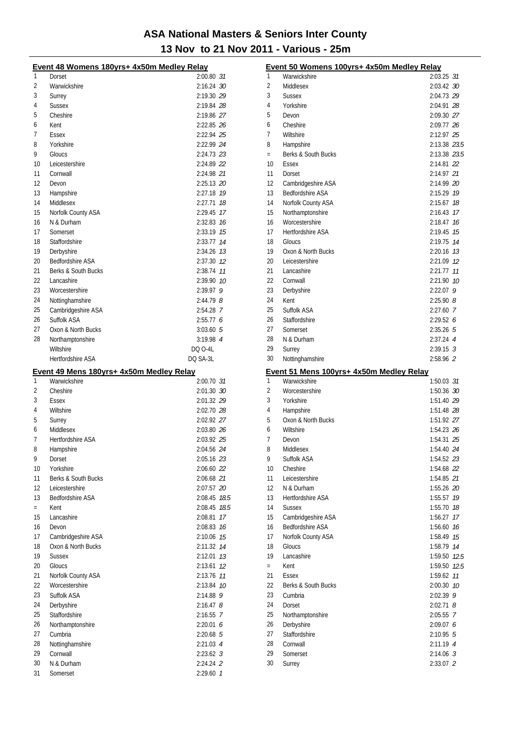|     | Event 48 Womens 180yrs+ 4x50m Medley Relay               |               |
|-----|----------------------------------------------------------|---------------|
| 1   | Dorset                                                   | 2:00.80 31    |
| 2   | Warwickshire                                             | 2:16.24 30    |
| 3   | Surrey                                                   | 2:19.30 29    |
| 4   | <b>Sussex</b>                                            | 2:19.84 28    |
| 5   | Cheshire                                                 | 2:19.86 27    |
| 6   | Kent                                                     | 2:22.85 26    |
| 7   | Essex                                                    | 2:22.94 25    |
| 8   | Yorkshire                                                | 2:22.99 24    |
| 9   | Gloucs                                                   | 2:24.73 23    |
| 10  | Leicestershire                                           | 2:24.89 22    |
| 11  | Cornwall                                                 | 2:24.98 21    |
| 12  | Devon                                                    | 2:25.13 20    |
| 13  | Hampshire                                                | 2:27.18 19    |
| 14  | Middlesex                                                | 2:27.71 18    |
| 15  | Norfolk County ASA                                       | 2:29.45 17    |
| 16  | N & Durham                                               | 2:32.83 16    |
| 17  | Somerset                                                 | 2:33.19 75    |
| 18  | Staffordshire                                            | 2:33.77 14    |
| 19  | Derbyshire                                               | 2:34.26 13    |
| 20  | Bedfordshire ASA                                         | 2:37.30 12    |
| 21  | Berks & South Bucks                                      | 2:38.74 77    |
| 22  | Lancashire                                               | 2:39.90 10    |
| 23  | Worcestershire                                           | 2:39.97 9     |
| 24  | Nottinghamshire                                          | $2:44.79$ $8$ |
| 25  | Cambridgeshire ASA                                       | 2:54.28 7     |
| 26  | Suffolk ASA                                              | 2:55.776      |
| 27  | Oxon & North Bucks                                       | $3:03.60$ 5   |
| 28  | Northamptonshire                                         | 3:19.98 4     |
|     | Wiltshire                                                | DQ 0-4L       |
|     | Hertfordshire ASA                                        | DQ SA-3L      |
|     |                                                          |               |
|     |                                                          |               |
| 1   | Event 49 Mens 180yrs+ 4x50m Medley Relay<br>Warwickshire | 2:00.70 31    |
| 2   | Cheshire                                                 | 2:01.30 30    |
| 3   | Essex                                                    | 2:01.32 29    |
| 4   | Wiltshire                                                | 2:02.70 28    |
| 5   | Surrey                                                   | 2:02.92 27    |
| 6   | Middlesex                                                | 2:03.80 26    |
| 7   | Hertfordshire ASA                                        | 2:03.92 25    |
| 8   | Hampshire                                                | 2:04.56 24    |
| 9   | Dorset                                                   | 2:05.16 23    |
| 10  | Yorkshire                                                | 2:06.60 22    |
| 11  | Berks & South Bucks                                      | 2:06.68 21    |
| 12  | Leicestershire                                           | 2:07.57 20    |
| 13  | Bedfordshire ASA                                         | 2:08.45 78.5  |
| $=$ | Kent                                                     | 2:08.45 78.5  |
| 15  | Lancashire                                               | 2:08.81 17    |
| 16  | Devon                                                    | 2:08.83 16    |
| 17  | Cambridgeshire ASA                                       | 2:10.06 75    |
| 18  | Oxon & North Bucks                                       | 2:11.32 74    |
| 19  | <b>Sussex</b>                                            | 2:12.01 73    |
| 20  | Gloucs                                                   | 2:13.61 12    |
| 21  | Norfolk County ASA                                       | 2:13.76 11    |
| 22  | Worcestershire                                           | 2:13.84 10    |
| 23  | Suffolk ASA                                              | $2:14.88$ 9   |
| 24  | Derbyshire                                               | $2:16.47$ $8$ |
| 25  | Staffordshire                                            | 2:16.55 7     |
| 26  | Northamptonshire                                         | 2:20.01 6     |
| 27  | Cumbria                                                  | 2:20.68 5     |
| 28  | Nottinghamshire                                          | 2:21.03 4     |
| 29  | Cornwall                                                 | $2:23.62$ 3   |
| 30  | N & Durham                                               | 2:24.24 2     |

|                | Event 50 Womens 100yrs+ 4x50m Medley Relay               |                    |      |
|----------------|----------------------------------------------------------|--------------------|------|
| 1              | Warwickshire                                             | 2:03.25 31         |      |
| $\overline{2}$ | Middlesex                                                | 2:03.42 30         |      |
| 3              | <b>Sussex</b>                                            | 2:04.73 29         |      |
| 4              | Yorkshire                                                | 2:04.91 28         |      |
| 5              | Devon                                                    | 2:09.30 27         |      |
| 6              | Cheshire                                                 | 2:09.77 26         |      |
| 7              | Wiltshire                                                | 2:12.97 25         |      |
| 8              | Hampshire                                                | 2:13.38 23.5       |      |
| $=$            | Berks & South Bucks                                      | 2:13.38 23.5       |      |
| 10             | <b>Fssex</b>                                             | 2:14.81 22         |      |
| 11             | Dorset                                                   | 2:14.97 21         |      |
| 12             | Cambridgeshire ASA                                       | 2:14.99 20         |      |
| 13             | <b>Bedfordshire ASA</b>                                  | 2:15.29 19         |      |
| 14             | Norfolk County ASA                                       | 2:15.67 18         |      |
| 15             | Northamptonshire                                         | 2:16.43 17         |      |
| 16             | Worcestershire                                           | 2:18.47 16         |      |
| 17             | <b>Hertfordshire ASA</b>                                 | 2:19.45 75         |      |
| 18             | Gloucs                                                   | 2:19.75 74         |      |
| 19             | Oxon & North Bucks                                       | $2:20.16$ 13       |      |
| 20             | Leicestershire                                           | 2:21.09 12         |      |
| 21             | Lancashire                                               | 2:21.77            | 11   |
| 22             | Cornwall                                                 | 2:21.90 10         |      |
| 23             | Derbyshire                                               | $2:22.07$ 9        |      |
| 24             | Kent                                                     | $2:25.90$ $8$      |      |
| 25             | Suffolk ASA                                              | 2:27.60 7          |      |
| 26             | Staffordshire                                            | 2:29.526           |      |
| 27             | Somerset                                                 | $2:35.26$ 5        |      |
| 28             | N & Durham                                               | $2:37.24$ 4        |      |
| 29             | Surrey                                                   | $2:39.15$ 3        |      |
| 30             | Nottinghamshire                                          | 2:58.96 2          |      |
|                |                                                          |                    |      |
|                |                                                          |                    |      |
| 1              | Event 51 Mens 100yrs+ 4x50m Medley Relay<br>Warwickshire | 1:50.03 31         |      |
| 2              | Worcestershire                                           | 1:50.36 30         |      |
| 3              | Yorkshire                                                | 1:51.40 29         |      |
| 4              | Hampshire                                                | 1:51.48 28         |      |
| 5              | Oxon & North Bucks                                       | 1:51.92 27         |      |
| 6              | Wiltshire                                                | 1:54.23 26         |      |
| 7              | Devon                                                    | 1:54.31 25         |      |
| 8              | Middlesex                                                | 1:54.40 24         |      |
| 9              | Suffolk ASA                                              | 1:54.52 23         |      |
| 10             | Cheshire                                                 | 1:54.68 22         |      |
| 11             | Leicestershire                                           | 1:54.85 21         |      |
| 12             | N & Durham                                               | 1:55.26 20         |      |
| 13             | <b>Hertfordshire ASA</b>                                 | 1:55.57 19         |      |
| 14             | <b>Sussex</b>                                            | 1:55.70 18         |      |
| 15             |                                                          | 1:56.27            | 17   |
| 16             | Cambridgeshire ASA<br><b>Bedfordshire ASA</b>            | 1:56.60 76         |      |
| 17             |                                                          |                    | 15   |
| 18             | Norfolk County ASA<br>Gloucs                             | 1:58.49<br>1:58.79 | 14   |
| 19             | Lancashire                                               | 1:59.50 12.5       |      |
| $=$            | Kent                                                     | 1:59.50            | 12.5 |
| 21             | Essex                                                    | 1:59.62            | 11   |
| 22             | Berks & South Bucks                                      | 2:00.30 10         |      |
| 23             | Cumbria                                                  | 2:02.39 9          |      |
| 24             | Dorset                                                   | $2:02.71$ 8        |      |
| 25             |                                                          | 2:05.55 7          |      |
| 26             | Northamptonshire                                         | 2:09.076           |      |
| 27             | Derbyshire<br>Staffordshire                              | $2:10.95$ 5        |      |
| 28             | Cornwall                                                 | 2:11.19 4          |      |
| 29             | Somerset                                                 | $2:14.06$ 3        |      |
| 30             | Surrey                                                   | 2:33.07 2          |      |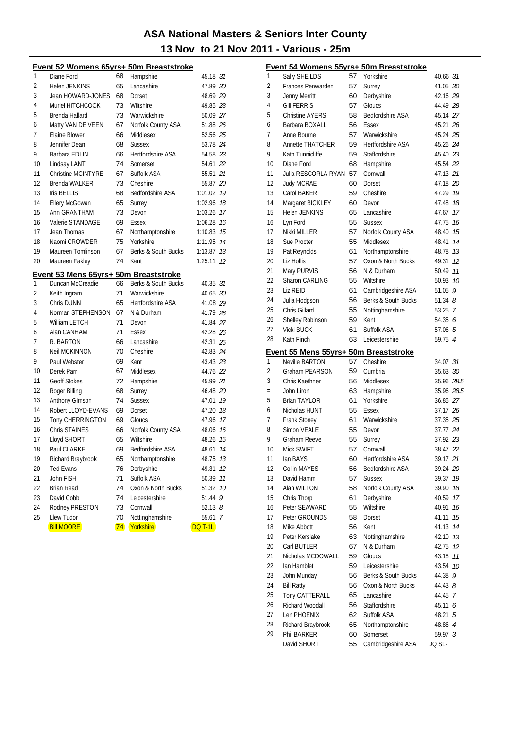|    | Event 52 Womens 65yrs+ 50m Breaststroke |    |                          |                |    |
|----|-----------------------------------------|----|--------------------------|----------------|----|
| 1  | Diane Ford                              | 68 | Hampshire                | 45.18 31       |    |
| 2  | <b>Helen JENKINS</b>                    | 65 | Lancashire               | 47.89 30       |    |
| 3  | Jean HOWARD-JONES                       | 68 | Dorset                   | 48.69 29       |    |
| 4  | Muriel HITCHCOCK                        | 73 | Wiltshire                | 49.85 28       |    |
| 5  | Brenda Hallard                          | 73 | Warwickshire             | 50.09 27       |    |
| 6  | Matty VAN DE VEEN                       | 67 | Norfolk County ASA       | 51.88 26       |    |
| 7  | Elaine Blower                           | 66 | Middlesex                | 52.56 25       |    |
| 8  | Jennifer Dean                           | 68 | <b>Sussex</b>            | 53.78 24       |    |
| 9  | Barbara EDLIN                           | 66 | Hertfordshire ASA        | 54.58 23       |    |
| 10 | Lindsay LANT                            | 74 | Somerset                 | 54.61 22       |    |
| 11 | <b>Christine MCINTYRE</b>               | 67 | Suffolk ASA              | 55.51 21       |    |
| 12 | <b>Brenda WALKER</b>                    | 73 | Cheshire                 | 55.87 20       |    |
| 13 | Iris BELLIS                             | 68 | Bedfordshire ASA         | 1:01.02 19     |    |
| 14 | Ellery McGowan                          | 65 | Surrey                   | 1:02.96        | 18 |
| 15 | Ann GRANTHAM                            | 73 | Devon                    | 1:03.26        | 17 |
| 16 | Valerie STANDAGE                        | 69 | Essex                    | 1:06.28        | 16 |
| 17 | Jean Thomas                             | 67 | Northamptonshire         | 1:10.83        | 15 |
| 18 | Naomi CROWDER                           | 75 | Yorkshire                | 1:11.95        | 14 |
| 19 | Maureen Tomlinson                       | 67 | Berks & South Bucks      | 1:13.87        | 13 |
| 20 | Maureen Fakley                          | 74 | Kent                     | 1:25.11        | 12 |
|    | Event 53 Mens 65yrs+ 50m Breaststroke   |    |                          |                |    |
| 1  | Duncan McCreadie                        | 66 | Berks & South Bucks      | 40.35 31       |    |
| 2  | Keith Ingram                            | 71 | Warwickshire             | 40.65 30       |    |
| 3  | Chris DUNN                              | 65 | <b>Hertfordshire ASA</b> | 41.08 29       |    |
| 4  | Norman STEPHENSON                       | 67 | N & Durham               | 41.79 28       |    |
| 5  | William LETCH                           | 71 | Devon                    | 41.84 27       |    |
| 6  | Alan CANHAM                             | 71 | Essex                    | 42.28 26       |    |
| 7  | R. BARTON                               | 66 | Lancashire               | 42.31 25       |    |
| 8  | Neil MCKINNON                           | 70 | Cheshire                 | 42.83 24       |    |
| 9  | Paul Webster                            | 69 | Kent                     | 43.43 23       |    |
| 10 | Derek Parr                              | 67 | Middlesex                | 44.76 22       |    |
| 11 | <b>Geoff Stokes</b>                     | 72 | Hampshire                | 45.99 21       |    |
| 12 | Roger Billing                           | 68 | Surrey                   | 46.48 20       |    |
| 13 | Anthony Gimson                          | 74 | <b>Sussex</b>            | 47.01          | 19 |
| 14 | Robert LLOYD-EVANS                      | 69 | Dorset                   | 47.20 18       |    |
| 15 | Tony CHERRINGTON                        | 69 | Gloucs                   | 47.96          | 17 |
| 16 | Chris STAINES                           | 66 | Norfolk County ASA       | 48.06          | 16 |
| 17 | Lloyd SHORT                             | 65 | Wiltshire                | 48.26 15       |    |
| 18 | Paul CLARKE                             | 69 | Bedfordshire ASA         | 48.61          | 14 |
| 19 | Richard Braybrook                       | 65 | Northamptonshire         | 48.75          | 13 |
| 20 | <b>Ted Evans</b>                        | 76 | Derbyshire               | 49.31          | 12 |
| 21 | John FISH                               | 71 | Suffolk ASA              | 50.39          | 11 |
| 22 | Brian Read                              | 74 | Oxon & North Bucks       | 51.32          | 10 |
| 23 | David Cobb                              | 74 | Leicestershire           | 51.44          | 9  |
| 24 | Rodney PRESTON                          | 73 | Cornwall                 | $52.13$ $8$    |    |
| 25 | Llew Tudor                              | 70 | Nottinghamshire          | 55.61          | 7  |
|    | <b>Bill MOORE</b>                       | 74 | Yorkshire                | <b>DQ T-1L</b> |    |

|     | <u> Event 54 Womens 55yrs+ 50m Breaststroke</u>         |          |                                       |                 |    |
|-----|---------------------------------------------------------|----------|---------------------------------------|-----------------|----|
| 1   | Sally SHEILDS                                           | 57       | Yorkshire                             | 40.66 31        |    |
| 2   | Frances Penwarden                                       | 57       | Surrey                                | 41.05 30        |    |
| 3   | Jenny Merritt                                           | 60       | Derbyshire                            | 42.16 29        |    |
| 4   | <b>Gill FERRIS</b>                                      | 57       | Gloucs                                | 44.49 28        |    |
| 5   | <b>Christine AYERS</b>                                  | 58       | <b>Bedfordshire ASA</b>               | 45.14 27        |    |
| 6   | Barbara BOXALL                                          | 56       | Essex                                 | 45.21 26        |    |
| 7   | Anne Bourne                                             | 57       | Warwickshire                          | 45.24 25        |    |
| 8   | <b>Annette THATCHER</b>                                 | 59       | <b>Hertfordshire ASA</b>              | 45.26 24        |    |
| 9   | Kath Tunnicliffe                                        | 59       | Staffordshire                         | 45.40 23        |    |
| 10  | Diane Ford                                              | 68       | Hampshire                             | 45.54 22        |    |
| 11  | Julia RESCORLA-RYAN                                     | 57       | Cornwall                              | 47.13 21        |    |
| 12  | Judy MCRAE                                              | 60       | Dorset                                | 47.18 20        |    |
| 13  | Carol BAKER                                             | 59       | Cheshire                              | 47.29 19        |    |
| 14  | Margaret BICKLEY                                        | 60       | Devon                                 | 47.48 18        |    |
| 15  | Helen JENKINS                                           | 65       | Lancashire                            | 47.67 17        |    |
| 16  | Lyn Ford                                                | 55       | <b>Sussex</b>                         | 47.75 16        |    |
| 17  | Nikki MILLER                                            | 57       | Norfolk County ASA                    | 48.40 75        |    |
| 18  | Sue Procter                                             | 55       | Middlesex                             | 48.41           | 14 |
| 19  | Pat Reynolds                                            | 61       | Northamptonshire                      | 48.78 13        |    |
| 20  | Liz Hollis                                              | 57       | Oxon & North Bucks                    | 49.31           | 12 |
| 21  | Mary PURVIS                                             | 56       | N & Durham                            | 50.49           | 11 |
| 22  | Sharon CARLING                                          | 55       | Wiltshire                             | 50.93 10        |    |
| 23  | Liz REID                                                | 61       | Cambridgeshire ASA                    | 51.05 9         |    |
| 24  | Julia Hodgson                                           | 56       | Berks & South Bucks                   | $51.34$ $8$     |    |
| 25  | Chris Gillard                                           | 55       | Nottinghamshire                       | 53.25 7         |    |
| 26  | Shelley Robinson                                        | 59       | Kent                                  | 54.35 6         |    |
| 27  | Vicki BUCK                                              | 61       | Suffolk ASA                           | 57.06 5         |    |
| 28  | Kath Finch                                              | 63       | Leicestershire                        | 59.75 4         |    |
|     |                                                         |          |                                       |                 |    |
| 1   | Event 55 Mens 55yrs+ 50m Breaststroke<br>Neville BARTON | 57       | Cheshire                              | 34.07 31        |    |
| 2   | Graham PEARSON                                          | 59       | Cumbria                               | 35.63 30        |    |
| 3   | Chris Kaethner                                          | 56       | Middlesex                             | 35.96 28.5      |    |
| $=$ | John Liron                                              | 63       | Hampshire                             | 35.96 28.5      |    |
| 5   | <b>Brian TAYLOR</b>                                     | 61       | Yorkshire                             | 36.85 27        |    |
| 6   | Nicholas HUNT                                           | 55       | Essex                                 | 37.17 26        |    |
| 7   | Frank Stoney                                            | 61       | Warwickshire                          | 37.35 25        |    |
| 8   | <b>Simon VEALE</b>                                      | 55       | Devon                                 | 37.77 24        |    |
| 9   | Graham Reeve                                            | 55       | Surrey                                | 37.92 23        |    |
| 10  | Mick SWIFT                                              |          | 57 Cornwall                           | 38.47 22        |    |
| 11  | lan BAYS                                                |          |                                       | 39.17 21        |    |
| 12  | <b>Coliin MAYES</b>                                     | 60<br>56 | Hertfordshire ASA<br>Bedfordshire ASA | 39.24 <i>20</i> |    |
| 13  | David Hamm                                              | 57       | <b>Sussex</b>                         |                 |    |
| 14  | Alan WILTON                                             | 58       |                                       | 39.37 <i>19</i> |    |
|     |                                                         |          | Norfolk County ASA                    | 39.90           | 18 |
| 15  | Chris Thorp                                             | 61       | Derbyshire                            | 40.59           | 17 |
| 16  | Peter SEAWARD                                           | 55       | Wiltshire                             | 40.91           | 16 |
| 17  | Peter GROUNDS                                           | 58       | Dorset                                | 41.11           | 15 |
| 18  | Mike Abbott                                             | 56       | Kent                                  | 41.13           | 14 |
| 19  | Peter Kerslake                                          | 63       | Nottinghamshire                       | 42.10 13        |    |
| 20  | Carl BUTLER                                             | 67       | N & Durham                            | 42.75           | 12 |
| 21  | Nicholas MCDOWALL                                       | 59       | Gloucs                                | 43.18           | 11 |
| 22  | lan Hamblet                                             | 59       | Leicestershire                        | 43.54           | 10 |
| 23  | John Munday                                             | 56       | Berks & South Bucks                   | 44.38 9         |    |
| 24  | <b>Bill Ratty</b>                                       | 56       | Oxon & North Bucks                    | 44.43 8         |    |
| 25  | Tony CATTERALL                                          | 65       | Lancashire                            | 44.45 7         |    |
| 26  | Richard Woodall                                         | 56       | Staffordshire                         | 45.11 6         |    |
| 27  | Len PHOENIX                                             | 62       | Suffolk ASA                           | 48.21 5         |    |
| 28  | Richard Braybrook                                       | 65       | Northamptonshire                      | 48.86 4         |    |
| 29  | Phil BARKER                                             | 60       | Somerset                              | 59.97 <i>3</i>  |    |
|     | David SHORT                                             | 55       | Cambridgeshire ASA                    | DQ SL-          |    |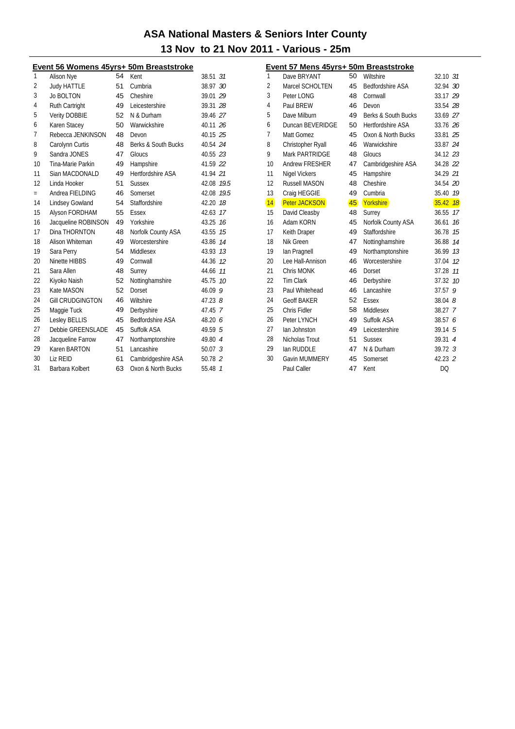|     |                         |    | <u>Event 56 Womens 45yrs+ 50m Breaststroke</u> |             |                |
|-----|-------------------------|----|------------------------------------------------|-------------|----------------|
| 1   | Alison Nye              | 54 | Kent                                           | 38.51       | 31             |
| 2   | <b>Judy HATTLE</b>      | 51 | Cumbria                                        | 38.97 30    |                |
| 3   | <b>Jo BOLTON</b>        | 45 | Cheshire                                       | 39.01 29    |                |
| 4   | Ruth Cartright          | 49 | Leicestershire                                 | 39.31 28    |                |
| 5   | <b>Verity DOBBIE</b>    | 52 | N & Durham                                     | 39.46 27    |                |
| 6   | Karen Stacey            | 50 | Warwickshire                                   | 40.11 26    |                |
| 7   | Rebecca JENKINSON       | 48 | Devon                                          | 40.15 25    |                |
| 8   | Carolynn Curtis         | 48 | Berks & South Bucks                            | 40.54 24    |                |
| 9   | Sandra JONES            | 47 | Gloucs                                         | 40.55 23    |                |
| 10  | Tina-Marie Parkin       | 49 | Hampshire                                      | 41.59 22    |                |
| 11  | Sian MACDONALD          | 49 | Hertfordshire ASA                              | 41.94 21    |                |
| 12  | Linda Hooker            | 51 | <b>Sussex</b>                                  | 42.08 19.5  |                |
| $=$ | Andrea FIELDING         | 46 | Somerset                                       | 42.08 19.5  |                |
| 14  | <b>Lindsey Gowland</b>  | 54 | Staffordshire                                  | 42.20       | 18             |
| 15  | Alyson FORDHAM          | 55 | <b>Essex</b>                                   | 42.63 17    |                |
| 16  | Jacqueline ROBINSON     | 49 | Yorkshire                                      | 43.25       | 16             |
| 17  | Dina THORNTON           | 48 | Norfolk County ASA                             | 43.55       | 15             |
| 18  | Alison Whiteman         | 49 | Worcestershire                                 | 43.86       | 14             |
| 19  | Sara Perry              | 54 | Middlesex                                      | 43.93       | - 13           |
| 20  | Ninette HIBBS           | 49 | Cornwall                                       | 44.36       | 12             |
| 21  | Sara Allen              | 48 | Surrey                                         | 44.66       | 11             |
| 22  | Kiyoko Naish            | 52 | Nottinghamshire                                | 45.75       | 10             |
| 23  | Kate MASON              | 52 | Dorset                                         | 46.09       | 9              |
| 24  | <b>Gill CRUDGINGTON</b> | 46 | Wiltshire                                      | $47.23$ $8$ |                |
| 25  | Maggie Tuck             | 49 | Derbyshire                                     | 47.45       | -7             |
| 26  | Lesley BELLIS           | 45 | <b>Bedfordshire ASA</b>                        | 48.20 6     |                |
| 27  | Debbie GREENSLADE       | 45 | Suffolk ASA                                    | 49.59 5     |                |
| 28  | Jacqueline Farrow       | 47 | Northamptonshire                               | 49.80 4     |                |
| 29  | Karen BARTON            | 51 | Lancashire                                     | 50.073      |                |
| 30  | Liz REID                | 61 | Cambridgeshire ASA                             | 50.78 2     |                |
| 31  | Barbara Kolbert         | 63 | Oxon & North Bucks                             | 55.48       | $\overline{1}$ |
|     |                         |    |                                                |             |                |

|                | Event 57 Mens 45yrs+ 50m Breaststroke |    |                          |                    |
|----------------|---------------------------------------|----|--------------------------|--------------------|
| 1              | Dave BRYANT                           | 50 | Wiltshire                | 32.10 31           |
| 2              | Marcel SCHOLTEN                       | 45 | <b>Bedfordshire ASA</b>  | 32.94 30           |
| 3              | Peter LONG                            | 48 | Cornwall                 | 33.17 29           |
| $\overline{4}$ | Paul BREW                             | 46 | Devon                    | 33.54 28           |
| 5              | Dave Milburn                          | 49 | Berks & South Bucks      | 33.69 27           |
| 6              | Duncan BEVERIDGE                      | 50 | <b>Hertfordshire ASA</b> | 33.76 26           |
| $\overline{7}$ | Matt Gomez                            | 45 | Oxon & North Bucks       | 33.81 25           |
| 8              | Christopher Ryall                     | 46 | Warwickshire             | 33.87 24           |
| 9              | Mark PARTRIDGE                        | 48 | Gloucs                   | 34.12 23           |
| 10             | Andrew FRESHER                        | 47 | Cambridgeshire ASA       | 34.28 22           |
| 11             | <b>Nigel Vickers</b>                  | 45 | Hampshire                | 34.29 21           |
| 12             | Russell MASON                         | 48 | Cheshire                 | 34.54 20           |
| 13             | Craig HEGGIE                          | 49 | Cumbria                  | 35.40 79           |
| 14             | <b>Peter JACKSON</b>                  | 45 | Yorkshire                | $35.42$ $18$       |
| 15             | David Cleasby                         | 48 | Surrey                   | 36.55 17           |
| 16             | Adam KORN                             | 45 | Norfolk County ASA       | 36.61 16           |
| 17             | Keith Draper                          | 49 | Staffordshire            | 36.78<br>15        |
| 18             | Nik Green                             | 47 | Nottinghamshire          | 36.88 14           |
| 19             | lan Pragnell                          | 49 | Northamptonshire         | 36.99 13           |
| 20             | Lee Hall-Annison                      | 46 | Worcestershire           | 37.04<br>12        |
| 21             | Chris MONK                            | 46 | Dorset                   | 11<br>37.28        |
| 22             | Tim Clark                             | 46 | Derbyshire               | 37.32 10           |
| 23             | Paul Whitehead                        | 46 | Lancashire               | 37.579             |
| 24             | <b>Geoff BAKER</b>                    | 52 | Essex                    | 38.048             |
| 25             | Chris Fidler                          | 58 | Middlesex                | 38.27 7            |
| 26             | Peter LYNCH                           | 49 | Suffolk ASA              | 38.57 6            |
| 27             | lan Johnston                          | 49 | Leicestershire           | $39.14 \quad 5$    |
| 28             | Nicholas Trout                        | 51 | <b>Sussex</b>            | 39.31 4            |
| 29             | lan RUDDLE                            | 47 | N & Durham               | 39.72 <sub>3</sub> |
| 30             | Gavin MUMMERY                         | 45 | Somerset                 | 42.23 2            |
|                | Paul Caller                           | 47 | Kent                     | DQ                 |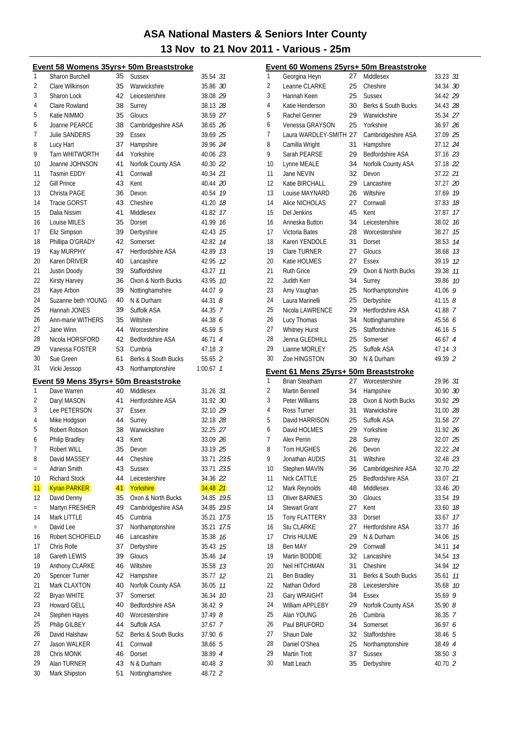|                |                                       |          | Event 58 Womens 35yrs+ 50m Breaststroke |                    |      |
|----------------|---------------------------------------|----------|-----------------------------------------|--------------------|------|
| 1              | Sharon Burchell                       | 35       | <b>Sussex</b>                           | 35.54 31           |      |
| $\overline{2}$ | Clare Wilkinson                       | 35       | Warwickshire                            | 35.86 30           |      |
| 3              | Sharon Lock                           | 42       | Leicestershire                          | 38.08 29           |      |
| 4              | Claire Rowland                        | 38       | Surrey                                  | 38.13 28           |      |
| 5              | Katie NIMMO                           | 35       | Gloucs                                  | 38.59 27           |      |
| 6              | Joanne PEARCE                         | 38       | Cambridgeshire ASA                      | 38.65 26           |      |
| 7              | <b>Julie SANDERS</b>                  | 39       | Essex                                   | 39.69 25           |      |
| 8              | Lucy Hart                             | 37       | Hampshire                               | 39.96 24           |      |
| 9              | Tarn WHITWORTH                        | 44       | Yorkshire                               | 40.06 23           |      |
| 10             | Joanne JOHNSON                        | 41       | Norfolk County ASA                      | 40.30 22           |      |
| 11             | <b>Tasmin EDDY</b>                    | 41       | Cornwall                                | 40.34 21           |      |
| 12             | <b>Gill Prince</b>                    | 43       | Kent                                    | 40.44 20           |      |
| 13             | Christa PAGE                          | 36       | Devon                                   | 40.54 19           |      |
| 14             | <b>Tracie GORST</b>                   | 43       | Cheshire                                | 41.20 18           |      |
| 15             | Dalia Nissim                          | 41       | Middlesex                               | 41.82              | 17   |
| 16             | Louise MILES                          | 35       | Dorset                                  | 41.99              | 16   |
| 17             | Eliz Simpson                          | 39       | Derbyshire                              | 42.43              | 15   |
| 18             | Phillipa O'GRADY                      | 42       | Somerset                                | 42.82              | 14   |
| 19             | Kay MURPHY                            | 47       | <b>Hertfordshire ASA</b>                | 42.89 13           |      |
| 20             | Karen DRIVER                          | 40       | Lancashire                              | 42.95              | 12   |
| 21             | Justin Doody                          | 39       | Staffordshire                           | 43.27              | 11   |
| 22             | Kirsty Harvey                         | 36       | Oxon & North Bucks                      | 43.95              | 10   |
| 23             | Kaye Arbon                            | 39       | Nottinghamshire                         | 44.07              | 9    |
| 24             | Suzanne beth YOUNG                    | 40       | N & Durham                              | $44.31$ $8$        |      |
| 25             | Hannah JONES                          | 39       | Suffolk ASA                             | 44.35 7            |      |
| 26             | Ann-marie WITHERS                     | 35       | Wiltshire                               | 44.38 6            |      |
| 27             | Jane Winn                             | 44       | Worcestershire                          | 45.59 5            |      |
| 28             | Nicola HORSFORD                       | 42       | Bedfordshire ASA                        | 46.71 4            |      |
| 29             | Vanessa FOSTER                        | 53       | Cumbria                                 | 47.18 3            |      |
| 30             | Sue Green                             | 61       | Berks & South Bucks                     | 55.65 2            |      |
| 31             | Vicki Jessop                          | 43       | Northamptonshire                        | $1:00.67$ 1        |      |
|                |                                       |          |                                         |                    |      |
|                | Event 59 Mens 35yrs+ 50m Breaststroke |          |                                         |                    |      |
| 1              | Dave Warren                           | 40       | Middlesex                               | 31.26 31           |      |
| 2              | Daryl MASON                           | 41       | <b>Hertfordshire ASA</b>                | 31.92 30           |      |
| 3              | Lee PETERSON                          | 37       | Essex                                   | 32.10 29           |      |
| 4              | Mike Hodgson                          | 44       | Surrey                                  | 32.18 28           |      |
| 5              | Robert Robson                         | 38       | Warwickshire                            | 32.25 27           |      |
| 6              | Philip Bradley                        | 43       | Kent                                    | 33.09 26           |      |
| 7              | Robert WILL                           | 35       | Devon                                   | 33.19 25           |      |
| 8              | David MASSEY                          | 44       | Cheshire                                | 33.71 <i>23.5</i>  |      |
| $=$            | Adrian Smith                          | 43       | <b>Sussex</b>                           | 33.71 23.5         |      |
| 10             | <b>Richard Stock</b>                  | 44       | Leicestershire                          | 34.36 22           |      |
| 11             | <b>Kyran PARKER</b>                   | 41       | Yorkshire                               | $34.48$ 21         |      |
| 12             | David Denny                           | 35       | Oxon & North Bucks                      | 34.85              | 19.5 |
| $=$            | Martyn FRESHER                        | 49       | Cambridgeshire ASA                      | 34.85              | 19.5 |
| 14             | Mark LITTLE                           | 45       | Cumbria                                 | 35.21              | 17.5 |
| $=$            | David Lee                             | 37       | Northamptonshire                        | 35.21              | 17.5 |
| 16             | Robert SCHOFIELD                      | 46       | Lancashire                              | 35.38              | 16   |
| 17             | Chris Rolle                           | 37       | Derbyshire                              | 35.43              | 15   |
| 18             | Gareth LEWIS                          | 39       | Gloucs                                  | 35.46              | 14   |
| 19             | Anthony CLARKE                        | 46       | Wiltshire                               | 35.58              | 13   |
| 20             | Spencer Turner                        | 42       | Hampshire                               | 35.77              | 12   |
| 21             | Mark CLAXTON                          | 40       | Norfolk County ASA                      | 36.05              | 11   |
| 22             | <b>Bryan WHITE</b>                    | 37       | Somerset                                | 36.34              | 10   |
| 23             | Howard GELL                           | 40       | Bedfordshire ASA                        | 36.42              | 9    |
| 24             | Stephen Hayes                         | 40       | Worcestershire                          | 37.49 <i>8</i>     |      |
| 25             | Philip GILBEY                         | 44       | Suffolk ASA                             | 37.67 7            |      |
| 26             | David Halshaw                         | 52       | Berks & South Bucks                     | 37.90 6            |      |
| 27             | Jason WALKER                          | 41       | Cornwall                                | 38.66 5            |      |
| 28             | Chris MONK                            | 46       | Dorset                                  | 38.89 4            |      |
| 29<br>30       | Alan TURNER<br>Mark Shipston          | 43<br>51 | N & Durham<br>Nottinghamshire           | 40.48 3<br>48.72 2 |      |

|          | Event 60 Womens 25yrs+ 50m Breaststroke |    |                         |                    |    |
|----------|-----------------------------------------|----|-------------------------|--------------------|----|
| 1        | Georgina Heyn                           | 27 | Middlesex               | 33.23 <i>31</i>    |    |
| 2        | Leanne CLARKE                           | 25 | Cheshire                | 34.34 30           |    |
| 3        | Hannah Keen                             | 25 | <b>Sussex</b>           | 34.42 29           |    |
| 4        | Katie Henderson                         | 30 | Berks & South Bucks     | 34.43 28           |    |
| 5        | Rachel Genner                           | 29 | Warwickshire            | 35.34 27           |    |
| 6        | Venessa GRAYSON                         | 25 | Yorkshire               | 36.97 26           |    |
| 7        | Laura WARDLEY-SMITH 27                  |    | Cambridgeshire ASA      | 37.09 25           |    |
| 8        | Camilla Wright                          | 31 | Hampshire               | 37.12 24           |    |
| 9        | Sarah PEARSE                            | 29 | <b>Bedfordshire ASA</b> | 37.16 23           |    |
| 10       | Lynne MEALE                             | 34 | Norfolk County ASA      | 37.18 22           |    |
| 11       | Jane NEVIN                              | 32 | Devon                   | 37.22 21           |    |
| 12       | Katie BIRCHALL                          | 29 | Lancashire              | 37.27 20           |    |
| 13       | Louise MAYNARD                          | 26 | Wiltshire               | 37.69 19           |    |
| 14       | <b>Alice NICHOLAS</b>                   | 27 | Cornwall                | 37.83 18           |    |
| 15       | Del Jenkins                             | 45 | Kent                    | 37.87              | 17 |
| 16       | Anneska Button                          | 34 | Leicestershire          | 38.02 16           |    |
| 17       | Victoria Bates                          | 28 | Worcestershire          | 38.27              | 15 |
| 18       | Karen YENDOLE                           | 31 | Dorset                  | 38.53              | 14 |
| 19       | <b>Clare TURNER</b>                     | 27 | Gloucs                  | 38.68              | 13 |
| 20       | Katie HOLMES                            | 27 | Essex                   | 39.19              | 12 |
| 21       | <b>Ruth Grice</b>                       | 29 | Oxon & North Bucks      | 39.38              | 11 |
| 22       | <b>Judith Kerr</b>                      | 34 | Surrey                  | 39.86              | 10 |
| 23       | Amy Vaughan                             | 25 | Northamptonshire        | 41.06              | 9  |
| 24       | Laura Marinelli                         | 25 | Derbyshire              | $41.15$ $8$        |    |
| 25       | Nicola LAWRENCE                         | 29 | Hertfordshire ASA       | 41.88 7            |    |
| 26       | Lucy Thomas                             | 34 | Nottinghamshire         | 45.56 6            |    |
| 27       | <b>Whitney Hurst</b>                    | 25 | Staffordshire           | 46.16 <sub>5</sub> |    |
| 28       | Jenna GLEDHILL                          | 25 | Somerset                | 46.67 4            |    |
| 29       | Lianne MORLEY                           | 25 | Suffolk ASA             | 47.14 3            |    |
| 30       | Zoe HINGSTON                            | 30 | N & Durham              | 49.39 2            |    |
|          | Event 61 Mens 25yrs+ 50m Breaststroke   |    |                         |                    |    |
| 1        | <b>Brian Steatham</b>                   | 27 | Worcestershire          | 29.96 31           |    |
| 2        | Martin Bennell                          | 34 | Hampshire               | 30.90 30           |    |
| 3        | Peter Williams                          | 28 | Oxon & North Bucks      | 30.92 29           |    |
| 4        | Ross Turner                             | 31 | Warwickshire            | 31.00 28           |    |
| 5        | David HARRISON                          | 25 | Suffolk ASA             | 31.58 27           |    |
| 6        | David HOLMES                            | 29 | Yorkshire               | 31.92 26           |    |
| 7        | Alex Perrin                             | 28 | Surrey                  | 32.07 25           |    |
| 8        | Tom HUGHES                              | 26 | Devon                   | 32.22 24           |    |
| 9        | Jonathan AUDIS                          | 31 | Wiltshire               | 32.48 23           |    |
| 10       | Stephen MAVIN                           | 36 | Cambridgeshire ASA      | 32.70 22           |    |
| 11       | <b>Nick CATTLE</b>                      | 25 | <b>Bedfordshire ASA</b> | 33.07 21           |    |
| 12       | Mark Reynolds                           | 48 | Middlesex               | 33.46 20           |    |
| 13       | <b>Oliver BARNES</b>                    | 30 | Gloucs                  | 33.54              | 19 |
| 14       | <b>Stewart Grant</b>                    | 27 | Kent                    | 33.60              | 18 |
| 15       | <b>Tony FLATTERY</b>                    | 33 | Dorset                  | 33.67              | 17 |
| 16       | <b>Stu CLARKE</b>                       | 27 | Hertfordshire ASA       | 33.77              | 16 |
| 17       | Chris HULME                             | 29 | N & Durham              | 34.06              | 15 |
| 18       | Ben MAY                                 | 29 | Cornwall                | 34.11              | 14 |
| 19       | Martin BODDIE                           | 32 | Lancashire              | 34.54              | 13 |
| 20       | Neil HITCHMAN                           | 31 | Cheshire                | 34.94              | 12 |
| 21       | <b>Ben Bradley</b>                      | 31 | Berks & South Bucks     | 35.61              | 11 |
| 22       | Nathan Oxford                           | 28 | Leicestershire          | 35.68              | 10 |
| 23       | Gary WRAIGHT                            | 34 | Essex                   | 35.69              | 9  |
| 24       | William APPLEBY                         | 29 | Norfolk County ASA      | 35.908             |    |
| 25       | Alan YOUNG                              | 26 | Cumbria                 | 36.35 7            |    |
| 26       | Paul BRUFORD                            | 34 | Somerset                | 36.97 <i>6</i>     |    |
| 27       | Shaun Dale                              | 32 | Staffordshire           | 38.46 5            |    |
| 28       | Daniel O'Shea                           | 25 | Northamptonshire        | 38.49 4            |    |
| 29<br>30 | Martin Trott                            | 37 | <b>Sussex</b>           | 38.50 <sub>3</sub> |    |
|          | Matt Leach                              | 35 | Derbyshire              | 40.70 2            |    |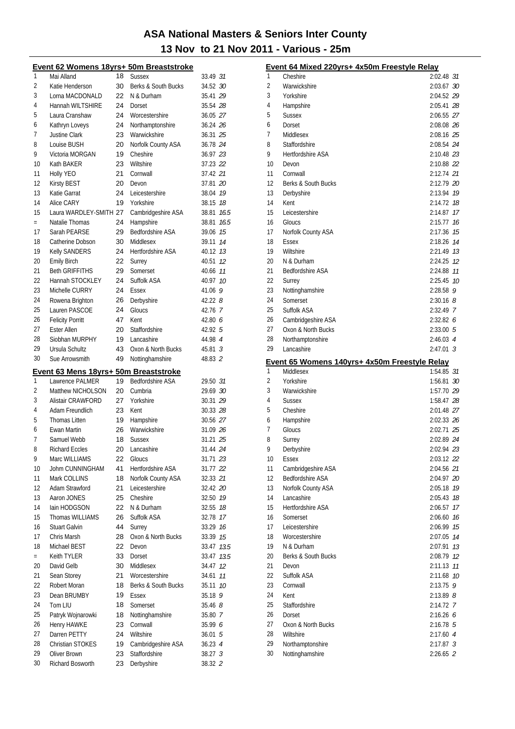|          | Event 62 Womens 18yrs+ 50m Breaststroke                  |          |                             |                    |      |
|----------|----------------------------------------------------------|----------|-----------------------------|--------------------|------|
| 1        | Mai Alland                                               | 18       | <b>Sussex</b>               | 33.49 31           |      |
| 2        | Katie Henderson                                          | 30       | Berks & South Bucks         | 34.52 30           |      |
| 3        | Lorna MACDONALD                                          | 22       | N & Durham                  | 35.41 29           |      |
| 4        | Hannah WILTSHIRE                                         | 24       | Dorset                      | 35.54 28           |      |
| 5        | Laura Cranshaw                                           | 24       | Worcestershire              | 36.05 27           |      |
| 6        | Kathryn Loveys                                           | 24       | Northamptonshire            | 36.24 26           |      |
| 7        | <b>Justine Clark</b>                                     | 23       | Warwickshire                | 36.31 25           |      |
| 8        | Louise BUSH                                              | 20       | Norfolk County ASA          | 36.78 24           |      |
|          |                                                          |          |                             |                    |      |
| 9        | Victoria MORGAN                                          | 19       | Cheshire                    | 36.97 23           |      |
| 10       | Kath BAKER                                               | 23       | Wiltshire                   | 37.23 22           |      |
| 11       | Holly YEO                                                | 21       | Cornwall                    | 37.42 21           |      |
| 12       | Kirsty BEST                                              | 20       | Devon                       | 37.81 20           |      |
| 13       | Katie Garrat                                             | 24       | Leicestershire              | 38.04 19           |      |
| 14       | Alice CARY                                               | 19       | Yorkshire                   | 38.15              | 18   |
| 15       | Laura WARDLEY-SMITH 27                                   |          | Cambridgeshire ASA          | 38.81              | 16.5 |
| $=$      | Natalie Thomas                                           | 24       | Hampshire                   | 38.81              | 16.5 |
| 17       | Sarah PEARSE                                             | 29       | <b>Bedfordshire ASA</b>     | 39.06              | 15   |
| 18       | Catherine Dobson                                         | 30       | Middlesex                   | 39.11              | 14   |
| 19       | <b>Kelly SANDERS</b>                                     | 24       | <b>Hertfordshire ASA</b>    | 40.12              | 13   |
| 20       | <b>Emily Birch</b>                                       | 22       | Surrey                      | 40.51              | 12   |
| 21       | <b>Beth GRIFFITHS</b>                                    | 29       | Somerset                    | 40.66              | 11   |
| 22       | Hannah STOCKLEY                                          | 24       | Suffolk ASA                 | 40.97              | 10   |
| 23       | Michelle CURRY                                           | 24       | Essex                       | 41.06 9            |      |
| 24       | Rowena Brighton                                          | 26       |                             | 42.228             |      |
|          | Lauren PASCOE                                            |          | Derbyshire                  |                    |      |
| 25       |                                                          | 24       | Gloucs                      | 42.76 7            |      |
| 26       | <b>Felicity Porritt</b>                                  | 47       | Kent                        | 42.80 6            |      |
| 27       | <b>Ester Allen</b>                                       | 20       | Staffordshire               | 42.92 5            |      |
| 28       | Siobhan MURPHY                                           | 19       | Lancashire                  | 44.98 4            |      |
| 29       | Ursula Schultz                                           | 43       | Oxon & North Bucks          | $45.81 \t3$        |      |
| 30       | Sue Arrowsmith                                           | 49       | Nottinghamshire             | 48.83 2            |      |
|          |                                                          |          |                             |                    |      |
|          |                                                          |          |                             |                    |      |
| 1        | Event 63 Mens 18yrs+ 50m Breaststroke<br>Lawrence PALMER | 19       | <b>Bedfordshire ASA</b>     | 29.50 31           |      |
| 2        | Matthew NICHOLSON                                        | 20       | Cumbria                     |                    |      |
|          |                                                          |          |                             | 29.69 30           |      |
| 3        | Alistair CRAWFORD                                        | 27       | Yorkshire                   | 30.31 29           |      |
| 4        | Adam Freundlich                                          | 23       | Kent                        | 30.33 28           |      |
| 5        | <b>Thomas Litten</b>                                     | 19       | Hampshire                   | 30.56 27           |      |
| 6        | <b>Ewan Martin</b>                                       | 26       | Warwickshire                | 31.09 26           |      |
| 7        | Samuel Webb                                              | 18       | <b>Sussex</b>               | 31.21 25           |      |
| 8        | Richard Eccles                                           |          | 20 Lancashire               | 31.44 24           |      |
| 9        | Marc WILLIAMS                                            | 22       | Gloucs                      | 31.71 23           |      |
| 10       | Johm CUNNINGHAM                                          | 41       | Hertfordshire ASA           | 31.77 22           |      |
| 11       | Mark COLLINS                                             | 18       | Norfolk County ASA          | 32.33 21           |      |
| 12       | Adam Strawford                                           | 21       | Leicestershire              | 32.42 20           |      |
| 13       | Aaron JONES                                              | 25       | Cheshire                    | 32.50              | 19   |
| 14       | lain HODGSON                                             | 22       | N & Durham                  | 32.55              | 18   |
| 15       | Thomas WILLIAMS                                          | 26       | Suffolk ASA                 | 32.78              | 17   |
| 16       | <b>Stuart Galvin</b>                                     | 44       | Surrey                      | 33.29              | 16   |
| 17       | Chris Marsh                                              | 28       | Oxon & North Bucks          | 33.39              | 15   |
| 18       | Michael BEST                                             | 22       | Devon                       | 33.47              | 13.5 |
| $=$      | Keith TYLER                                              | 33       | Dorset                      | 33.47              | 13.5 |
| 20       | David Gelb                                               | 30       | Middlesex                   |                    | 12   |
|          |                                                          |          |                             | 34.47              |      |
| 21       | Sean Storey                                              | 21       | Worcestershire              | 34.61              | 11   |
| 22       | Robert Moran                                             | 18       | Berks & South Bucks         | 35.11              | 10   |
| 23       | Dean BRUMBY                                              | 19       | Essex                       | $35.18$ 9          |      |
| 24       | Tom LIU                                                  | 18       | Somerset                    | 35.468             |      |
| 25       | Patryk Wojnarowki                                        | 18       | Nottinghamshire             | 35.80 7            |      |
| 26       | Henry HAWKE                                              | 23       | Cornwall                    | 35.99 6            |      |
| 27       | Darren PETTY                                             | 24       | Wiltshire                   | 36.015             |      |
| 28       | Christian STOKES                                         | 19       | Cambridgeshire ASA          | 36.23 4            |      |
| 29<br>30 | Oliver Brown<br>Richard Bosworth                         | 23<br>23 | Staffordshire<br>Derbyshire | 38.27 3<br>38.32 2 |      |

| <u>Event 64 Mixed 220yrs+ 4x50m Freestyle Relay</u> |                                               |                       |    |  |  |
|-----------------------------------------------------|-----------------------------------------------|-----------------------|----|--|--|
| 1                                                   | Cheshire                                      | 2:02.48 31            |    |  |  |
| $\overline{2}$                                      | Warwickshire                                  | 2:03.67 30            |    |  |  |
| 3                                                   | Yorkshire                                     | 2:04.52 29            |    |  |  |
| 4                                                   | Hampshire                                     | 2:05.41 28            |    |  |  |
| 5                                                   | <b>Sussex</b>                                 | 2:06.55 27            |    |  |  |
| 6                                                   | Dorset                                        | 2:08.08 26            |    |  |  |
| 7                                                   | Middlesex                                     | 2:08.16 25            |    |  |  |
| 8                                                   | Staffordshire                                 | 2:08.54 24            |    |  |  |
| 9                                                   | <b>Hertfordshire ASA</b>                      | 2:10.48 23            |    |  |  |
| 10                                                  | Devon                                         | 2:10.88 22            |    |  |  |
| 11                                                  | Cornwall                                      | 2:12.74 21            |    |  |  |
| 12                                                  | Berks & South Bucks                           | 2:12.79 20            |    |  |  |
| 13                                                  | Derbyshire                                    | 2:13.94 19            |    |  |  |
| 14                                                  | Kent                                          | 2:14.72 18            |    |  |  |
| 15                                                  | Leicestershire                                | 2:14.87               | 17 |  |  |
| 16                                                  | Gloucs                                        | 2:15.77               | 16 |  |  |
| 17                                                  | Norfolk County ASA                            | 2:17.36               | 15 |  |  |
| 18                                                  | <b>Essex</b>                                  | 2:18.26 74            |    |  |  |
| 19                                                  | Wiltshire                                     | 2:21.49 73            |    |  |  |
| 20                                                  | N & Durham                                    | 2:24.25 12            |    |  |  |
| 21                                                  | <b>Bedfordshire ASA</b>                       | 2:24.88 11            |    |  |  |
| 22                                                  | Surrey                                        | 2:25.45 10            |    |  |  |
| 23                                                  | Nottinghamshire                               | $2:28.58$ 9           |    |  |  |
| 24                                                  | Somerset                                      | $2:30.16$ 8           |    |  |  |
| 25                                                  | Suffolk ASA                                   | 2:32.49 7             |    |  |  |
| 26                                                  | Cambridgeshire ASA                            | 2:32.826              |    |  |  |
| 27                                                  | Oxon & North Bucks                            | 2:33.005              |    |  |  |
| 28                                                  | Northamptonshire                              | $2:46.03$ 4           |    |  |  |
| 29                                                  | Lancashire                                    | $2:47.01$ 3           |    |  |  |
|                                                     |                                               |                       |    |  |  |
|                                                     | Event 65 Womens 140yrs+ 4x50m Freestyle Relay |                       |    |  |  |
| 1                                                   | Middlesex                                     | 1:54.85 31            |    |  |  |
| 2                                                   | Yorkshire                                     | 1:56.81 30            |    |  |  |
| 3                                                   | Warwickshire                                  | 1:57.70 29            |    |  |  |
| 4                                                   | <b>Sussex</b>                                 | 1:58.47 28            |    |  |  |
| 5                                                   | Cheshire                                      | 2:01.48 27            |    |  |  |
| 6                                                   | Hampshire                                     | 2:02.33 26            |    |  |  |
| 7                                                   | Gloucs                                        | 2:02.71 25            |    |  |  |
| 8                                                   | Surrey                                        | 2:02.89 24            |    |  |  |
| 9                                                   | Derbyshire                                    | 2:02.94 23            |    |  |  |
| 10                                                  | <b>Essex</b>                                  | 2:03.12 22            |    |  |  |
| 11<br>12                                            | Cambridgeshire ASA                            | 2:04.56 21            |    |  |  |
| 13                                                  | Bedfordshire ASA                              | 2:04.97 20            |    |  |  |
| 14                                                  | Norfolk County ASA<br>Lancashire              | 2:05.18 19<br>2:05.43 | 18 |  |  |
| 15                                                  | <b>Hertfordshire ASA</b>                      | 2:06.57               | 17 |  |  |
| 16                                                  | Somerset                                      | 2:06.60               | 16 |  |  |
| 17                                                  | Leicestershire                                | 2:06.99               | 15 |  |  |
| 18                                                  | Worcestershire                                | 2:07.05 74            |    |  |  |
| 19                                                  | N & Durham                                    | 2:07.91               | 13 |  |  |
| 20                                                  | Berks & South Bucks                           | 2:08.79 12            |    |  |  |
| 21                                                  | Devon                                         | 2:11.13               | 11 |  |  |
| 22                                                  | Suffolk ASA                                   | 2:11.68               | 10 |  |  |
| 23                                                  | Cornwall                                      | $2:13.75$ 9           |    |  |  |
| 24                                                  | Kent                                          | 2:13.89 <i>8</i>      |    |  |  |
| 25                                                  | Staffordshire                                 | 2:14.72 7             |    |  |  |
| 26                                                  | Dorset                                        | 2:16.266              |    |  |  |
| 27                                                  | Oxon & North Bucks                            | $2:16.78$ 5           |    |  |  |
| 28                                                  | Wiltshire                                     | 2:17.60 4             |    |  |  |
| 29<br>30                                            | Northamptonshire<br>Nottinghamshire           | $2:17.87$ 3           |    |  |  |